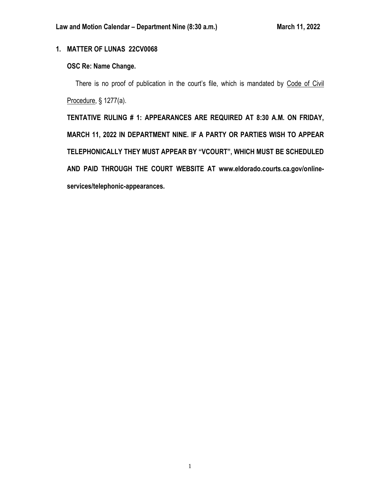# **1. MATTER OF LUNAS 22CV0068**

# **OSC Re: Name Change.**

There is no proof of publication in the court's file, which is mandated by Code of Civil Procedure, § 1277(a).

**TENTATIVE RULING # 1: APPEARANCES ARE REQUIRED AT 8:30 A.M. ON FRIDAY, MARCH 11, 2022 IN DEPARTMENT NINE. IF A PARTY OR PARTIES WISH TO APPEAR TELEPHONICALLY THEY MUST APPEAR BY "VCOURT", WHICH MUST BE SCHEDULED AND PAID THROUGH THE COURT WEBSITE AT www.eldorado.courts.ca.gov/onlineservices/telephonic-appearances.**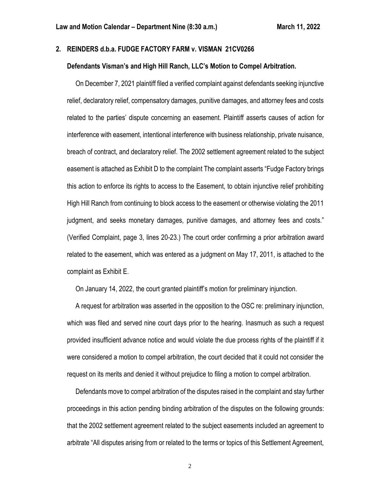### **2. REINDERS d.b.a. FUDGE FACTORY FARM v. VISMAN 21CV0266**

#### **Defendants Visman's and High Hill Ranch, LLC's Motion to Compel Arbitration.**

 On December 7, 2021 plaintiff filed a verified complaint against defendants seeking injunctive relief, declaratory relief, compensatory damages, punitive damages, and attorney fees and costs related to the parties' dispute concerning an easement. Plaintiff asserts causes of action for interference with easement, intentional interference with business relationship, private nuisance, breach of contract, and declaratory relief. The 2002 settlement agreement related to the subject easement is attached as Exhibit D to the complaint The complaint asserts "Fudge Factory brings this action to enforce its rights to access to the Easement, to obtain injunctive relief prohibiting High Hill Ranch from continuing to block access to the easement or otherwise violating the 2011 judgment, and seeks monetary damages, punitive damages, and attorney fees and costs." (Verified Complaint, page 3, lines 20-23.) The court order confirming a prior arbitration award related to the easement, which was entered as a judgment on May 17, 2011, is attached to the complaint as Exhibit E.

On January 14, 2022, the court granted plaintiff's motion for preliminary injunction.

 A request for arbitration was asserted in the opposition to the OSC re: preliminary injunction, which was filed and served nine court days prior to the hearing. Inasmuch as such a request provided insufficient advance notice and would violate the due process rights of the plaintiff if it were considered a motion to compel arbitration, the court decided that it could not consider the request on its merits and denied it without prejudice to filing a motion to compel arbitration.

 Defendants move to compel arbitration of the disputes raised in the complaint and stay further proceedings in this action pending binding arbitration of the disputes on the following grounds: that the 2002 settlement agreement related to the subject easements included an agreement to arbitrate "All disputes arising from or related to the terms or topics of this Settlement Agreement,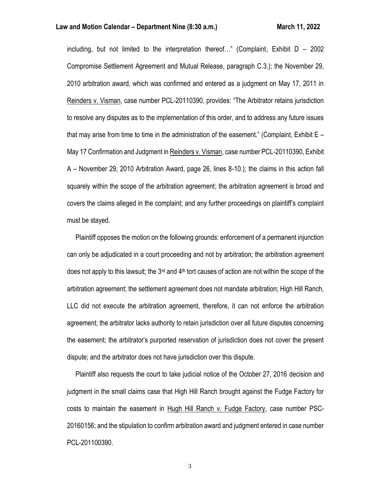#### **Law and Motion Calendar – Department Nine (8:30 a.m.) March 11, 2022**

including, but not limited to the interpretation thereof..." (Complaint, Exhibit  $D - 2002$ Compromise Settlement Agreement and Mutual Release, paragraph C.3.); the November 29, 2010 arbitration award, which was confirmed and entered as a judgment on May 17, 2011 in Reinders v. Visman, case number PCL-20110390, provides: "The Arbitrator retains jurisdiction to resolve any disputes as to the implementation of this order, and to address any future issues that may arise from time to time in the administration of the easement." (Complaint, Exhibit E – May 17 Confirmation and Judgment in Reinders v. Visman, case number PCL-20110390, Exhibit A – November 29, 2010 Arbitration Award, page 26, lines 8-10.); the claims in this action fall squarely within the scope of the arbitration agreement; the arbitration agreement is broad and covers the claims alleged in the complaint; and any further proceedings on plaintiff's complaint must be stayed.

 Plaintiff opposes the motion on the following grounds: enforcement of a permanent injunction can only be adjudicated in a court proceeding and not by arbitration; the arbitration agreement does not apply to this lawsuit; the 3<sup>rd</sup> and 4<sup>th</sup> tort causes of action are not within the scope of the arbitration agreement; the settlement agreement does not mandate arbitration; High Hill Ranch, LLC did not execute the arbitration agreement, therefore, it can not enforce the arbitration agreement; the arbitrator lacks authority to retain jurisdiction over all future disputes concerning the easement; the arbitrator's purported reservation of jurisdiction does not cover the present dispute; and the arbitrator does not have jurisdiction over this dispute.

 Plaintiff also requests the court to take judicial notice of the October 27, 2016 decision and judgment in the small claims case that High Hill Ranch brought against the Fudge Factory for costs to maintain the easement in Hugh Hill Ranch v. Fudge Factory, case number PSC-20160156; and the stipulation to confirm arbitration award and judgment entered in case number PCL-201100390.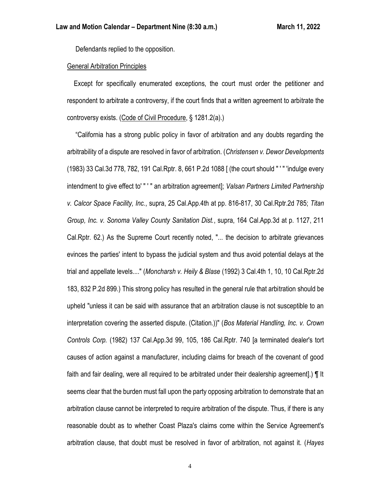Defendants replied to the opposition.

### General Arbitration Principles

 Except for specifically enumerated exceptions, the court must order the petitioner and respondent to arbitrate a controversy, if the court finds that a written agreement to arbitrate the controversy exists. (Code of Civil Procedure, § 1281.2(a).)

 "California has a strong public policy in favor of arbitration and any doubts regarding the arbitrability of a dispute are resolved in favor of arbitration. (*Christensen v. Dewor Developments* (1983) 33 Cal.3d 778, 782, 191 Cal.Rptr. 8, 661 P.2d 1088 [ (the court should " ' " 'indulge every intendment to give effect to' " ' " an arbitration agreement]; *Valsan Partners Limited Partnership v. Calcor Space Facility, Inc.*, supra, 25 Cal.App.4th at pp. 816-817, 30 Cal.Rptr.2d 785; *Titan Group, Inc. v. Sonoma Valley County Sanitation Dist.*, supra, 164 Cal.App.3d at p. 1127, 211 Cal.Rptr. 62.) As the Supreme Court recently noted, "... the decision to arbitrate grievances evinces the parties' intent to bypass the judicial system and thus avoid potential delays at the trial and appellate levels...." (*Moncharsh v. Heily & Blase* (1992) 3 Cal.4th 1, 10, 10 Cal.Rptr.2d 183, 832 P.2d 899.) This strong policy has resulted in the general rule that arbitration should be upheld "unless it can be said with assurance that an arbitration clause is not susceptible to an interpretation covering the asserted dispute. (Citation.))" (*Bos Material Handling, Inc. v. Crown Controls Corp.* (1982) 137 Cal.App.3d 99, 105, 186 Cal.Rptr. 740 [a terminated dealer's tort causes of action against a manufacturer, including claims for breach of the covenant of good faith and fair dealing, were all required to be arbitrated under their dealership agreement].) ¶ It seems clear that the burden must fall upon the party opposing arbitration to demonstrate that an arbitration clause cannot be interpreted to require arbitration of the dispute. Thus, if there is any reasonable doubt as to whether Coast Plaza's claims come within the Service Agreement's arbitration clause, that doubt must be resolved in favor of arbitration, not against it. (*Hayes*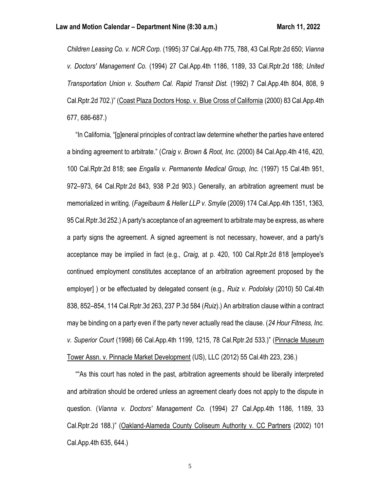*Children Leasing Co. v. NCR Corp.* (1995) 37 Cal.App.4th 775, 788, 43 Cal.Rptr.2d 650; *Vianna v. Doctors' Management Co.* (1994) 27 Cal.App.4th 1186, 1189, 33 Cal.Rptr.2d 188; *United Transportation Union v. Southern Cal. Rapid Transit Dist.* (1992) 7 Cal.App.4th 804, 808, 9 Cal.Rptr.2d 702.)" (Coast Plaza Doctors Hosp. v. Blue Cross of California (2000) 83 Cal.App.4th 677, 686-687.)

 "In California, "[g]eneral principles of contract law determine whether the parties have entered a binding agreement to arbitrate." (*Craig v. Brown & Root, Inc.* (2000) 84 Cal.App.4th 416, 420, 100 Cal.Rptr.2d 818; see *Engalla v. Permanente Medical Group, Inc.* (1997) 15 Cal.4th 951, 972–973, 64 Cal.Rptr.2d 843, 938 P.2d 903.) Generally, an arbitration agreement must be memorialized in writing. (*Fagelbaum & Heller LLP v. Smylie* (2009) 174 Cal.App.4th 1351, 1363, 95 Cal.Rptr.3d 252.) A party's acceptance of an agreement to arbitrate may be express, as where a party signs the agreement. A signed agreement is not necessary, however, and a party's acceptance may be implied in fact (e.g., *Craig,* at p. 420, 100 Cal.Rptr.2d 818 [employee's continued employment constitutes acceptance of an arbitration agreement proposed by the employer] ) or be effectuated by delegated consent (e.g., *Ruiz v. Podolsky* (2010) 50 Cal.4th 838, 852–854, 114 Cal.Rptr.3d 263, 237 P.3d 584 (*Ruiz*).) An arbitration clause within a contract may be binding on a party even if the party never actually read the clause. (*24 Hour Fitness, Inc. v. Superior Court* (1998) 66 Cal.App.4th 1199, 1215, 78 Cal.Rptr.2d 533.)" (Pinnacle Museum Tower Assn. v. Pinnacle Market Development (US), LLC (2012) 55 Cal.4th 223, 236.)

 ""As this court has noted in the past, arbitration agreements should be liberally interpreted and arbitration should be ordered unless an agreement clearly does not apply to the dispute in question. (*Vianna v. Doctors' Management Co.* (1994) 27 Cal.App.4th 1186, 1189, 33 Cal.Rptr.2d 188.)" (Oakland-Alameda County Coliseum Authority v. CC Partners (2002) 101 Cal.App.4th 635, 644.)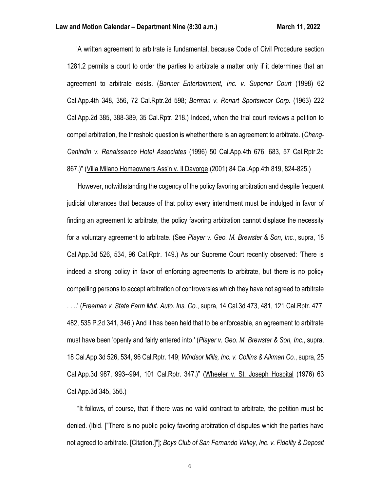"A written agreement to arbitrate is fundamental, because Code of Civil Procedure section 1281.2 permits a court to order the parties to arbitrate a matter only if it determines that an agreement to arbitrate exists. (*Banner Entertainment, Inc. v. Superior Court* (1998) 62 Cal.App.4th 348, 356, 72 Cal.Rptr.2d 598; *Berman v. Renart Sportswear Corp.* (1963) 222 Cal.App.2d 385, 388-389, 35 Cal.Rptr. 218.) Indeed, when the trial court reviews a petition to compel arbitration, the threshold question is whether there is an agreement to arbitrate. (*Cheng-Canindin v. Renaissance Hotel Associates* (1996) 50 Cal.App.4th 676, 683, 57 Cal.Rptr.2d 867.)" (Villa Milano Homeowners Ass'n v. Il Davorge (2001) 84 Cal.App.4th 819, 824-825.)

 "However, notwithstanding the cogency of the policy favoring arbitration and despite frequent judicial utterances that because of that policy every intendment must be indulged in favor of finding an agreement to arbitrate, the policy favoring arbitration cannot displace the necessity for a voluntary agreement to arbitrate. (See *Player v. Geo. M. Brewster & Son, Inc.*, supra, 18 Cal.App.3d 526, 534, 96 Cal.Rptr. 149.) As our Supreme Court recently observed: 'There is indeed a strong policy in favor of enforcing agreements to arbitrate, but there is no policy compelling persons to accept arbitration of controversies which they have not agreed to arbitrate

. . ..' (*Freeman v. State Farm Mut. Auto. Ins. Co.*, supra, 14 Cal.3d 473, 481, 121 Cal.Rptr. 477, 482, 535 P.2d 341, 346.) And it has been held that to be enforceable, an agreement to arbitrate must have been 'openly and fairly entered into.' (*Player v. Geo. M. Brewster & Son, Inc.*, supra, 18 Cal.App.3d 526, 534, 96 Cal.Rptr. 149; *Windsor Mills, Inc. v. Collins & Aikman Co.*, supra, 25 Cal.App.3d 987, 993--994, 101 Cal.Rptr. 347.)" (Wheeler v. St. Joseph Hospital (1976) 63 Cal.App.3d 345, 356.)

 "It follows, of course, that if there was no valid contract to arbitrate, the petition must be denied. (Ibid. ["There is no public policy favoring arbitration of disputes which the parties have not agreed to arbitrate. [Citation.]"]; *Boys Club of San Fernando Valley, Inc. v. Fidelity & Deposit*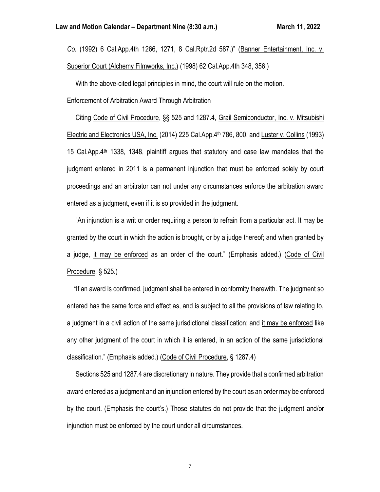*Co.* (1992) 6 Cal.App.4th 1266, 1271, 8 Cal.Rptr.2d 587.)" (Banner Entertainment, Inc. v. Superior Court (Alchemy Filmworks, Inc.) (1998) 62 Cal.App.4th 348, 356.)

With the above-cited legal principles in mind, the court will rule on the motion.

#### Enforcement of Arbitration Award Through Arbitration

 Citing Code of Civil Procedure, §§ 525 and 1287.4, Grail Semiconductor, Inc. v. Mitsubishi Electric and Electronics USA, Inc. (2014) 225 Cal.App.4th 786, 800, and Luster v. Collins (1993) 15 Cal. App.  $4<sup>th</sup>$  1338, 1348, plaintiff argues that statutory and case law mandates that the judgment entered in 2011 is a permanent injunction that must be enforced solely by court proceedings and an arbitrator can not under any circumstances enforce the arbitration award entered as a judgment, even if it is so provided in the judgment.

 "An injunction is a writ or order requiring a person to refrain from a particular act. It may be granted by the court in which the action is brought, or by a judge thereof; and when granted by a judge, it may be enforced as an order of the court." (Emphasis added.) (Code of Civil Procedure, § 525.)

 "If an award is confirmed, judgment shall be entered in conformity therewith. The judgment so entered has the same force and effect as, and is subject to all the provisions of law relating to, a judgment in a civil action of the same jurisdictional classification; and it may be enforced like any other judgment of the court in which it is entered, in an action of the same jurisdictional classification." (Emphasis added.) (Code of Civil Procedure, § 1287.4)

 Sections 525 and 1287.4 are discretionary in nature. They provide that a confirmed arbitration award entered as a judgment and an injunction entered by the court as an order may be enforced by the court. (Emphasis the court's.) Those statutes do not provide that the judgment and/or injunction must be enforced by the court under all circumstances.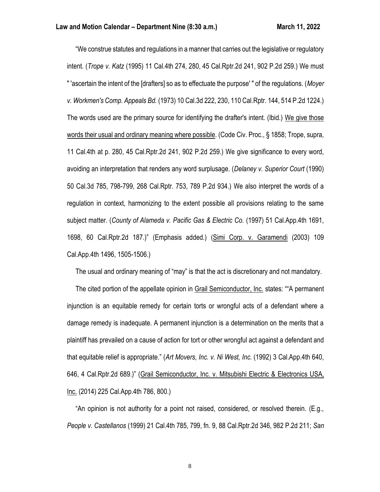"We construe statutes and regulations in a manner that carries out the legislative or regulatory intent. (*Trope v. Katz* (1995) 11 Cal.4th 274, 280, 45 Cal.Rptr.2d 241, 902 P.2d 259.) We must " 'ascertain the intent of the [drafters] so as to effectuate the purpose' " of the regulations. (*Moyer v. Workmen's Comp. Appeals Bd.* (1973) 10 Cal.3d 222, 230, 110 Cal.Rptr. 144, 514 P.2d 1224.) The words used are the primary source for identifying the drafter's intent. (Ibid.) We give those words their usual and ordinary meaning where possible. (Code Civ. Proc., § 1858; Trope, supra, 11 Cal.4th at p. 280, 45 Cal.Rptr.2d 241, 902 P.2d 259.) We give significance to every word, avoiding an interpretation that renders any word surplusage. (*Delaney v. Superior Court* (1990) 50 Cal.3d 785, 798-799, 268 Cal.Rptr. 753, 789 P.2d 934.) We also interpret the words of a regulation in context, harmonizing to the extent possible all provisions relating to the same subject matter. (*County of Alameda v. Pacific Gas & Electric Co.* (1997) 51 Cal.App.4th 1691, 1698, 60 Cal.Rptr.2d 187.)" (Emphasis added.) (Simi Corp. v. Garamendi (2003) 109 Cal.App.4th 1496, 1505-1506.)

The usual and ordinary meaning of "may" is that the act is discretionary and not mandatory.

 The cited portion of the appellate opinion in Grail Semiconductor, Inc. states: ""A permanent injunction is an equitable remedy for certain torts or wrongful acts of a defendant where a damage remedy is inadequate. A permanent injunction is a determination on the merits that a plaintiff has prevailed on a cause of action for tort or other wrongful act against a defendant and that equitable relief is appropriate." (*Art Movers, Inc. v. Ni West, Inc.* (1992) 3 Cal.App.4th 640, 646, 4 Cal.Rptr.2d 689.)" (Grail Semiconductor, Inc. v. Mitsubishi Electric & Electronics USA, Inc. (2014) 225 Cal.App.4th 786, 800.)

 "An opinion is not authority for a point not raised, considered, or resolved therein. (E.g., *People v. Castellanos* (1999) 21 Cal.4th 785, 799, fn. 9, 88 Cal.Rptr.2d 346, 982 P.2d 211; *San*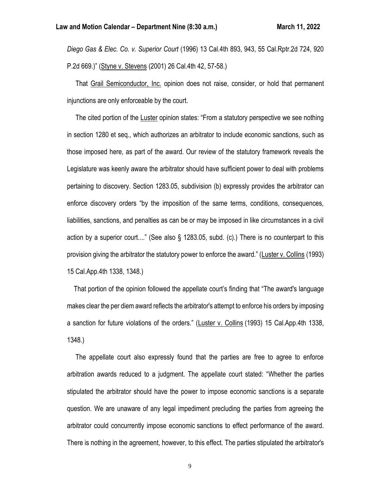*Diego Gas & Elec. Co. v. Superior Court* (1996) 13 Cal.4th 893, 943, 55 Cal.Rptr.2d 724, 920 P.2d 669.)" (Styne v. Stevens (2001) 26 Cal.4th 42, 57-58.)

 That Grail Semiconductor, Inc. opinion does not raise, consider, or hold that permanent injunctions are only enforceable by the court.

 The cited portion of the Luster opinion states: "From a statutory perspective we see nothing in section 1280 et seq., which authorizes an arbitrator to include economic sanctions, such as those imposed here, as part of the award. Our review of the statutory framework reveals the Legislature was keenly aware the arbitrator should have sufficient power to deal with problems pertaining to discovery. Section 1283.05, subdivision (b) expressly provides the arbitrator can enforce discovery orders "by the imposition of the same terms, conditions, consequences, liabilities, sanctions, and penalties as can be or may be imposed in like circumstances in a civil action by a superior court...." (See also § 1283.05, subd. (c).) There is no counterpart to this provision giving the arbitrator the statutory power to enforce the award." (Luster v. Collins (1993) 15 Cal.App.4th 1338, 1348.)

 That portion of the opinion followed the appellate court's finding that "The award's language makes clear the per diem award reflects the arbitrator's attempt to enforce his orders by imposing a sanction for future violations of the orders." (Luster v. Collins (1993) 15 Cal.App.4th 1338, 1348.)

 The appellate court also expressly found that the parties are free to agree to enforce arbitration awards reduced to a judgment. The appellate court stated: "Whether the parties stipulated the arbitrator should have the power to impose economic sanctions is a separate question. We are unaware of any legal impediment precluding the parties from agreeing the arbitrator could concurrently impose economic sanctions to effect performance of the award. There is nothing in the agreement, however, to this effect. The parties stipulated the arbitrator's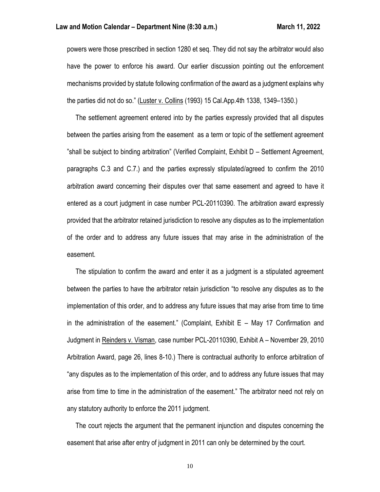powers were those prescribed in section 1280 et seq. They did not say the arbitrator would also have the power to enforce his award. Our earlier discussion pointing out the enforcement mechanisms provided by statute following confirmation of the award as a judgment explains why the parties did not do so." (Luster v. Collins (1993) 15 Cal.App.4th 1338, 1349–1350.)

 The settlement agreement entered into by the parties expressly provided that all disputes between the parties arising from the easement as a term or topic of the settlement agreement "shall be subject to binding arbitration" (Verified Complaint, Exhibit D – Settlement Agreement, paragraphs C.3 and C.7.) and the parties expressly stipulated/agreed to confirm the 2010 arbitration award concerning their disputes over that same easement and agreed to have it entered as a court judgment in case number PCL-20110390. The arbitration award expressly provided that the arbitrator retained jurisdiction to resolve any disputes as to the implementation of the order and to address any future issues that may arise in the administration of the easement.

 The stipulation to confirm the award and enter it as a judgment is a stipulated agreement between the parties to have the arbitrator retain jurisdiction "to resolve any disputes as to the implementation of this order, and to address any future issues that may arise from time to time in the administration of the easement." (Complaint, Exhibit E – May 17 Confirmation and Judgment in Reinders v. Visman, case number PCL-20110390, Exhibit A – November 29, 2010 Arbitration Award, page 26, lines 8-10.) There is contractual authority to enforce arbitration of "any disputes as to the implementation of this order, and to address any future issues that may arise from time to time in the administration of the easement." The arbitrator need not rely on any statutory authority to enforce the 2011 judgment.

 The court rejects the argument that the permanent injunction and disputes concerning the easement that arise after entry of judgment in 2011 can only be determined by the court.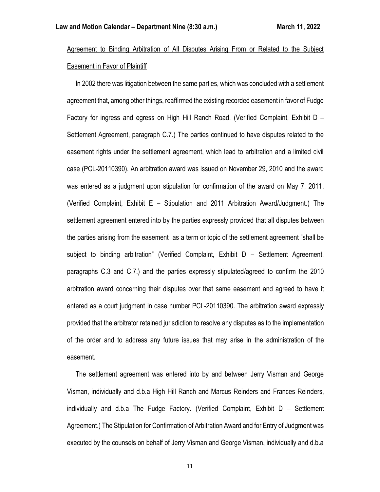# Agreement to Binding Arbitration of All Disputes Arising From or Related to the Subiect Easement in Favor of Plaintiff

 In 2002 there was litigation between the same parties, which was concluded with a settlement agreement that, among other things, reaffirmed the existing recorded easement in favor of Fudge Factory for ingress and egress on High Hill Ranch Road. (Verified Complaint, Exhibit D – Settlement Agreement, paragraph C.7.) The parties continued to have disputes related to the easement rights under the settlement agreement, which lead to arbitration and a limited civil case (PCL-20110390). An arbitration award was issued on November 29, 2010 and the award was entered as a judgment upon stipulation for confirmation of the award on May 7, 2011. (Verified Complaint, Exhibit E – Stipulation and 2011 Arbitration Award/Judgment.) The settlement agreement entered into by the parties expressly provided that all disputes between the parties arising from the easement as a term or topic of the settlement agreement "shall be subject to binding arbitration" (Verified Complaint, Exhibit D – Settlement Agreement, paragraphs C.3 and C.7.) and the parties expressly stipulated/agreed to confirm the 2010 arbitration award concerning their disputes over that same easement and agreed to have it entered as a court judgment in case number PCL-20110390. The arbitration award expressly provided that the arbitrator retained jurisdiction to resolve any disputes as to the implementation of the order and to address any future issues that may arise in the administration of the easement.

 The settlement agreement was entered into by and between Jerry Visman and George Visman, individually and d.b.a High Hill Ranch and Marcus Reinders and Frances Reinders, individually and d.b.a The Fudge Factory. (Verified Complaint, Exhibit D – Settlement Agreement.) The Stipulation for Confirmation of Arbitration Award and for Entry of Judgment was executed by the counsels on behalf of Jerry Visman and George Visman, individually and d.b.a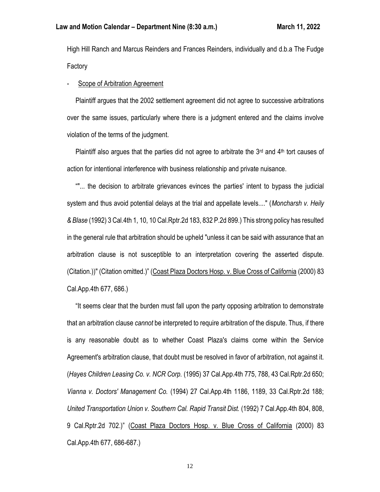High Hill Ranch and Marcus Reinders and Frances Reinders, individually and d.b.a The Fudge Factory

#### Scope of Arbitration Agreement

 Plaintiff argues that the 2002 settlement agreement did not agree to successive arbitrations over the same issues, particularly where there is a judgment entered and the claims involve violation of the terms of the judgment.

Plaintiff also argues that the parties did not agree to arbitrate the  $3<sup>rd</sup>$  and  $4<sup>th</sup>$  tort causes of action for intentional interference with business relationship and private nuisance.

 ""... the decision to arbitrate grievances evinces the parties' intent to bypass the judicial system and thus avoid potential delays at the trial and appellate levels...." (*Moncharsh v. Heily & Blase* (1992) 3 Cal.4th 1, 10, 10 Cal.Rptr.2d 183, 832 P.2d 899.) This strong policy has resulted in the general rule that arbitration should be upheld "unless it can be said with assurance that an arbitration clause is not susceptible to an interpretation covering the asserted dispute. (Citation.))" (Citation omitted.)" (Coast Plaza Doctors Hosp. v. Blue Cross of California (2000) 83 Cal.App.4th 677, 686.)

 "It seems clear that the burden must fall upon the party opposing arbitration to demonstrate that an arbitration clause *cannot* be interpreted to require arbitration of the dispute. Thus, if there is any reasonable doubt as to whether Coast Plaza's claims come within the Service Agreement's arbitration clause, that doubt must be resolved in favor of arbitration, not against it. (*Hayes Children Leasing Co. v. NCR Corp.* (1995) 37 Cal.App.4th 775, 788, 43 Cal.Rptr.2d 650; *Vianna v. Doctors' Management Co.* (1994) 27 Cal.App.4th 1186, 1189, 33 Cal.Rptr.2d 188; *United Transportation Union v. Southern Cal. Rapid Transit Dist.* (1992) 7 Cal.App.4th 804, 808, 9 Cal.Rptr.2d 702.)" (Coast Plaza Doctors Hosp. v. Blue Cross of California (2000) 83 Cal.App.4th 677, 686-687.)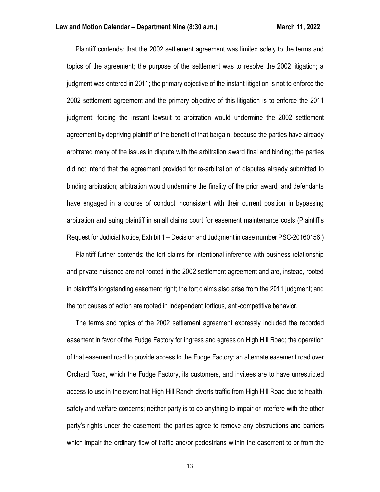Plaintiff contends: that the 2002 settlement agreement was limited solely to the terms and topics of the agreement; the purpose of the settlement was to resolve the 2002 litigation; a judgment was entered in 2011; the primary objective of the instant litigation is not to enforce the 2002 settlement agreement and the primary objective of this litigation is to enforce the 2011 judgment; forcing the instant lawsuit to arbitration would undermine the 2002 settlement agreement by depriving plaintiff of the benefit of that bargain, because the parties have already arbitrated many of the issues in dispute with the arbitration award final and binding; the parties did not intend that the agreement provided for re-arbitration of disputes already submitted to binding arbitration; arbitration would undermine the finality of the prior award; and defendants have engaged in a course of conduct inconsistent with their current position in bypassing arbitration and suing plaintiff in small claims court for easement maintenance costs (Plaintiff's Request for Judicial Notice, Exhibit 1 – Decision and Judgment in case number PSC-20160156.)

 Plaintiff further contends: the tort claims for intentional inference with business relationship and private nuisance are not rooted in the 2002 settlement agreement and are, instead, rooted in plaintiff's longstanding easement right; the tort claims also arise from the 2011 judgment; and the tort causes of action are rooted in independent tortious, anti-competitive behavior.

 The terms and topics of the 2002 settlement agreement expressly included the recorded easement in favor of the Fudge Factory for ingress and egress on High Hill Road; the operation of that easement road to provide access to the Fudge Factory; an alternate easement road over Orchard Road, which the Fudge Factory, its customers, and invitees are to have unrestricted access to use in the event that High Hill Ranch diverts traffic from High Hill Road due to health, safety and welfare concerns; neither party is to do anything to impair or interfere with the other party's rights under the easement; the parties agree to remove any obstructions and barriers which impair the ordinary flow of traffic and/or pedestrians within the easement to or from the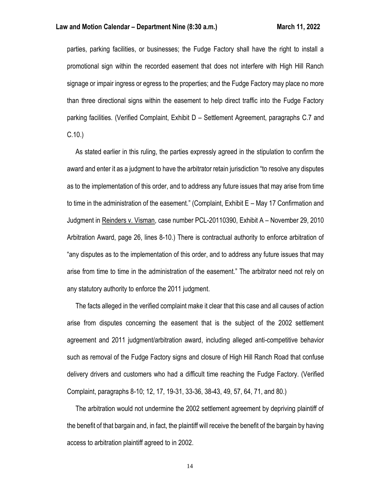parties, parking facilities, or businesses; the Fudge Factory shall have the right to install a promotional sign within the recorded easement that does not interfere with High Hill Ranch signage or impair ingress or egress to the properties; and the Fudge Factory may place no more than three directional signs within the easement to help direct traffic into the Fudge Factory parking facilities. (Verified Complaint, Exhibit D – Settlement Agreement, paragraphs C.7 and C.10.)

 As stated earlier in this ruling, the parties expressly agreed in the stipulation to confirm the award and enter it as a judgment to have the arbitrator retain jurisdiction "to resolve any disputes as to the implementation of this order, and to address any future issues that may arise from time to time in the administration of the easement." (Complaint, Exhibit E – May 17 Confirmation and Judgment in Reinders v. Visman, case number PCL-20110390, Exhibit A – November 29, 2010 Arbitration Award, page 26, lines 8-10.) There is contractual authority to enforce arbitration of "any disputes as to the implementation of this order, and to address any future issues that may arise from time to time in the administration of the easement." The arbitrator need not rely on any statutory authority to enforce the 2011 judgment.

 The facts alleged in the verified complaint make it clear that this case and all causes of action arise from disputes concerning the easement that is the subject of the 2002 settlement agreement and 2011 judgment/arbitration award, including alleged anti-competitive behavior such as removal of the Fudge Factory signs and closure of High Hill Ranch Road that confuse delivery drivers and customers who had a difficult time reaching the Fudge Factory. (Verified Complaint, paragraphs 8-10; 12, 17, 19-31, 33-36, 38-43, 49, 57, 64, 71, and 80.)

 The arbitration would not undermine the 2002 settlement agreement by depriving plaintiff of the benefit of that bargain and, in fact, the plaintiff will receive the benefit of the bargain by having access to arbitration plaintiff agreed to in 2002.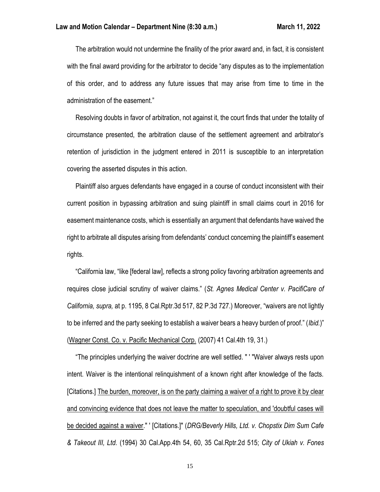The arbitration would not undermine the finality of the prior award and, in fact, it is consistent with the final award providing for the arbitrator to decide "any disputes as to the implementation of this order, and to address any future issues that may arise from time to time in the administration of the easement."

 Resolving doubts in favor of arbitration, not against it, the court finds that under the totality of circumstance presented, the arbitration clause of the settlement agreement and arbitrator's retention of jurisdiction in the judgment entered in 2011 is susceptible to an interpretation covering the asserted disputes in this action.

 Plaintiff also argues defendants have engaged in a course of conduct inconsistent with their current position in bypassing arbitration and suing plaintiff in small claims court in 2016 for easement maintenance costs, which is essentially an argument that defendants have waived the right to arbitrate all disputes arising from defendants' conduct concerning the plaintiff's easement rights.

 "California law, "like [federal law], reflects a strong policy favoring arbitration agreements and requires close judicial scrutiny of waiver claims." (*St. Agnes Medical Center v. PacifiCare of California, supra,* at p. 1195, 8 Cal.Rptr.3d 517, 82 P.3d 727.) Moreover, "waivers are not lightly to be inferred and the party seeking to establish a waiver bears a heavy burden of proof." (*Ibid.*)" (Wagner Const. Co. v. Pacific Mechanical Corp. (2007) 41 Cal.4th 19, 31.)

 "The principles underlying the waiver doctrine are well settled. " ' "Waiver always rests upon intent. Waiver is the intentional relinquishment of a known right after knowledge of the facts. [Citations.] The burden, moreover, is on the party claiming a waiver of a right to prove it by clear and convincing evidence that does not leave the matter to speculation, and 'doubtful cases will be decided against a waiver." ' [Citations.]" (*DRG/Beverly Hills, Ltd. v. Chopstix Dim Sum Cafe & Takeout III, Ltd.* (1994) 30 Cal.App.4th 54, 60, 35 Cal.Rptr.2d 515; *City of Ukiah v. Fones*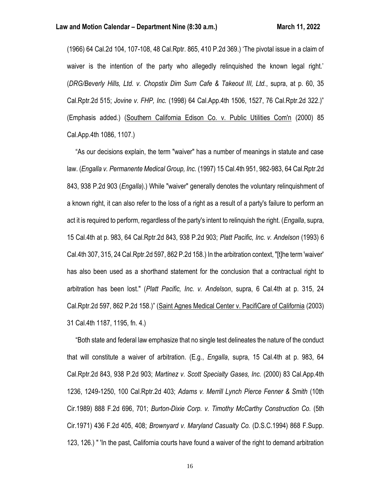(1966) 64 Cal.2d 104, 107-108, 48 Cal.Rptr. 865, 410 P.2d 369.) 'The pivotal issue in a claim of waiver is the intention of the party who allegedly relinquished the known legal right.' (*DRG/Beverly Hills, Ltd. v. Chopstix Dim Sum Cafe & Takeout III, Ltd.*, supra, at p. 60, 35 Cal.Rptr.2d 515; *Jovine v. FHP, Inc.* (1998) 64 Cal.App.4th 1506, 1527, 76 Cal.Rptr.2d 322.)" (Emphasis added.) (Southern California Edison Co. v. Public Utilities Com'n (2000) 85 Cal.App.4th 1086, 1107.)

 "As our decisions explain, the term "waiver" has a number of meanings in statute and case law. (*Engalla v. Permanente Medical Group, Inc.* (1997) 15 Cal.4th 951, 982-983, 64 Cal.Rptr.2d 843, 938 P.2d 903 (*Engalla*).) While "waiver" generally denotes the voluntary relinquishment of a known right, it can also refer to the loss of a right as a result of a party's failure to perform an act it is required to perform, regardless of the party's intent to relinquish the right. (*Engalla*, supra, 15 Cal.4th at p. 983, 64 Cal.Rptr.2d 843, 938 P.2d 903; *Platt Pacific, Inc. v. Andelson* (1993) 6 Cal.4th 307, 315, 24 Cal.Rptr.2d 597, 862 P.2d 158.) In the arbitration context, "[t]he term 'waiver' has also been used as a shorthand statement for the conclusion that a contractual right to arbitration has been lost." (*Platt Pacific, Inc. v. Andelson*, supra, 6 Cal.4th at p. 315, 24 Cal.Rptr.2d 597, 862 P.2d 158.)" (Saint Agnes Medical Center v. PacifiCare of California (2003) 31 Cal.4th 1187, 1195, fn. 4.)

 "Both state and federal law emphasize that no single test delineates the nature of the conduct that will constitute a waiver of arbitration. (E.g., *Engalla*, supra, 15 Cal.4th at p. 983, 64 Cal.Rptr.2d 843, 938 P.2d 903; *Martinez v. Scott Specialty Gases, Inc.* (2000) 83 Cal.App.4th 1236, 1249-1250, 100 Cal.Rptr.2d 403; *Adams v. Merrill Lynch Pierce Fenner & Smith* (10th Cir.1989) 888 F.2d 696, 701; *Burton-Dixie Corp. v. Timothy McCarthy Construction Co.* (5th Cir.1971) 436 F.2d 405, 408; *Brownyard v. Maryland Casualty Co.* (D.S.C.1994) 868 F.Supp. 123, 126.) " 'In the past, California courts have found a waiver of the right to demand arbitration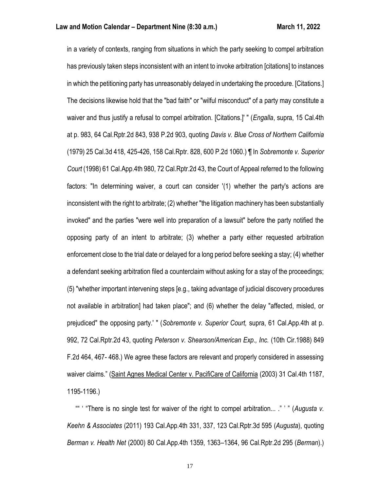in a variety of contexts, ranging from situations in which the party seeking to compel arbitration has previously taken steps inconsistent with an intent to invoke arbitration [citations] to instances in which the petitioning party has unreasonably delayed in undertaking the procedure. [Citations.] The decisions likewise hold that the "bad faith" or "wilful misconduct" of a party may constitute a waiver and thus justify a refusal to compel arbitration. [Citations.]' " (*Engalla*, supra, 15 Cal.4th at p. 983, 64 Cal.Rptr.2d 843, 938 P.2d 903, quoting *Davis v. Blue Cross of Northern California* (1979) 25 Cal.3d 418, 425-426, 158 Cal.Rptr. 828, 600 P.2d 1060.) ¶ In *Sobremonte v. Superior Court* (1998) 61 Cal.App.4th 980, 72 Cal.Rptr.2d 43, the Court of Appeal referred to the following factors: "In determining waiver, a court can consider '(1) whether the party's actions are inconsistent with the right to arbitrate; (2) whether "the litigation machinery has been substantially invoked" and the parties "were well into preparation of a lawsuit" before the party notified the opposing party of an intent to arbitrate; (3) whether a party either requested arbitration enforcement close to the trial date or delayed for a long period before seeking a stay; (4) whether a defendant seeking arbitration filed a counterclaim without asking for a stay of the proceedings; (5) "whether important intervening steps [e.g., taking advantage of judicial discovery procedures not available in arbitration] had taken place"; and (6) whether the delay "affected, misled, or prejudiced" the opposing party.' " (*Sobremonte v. Superior Court,* supra, 61 Cal.App.4th at p. 992, 72 Cal.Rptr.2d 43, quoting *Peterson v. Shearson/American Exp., Inc.* (10th Cir.1988) 849 F.2d 464, 467- 468.) We agree these factors are relevant and properly considered in assessing waiver claims." (Saint Agnes Medical Center v. PacifiCare of California (2003) 31 Cal.4th 1187, 1195-1196.)

 "" ' "There is no single test for waiver of the right to compel arbitration... ." ' " (*Augusta v. Keehn & Associates* (2011) 193 Cal.App.4th 331, 337, 123 Cal.Rptr.3d 595 (*Augusta*), quoting *Berman v. Health Net* (2000) 80 Cal.App.4th 1359, 1363–1364, 96 Cal.Rptr.2d 295 (*Berman*).)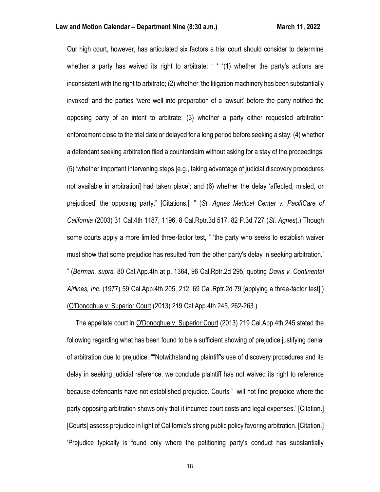Our high court, however, has articulated six factors a trial court should consider to determine whether a party has waived its right to arbitrate: " "(1) whether the party's actions are inconsistent with the right to arbitrate; (2) whether 'the litigation machinery has been substantially invoked' and the parties 'were well into preparation of a lawsuit' before the party notified the opposing party of an intent to arbitrate; (3) whether a party either requested arbitration enforcement close to the trial date or delayed for a long period before seeking a stay; (4) whether a defendant seeking arbitration filed a counterclaim without asking for a stay of the proceedings; (5) 'whether important intervening steps [e.g., taking advantage of judicial discovery procedures not available in arbitration] had taken place'; and (6) whether the delay 'affected, misled, or prejudiced' the opposing party." [Citations.]' " (*St. Agnes Medical Center v. PacifiCare of California* (2003) 31 Cal.4th 1187, 1196, 8 Cal.Rptr.3d 517, 82 P.3d 727 (*St. Agnes*).) Though some courts apply a more limited three-factor test, " 'the party who seeks to establish waiver must show that some prejudice has resulted from the other party's delay in seeking arbitration.' " (*Berman, supra,* 80 Cal.App.4th at p. 1364, 96 Cal.Rptr.2d 295, quoting *Davis v. Continental Airlines, Inc.* (1977) 59 Cal.App.4th 205, 212, 69 Cal.Rptr.2d 79 [applying a three-factor test].) (O'Donoghue v. Superior Court (2013) 219 Cal.App.4th 245, 262-263.)

 The appellate court in O'Donoghue v. Superior Court (2013) 219 Cal.App.4th 245 stated the following regarding what has been found to be a sufficient showing of prejudice justifying denial of arbitration due to prejudice: ""Notwithstanding plaintiff's use of discovery procedures and its delay in seeking judicial reference, we conclude plaintiff has not waived its right to reference because defendants have not established prejudice. Courts " 'will not find prejudice where the party opposing arbitration shows only that it incurred court costs and legal expenses.' [Citation.] [Courts] assess prejudice in light of California's strong public policy favoring arbitration. [Citation.] 'Prejudice typically is found only where the petitioning party's conduct has substantially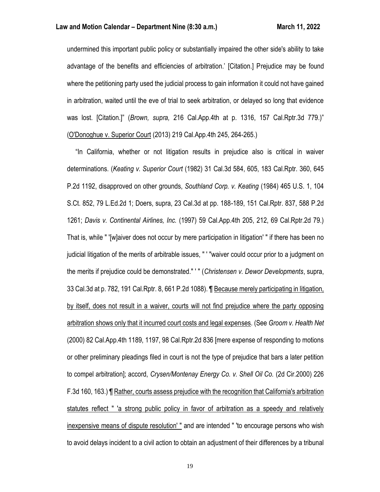undermined this important public policy or substantially impaired the other side's ability to take advantage of the benefits and efficiencies of arbitration.' [Citation.] Prejudice may be found where the petitioning party used the judicial process to gain information it could not have gained in arbitration, waited until the eve of trial to seek arbitration, or delayed so long that evidence was lost. [Citation.]" (*Brown, supra,* 216 Cal.App.4th at p. 1316, 157 Cal.Rptr.3d 779.)" (O'Donoghue v. Superior Court (2013) 219 Cal.App.4th 245, 264-265.)

 "In California, whether or not litigation results in prejudice also is critical in waiver determinations. (*Keating v. Superior Court* (1982) 31 Cal.3d 584, 605, 183 Cal.Rptr. 360, 645 P.2d 1192, disapproved on other grounds, *Southland Corp. v. Keating* (1984) 465 U.S. 1, 104 S.Ct. 852, 79 L.Ed.2d 1; Doers, supra, 23 Cal.3d at pp. 188-189, 151 Cal.Rptr. 837, 588 P.2d 1261; *Davis v. Continental Airlines, Inc.* (1997) 59 Cal.App.4th 205, 212, 69 Cal.Rptr.2d 79.) That is, while " '[w]aiver does not occur by mere participation in litigation' " if there has been no judicial litigation of the merits of arbitrable issues, " ' "waiver could occur prior to a judgment on the merits if prejudice could be demonstrated." ' " (*Christensen v. Dewor Developments*, supra, 33 Cal.3d at p. 782, 191 Cal.Rptr. 8, 661 P.2d 1088). ¶ Because merely participating in litigation, by itself, does not result in a waiver, courts will not find prejudice where the party opposing arbitration shows only that it incurred court costs and legal expenses. (See *Groom v. Health Net* (2000) 82 Cal.App.4th 1189, 1197, 98 Cal.Rptr.2d 836 [mere expense of responding to motions or other preliminary pleadings filed in court is not the type of prejudice that bars a later petition to compel arbitration]; accord, *Crysen/Montenay Energy Co. v. Shell Oil Co.* (2d Cir.2000) 226 F.3d 160, 163.) ¶ Rather, courts assess prejudice with the recognition that California's arbitration statutes reflect " 'a strong public policy in favor of arbitration as a speedy and relatively inexpensive means of dispute resolution' " and are intended " 'to encourage persons who wish to avoid delays incident to a civil action to obtain an adjustment of their differences by a tribunal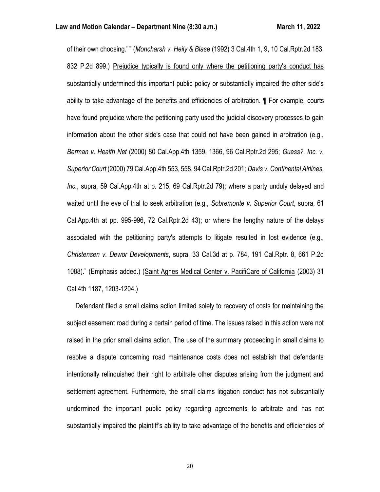of their own choosing.' " (*Moncharsh v. Heily & Blase* (1992) 3 Cal.4th 1, 9, 10 Cal.Rptr.2d 183, 832 P.2d 899.) Prejudice typically is found only where the petitioning party's conduct has substantially undermined this important public policy or substantially impaired the other side's ability to take advantage of the benefits and efficiencies of arbitration. ¶ For example, courts have found prejudice where the petitioning party used the judicial discovery processes to gain information about the other side's case that could not have been gained in arbitration (e.g., *Berman v. Health Net* (2000) 80 Cal.App.4th 1359, 1366, 96 Cal.Rptr.2d 295; *Guess?, Inc. v. Superior Court* (2000) 79 Cal.App.4th 553, 558, 94 Cal.Rptr.2d 201; *Davis v. Continental Airlines, Inc.*, supra, 59 Cal.App.4th at p. 215, 69 Cal.Rptr.2d 79); where a party unduly delayed and waited until the eve of trial to seek arbitration (e.g., *Sobremonte v. Superior Court*, supra, 61 Cal.App.4th at pp. 995-996, 72 Cal.Rptr.2d 43); or where the lengthy nature of the delays associated with the petitioning party's attempts to litigate resulted in lost evidence (e.g., *Christensen v. Dewor Developments*, supra, 33 Cal.3d at p. 784, 191 Cal.Rptr. 8, 661 P.2d 1088)." (Emphasis added.) (Saint Agnes Medical Center v. PacifiCare of California (2003) 31 Cal.4th 1187, 1203-1204.)

 Defendant filed a small claims action limited solely to recovery of costs for maintaining the subject easement road during a certain period of time. The issues raised in this action were not raised in the prior small claims action. The use of the summary proceeding in small claims to resolve a dispute concerning road maintenance costs does not establish that defendants intentionally relinquished their right to arbitrate other disputes arising from the judgment and settlement agreement. Furthermore, the small claims litigation conduct has not substantially undermined the important public policy regarding agreements to arbitrate and has not substantially impaired the plaintiff's ability to take advantage of the benefits and efficiencies of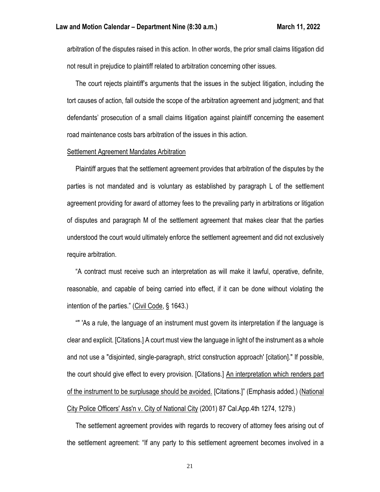arbitration of the disputes raised in this action. In other words, the prior small claims litigation did not result in prejudice to plaintiff related to arbitration concerning other issues.

 The court rejects plaintiff's arguments that the issues in the subject litigation, including the tort causes of action, fall outside the scope of the arbitration agreement and judgment; and that defendants' prosecution of a small claims litigation against plaintiff concerning the easement road maintenance costs bars arbitration of the issues in this action.

#### Settlement Agreement Mandates Arbitration

 Plaintiff argues that the settlement agreement provides that arbitration of the disputes by the parties is not mandated and is voluntary as established by paragraph L of the settlement agreement providing for award of attorney fees to the prevailing party in arbitrations or litigation of disputes and paragraph M of the settlement agreement that makes clear that the parties understood the court would ultimately enforce the settlement agreement and did not exclusively require arbitration.

 "A contract must receive such an interpretation as will make it lawful, operative, definite, reasonable, and capable of being carried into effect, if it can be done without violating the intention of the parties." (Civil Code, § 1643.)

 "" 'As a rule, the language of an instrument must govern its interpretation if the language is clear and explicit. [Citations.] A court must view the language in light of the instrument as a whole and not use a "disjointed, single-paragraph, strict construction approach' [citation]." If possible, the court should give effect to every provision. [Citations.] An interpretation which renders part of the instrument to be surplusage should be avoided. [Citations.]" (Emphasis added.) (National City Police Officers' Ass'n v. City of National City (2001) 87 Cal.App.4th 1274, 1279.)

 The settlement agreement provides with regards to recovery of attorney fees arising out of the settlement agreement: "If any party to this settlement agreement becomes involved in a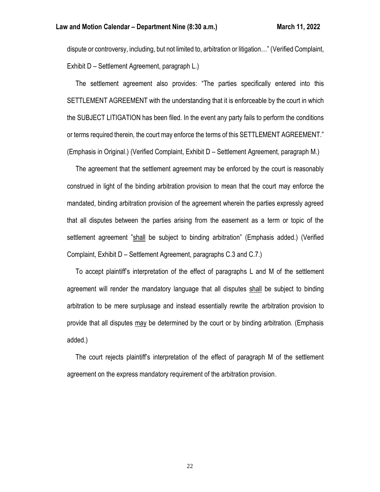dispute or controversy, including, but not limited to, arbitration or litigation…" (Verified Complaint, Exhibit D – Settlement Agreement, paragraph L.)

 The settlement agreement also provides: "The parties specifically entered into this SETTLEMENT AGREEMENT with the understanding that it is enforceable by the court in which the SUBJECT LITIGATION has been filed. In the event any party fails to perform the conditions or terms required therein, the court may enforce the terms of this SETTLEMENT AGREEMENT." (Emphasis in Original.) (Verified Complaint, Exhibit D – Settlement Agreement, paragraph M.)

 The agreement that the settlement agreement may be enforced by the court is reasonably construed in light of the binding arbitration provision to mean that the court may enforce the mandated, binding arbitration provision of the agreement wherein the parties expressly agreed that all disputes between the parties arising from the easement as a term or topic of the settlement agreement "shall be subject to binding arbitration" (Emphasis added.) (Verified Complaint, Exhibit D – Settlement Agreement, paragraphs C.3 and C.7.)

 To accept plaintiff's interpretation of the effect of paragraphs L and M of the settlement agreement will render the mandatory language that all disputes shall be subject to binding arbitration to be mere surplusage and instead essentially rewrite the arbitration provision to provide that all disputes may be determined by the court or by binding arbitration. (Emphasis added.)

 The court rejects plaintiff's interpretation of the effect of paragraph M of the settlement agreement on the express mandatory requirement of the arbitration provision.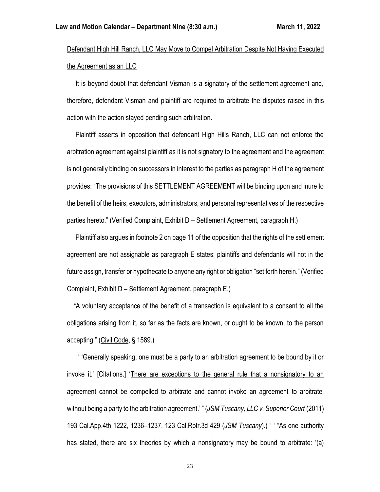# Defendant High Hill Ranch, LLC May Move to Compel Arbitration Despite Not Having Executed the Agreement as an LLC

 It is beyond doubt that defendant Visman is a signatory of the settlement agreement and, therefore, defendant Visman and plaintiff are required to arbitrate the disputes raised in this action with the action stayed pending such arbitration.

 Plaintiff asserts in opposition that defendant High Hills Ranch, LLC can not enforce the arbitration agreement against plaintiff as it is not signatory to the agreement and the agreement is not generally binding on successors in interest to the parties as paragraph H of the agreement provides: "The provisions of this SETTLEMENT AGREEMENT will be binding upon and inure to the benefit of the heirs, executors, administrators, and personal representatives of the respective parties hereto." (Verified Complaint, Exhibit D – Settlement Agreement, paragraph H.)

 Plaintiff also argues in footnote 2 on page 11 of the opposition that the rights of the settlement agreement are not assignable as paragraph E states: plaintiffs and defendants will not in the future assign, transfer or hypothecate to anyone any right or obligation "set forth herein." (Verified Complaint, Exhibit D – Settlement Agreement, paragraph E.)

 "A voluntary acceptance of the benefit of a transaction is equivalent to a consent to all the obligations arising from it, so far as the facts are known, or ought to be known, to the person accepting." (Civil Code, § 1589.)

 "" 'Generally speaking, one must be a party to an arbitration agreement to be bound by it or invoke it.' [Citations.] 'There are exceptions to the general rule that a nonsignatory to an agreement cannot be compelled to arbitrate and cannot invoke an agreement to arbitrate, without being a party to the arbitration agreement.' " (*JSMTuscany, LLC v. Superior Court* (2011) 193 Cal.App.4th 1222, 1236–1237, 123 Cal.Rptr.3d 429 (*JSM Tuscany*).) " ' "As one authority has stated, there are six theories by which a nonsignatory may be bound to arbitrate: '(a)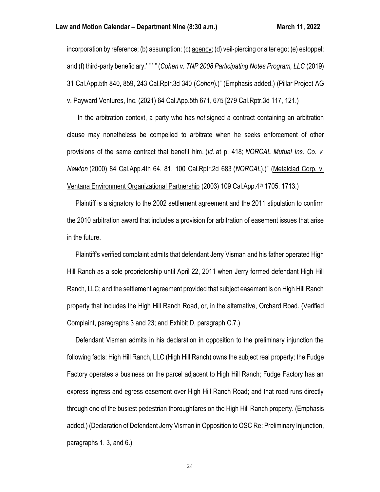#### **Law and Motion Calendar – Department Nine (8:30 a.m.) March 11, 2022**

incorporation by reference; (b) assumption; (c) agency; (d) veil-piercing or alter ego; (e) estoppel; and (f) third-party beneficiary.' " ' " (*Cohen v. TNP 2008 Participating Notes Program, LLC* (2019) 31 Cal.App.5th 840, 859, 243 Cal.Rptr.3d 340 (*Cohen*).)" (Emphasis added.) (Pillar Project AG v. Payward Ventures, Inc. (2021) 64 Cal.App.5th 671, 675 [279 Cal.Rptr.3d 117, 121.)

 "In the arbitration context, a party who has *not* signed a contract containing an arbitration clause may nonetheless be compelled to arbitrate when he seeks enforcement of other provisions of the same contract that benefit him. (*Id.* at p. 418; *NORCAL Mutual Ins. Co. v. Newton* (2000) 84 Cal.App.4th 64, 81, 100 Cal.Rptr.2d 683 (*NORCAL*).)" (Metalclad Corp. v. Ventana Environment Organizational Partnership (2003) 109 Cal.App.4<sup>th</sup> 1705, 1713.)

 Plaintiff is a signatory to the 2002 settlement agreement and the 2011 stipulation to confirm the 2010 arbitration award that includes a provision for arbitration of easement issues that arise in the future.

 Plaintiff's verified complaint admits that defendant Jerry Visman and his father operated High Hill Ranch as a sole proprietorship until April 22, 2011 when Jerry formed defendant High Hill Ranch, LLC; and the settlement agreement provided that subject easement is on High Hill Ranch property that includes the High Hill Ranch Road, or, in the alternative, Orchard Road. (Verified Complaint, paragraphs 3 and 23; and Exhibit D, paragraph C.7.)

 Defendant Visman admits in his declaration in opposition to the preliminary injunction the following facts: High Hill Ranch, LLC (High Hill Ranch) owns the subject real property; the Fudge Factory operates a business on the parcel adjacent to High Hill Ranch; Fudge Factory has an express ingress and egress easement over High Hill Ranch Road; and that road runs directly through one of the busiest pedestrian thoroughfares on the High Hill Ranch property. (Emphasis added.) (Declaration of Defendant Jerry Visman in Opposition to OSC Re: Preliminary Injunction, paragraphs 1, 3, and 6.)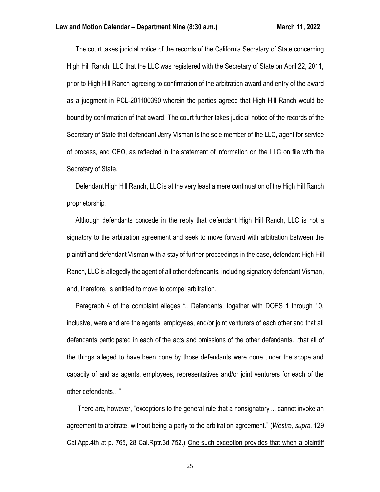The court takes judicial notice of the records of the California Secretary of State concerning High Hill Ranch, LLC that the LLC was registered with the Secretary of State on April 22, 2011, prior to High Hill Ranch agreeing to confirmation of the arbitration award and entry of the award as a judgment in PCL-201100390 wherein the parties agreed that High Hill Ranch would be bound by confirmation of that award. The court further takes judicial notice of the records of the Secretary of State that defendant Jerry Visman is the sole member of the LLC, agent for service of process, and CEO, as reflected in the statement of information on the LLC on file with the Secretary of State.

 Defendant High Hill Ranch, LLC is at the very least a mere continuation of the High Hill Ranch proprietorship.

 Although defendants concede in the reply that defendant High Hill Ranch, LLC is not a signatory to the arbitration agreement and seek to move forward with arbitration between the plaintiff and defendant Visman with a stay of further proceedings in the case, defendant High Hill Ranch, LLC is allegedly the agent of all other defendants, including signatory defendant Visman, and, therefore, is entitled to move to compel arbitration.

 Paragraph 4 of the complaint alleges "…Defendants, together with DOES 1 through 10, inclusive, were and are the agents, employees, and/or joint venturers of each other and that all defendants participated in each of the acts and omissions of the other defendants…that all of the things alleged to have been done by those defendants were done under the scope and capacity of and as agents, employees, representatives and/or joint venturers for each of the other defendants…"

 "There are, however, "exceptions to the general rule that a nonsignatory ... cannot invoke an agreement to arbitrate, without being a party to the arbitration agreement." (*Westra, supra,* 129 Cal.App.4th at p. 765, 28 Cal.Rptr.3d 752.) One such exception provides that when a plaintiff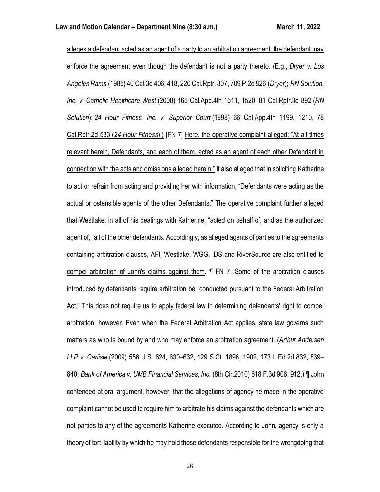alleges a defendant acted as an agent of a party to an arbitration agreement, the defendant may enforce the agreement even though the defendant is not a party thereto. (E.g., *Dryer v. Los Angeles Rams* (1985) 40 Cal.3d 406, 418, 220 Cal.Rptr. 807, 709 P.2d 826 (*Dryer*); *RN Solution, Inc. v. Catholic Healthcare West* (2008) 165 Cal.App.4th 1511, 1520, 81 Cal.Rptr.3d 892 (*RN Solution*); *24 Hour Fitness, Inc. v. Superior Court* (1998) 66 Cal.App.4th 1199, 1210, 78 Cal.Rptr.2d 533 (*24 Hour Fitness*).) [FN 7] Here, the operative complaint alleged: "At all times relevant herein, Defendants, and each of them, acted as an agent of each other Defendant in connection with the acts and omissions alleged herein." It also alleged that in soliciting Katherine to act or refrain from acting and providing her with information, "Defendants were acting as the actual or ostensible agents of the other Defendants." The operative complaint further alleged that Westlake, in all of his dealings with Katherine, "acted on behalf of, and as the authorized agent of," all of the other defendants. Accordingly, as alleged agents of parties to the agreements containing arbitration clauses, AFI, Westlake, WGG, IDS and RiverSource are also entitled to compel arbitration of John's claims against them. ¶ FN 7. Some of the arbitration clauses introduced by defendants require arbitration be "conducted pursuant to the Federal Arbitration Act." This does not require us to apply federal law in determining defendants' right to compel arbitration, however. Even when the Federal Arbitration Act applies, state law governs such matters as who is bound by and who may enforce an arbitration agreement. (*Arthur Andersen LLP v. Carlisle* (2009) 556 U.S. 624, 630–632, 129 S.Ct. 1896, 1902, 173 L.Ed.2d 832, 839– 840; *Bank of America v. UMB Financial Services, Inc.* (8th Cir.2010) 618 F.3d 906, 912.) ¶ John contended at oral argument, however, that the allegations of agency he made in the operative complaint cannot be used to require him to arbitrate his claims against the defendants which are not parties to any of the agreements Katherine executed. According to John, agency is only a theory of tort liability by which he may hold those defendants responsible for the wrongdoing that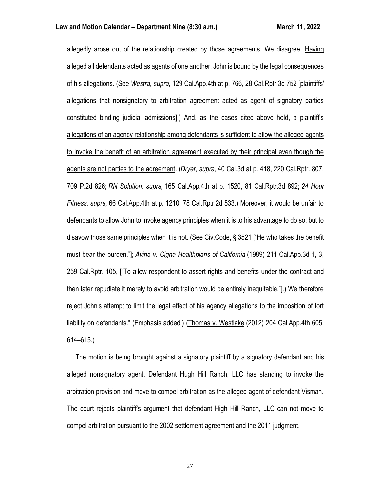allegedly arose out of the relationship created by those agreements. We disagree. Having alleged all defendants acted as agents of one another, John is bound by the legal consequences of his allegations. (See *Westra, supra,* 129 Cal.App.4th at p. 766, 28 Cal.Rptr.3d 752 [plaintiffs' allegations that nonsignatory to arbitration agreement acted as agent of signatory parties constituted binding judicial admissions].) And, as the cases cited above hold, a plaintiff's allegations of an agency relationship among defendants is sufficient to allow the alleged agents to invoke the benefit of an arbitration agreement executed by their principal even though the agents are not parties to the agreement. (*Dryer, supra,* 40 Cal.3d at p. 418, 220 Cal.Rptr. 807, 709 P.2d 826; *RN Solution, supra,* 165 Cal.App.4th at p. 1520, 81 Cal.Rptr.3d 892; *24 Hour Fitness, supra,* 66 Cal.App.4th at p. 1210, 78 Cal.Rptr.2d 533.) Moreover, it would be unfair to defendants to allow John to invoke agency principles when it is to his advantage to do so, but to disavow those same principles when it is not. (See Civ.Code, § 3521 ["He who takes the benefit must bear the burden."]; *Avina v. Cigna Healthplans of California* (1989) 211 Cal.App.3d 1, 3, 259 Cal.Rptr. 105, ["To allow respondent to assert rights and benefits under the contract and then later repudiate it merely to avoid arbitration would be entirely inequitable."].) We therefore reject John's attempt to limit the legal effect of his agency allegations to the imposition of tort liability on defendants." (Emphasis added.) (Thomas v. Westlake (2012) 204 Cal.App.4th 605, 614–615.)

 The motion is being brought against a signatory plaintiff by a signatory defendant and his alleged nonsignatory agent. Defendant Hugh Hill Ranch, LLC has standing to invoke the arbitration provision and move to compel arbitration as the alleged agent of defendant Visman. The court rejects plaintiff's argument that defendant High Hill Ranch, LLC can not move to compel arbitration pursuant to the 2002 settlement agreement and the 2011 judgment.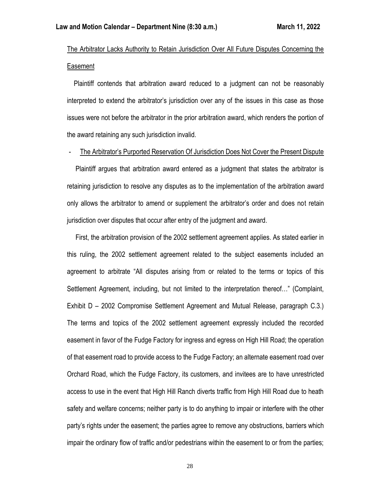# The Arbitrator Lacks Authority to Retain Jurisdiction Over All Future Disputes Concerning the Easement

 Plaintiff contends that arbitration award reduced to a judgment can not be reasonably interpreted to extend the arbitrator's jurisdiction over any of the issues in this case as those issues were not before the arbitrator in the prior arbitration award, which renders the portion of the award retaining any such jurisdiction invalid.

- The Arbitrator's Purported Reservation Of Jurisdiction Does Not Cover the Present Dispute

 Plaintiff argues that arbitration award entered as a judgment that states the arbitrator is retaining jurisdiction to resolve any disputes as to the implementation of the arbitration award only allows the arbitrator to amend or supplement the arbitrator's order and does not retain jurisdiction over disputes that occur after entry of the judgment and award.

 First, the arbitration provision of the 2002 settlement agreement applies. As stated earlier in this ruling, the 2002 settlement agreement related to the subject easements included an agreement to arbitrate "All disputes arising from or related to the terms or topics of this Settlement Agreement, including, but not limited to the interpretation thereof…" (Complaint, Exhibit D – 2002 Compromise Settlement Agreement and Mutual Release, paragraph C.3.) The terms and topics of the 2002 settlement agreement expressly included the recorded easement in favor of the Fudge Factory for ingress and egress on High Hill Road; the operation of that easement road to provide access to the Fudge Factory; an alternate easement road over Orchard Road, which the Fudge Factory, its customers, and invitees are to have unrestricted access to use in the event that High Hill Ranch diverts traffic from High Hill Road due to heath safety and welfare concerns; neither party is to do anything to impair or interfere with the other party's rights under the easement; the parties agree to remove any obstructions, barriers which impair the ordinary flow of traffic and/or pedestrians within the easement to or from the parties;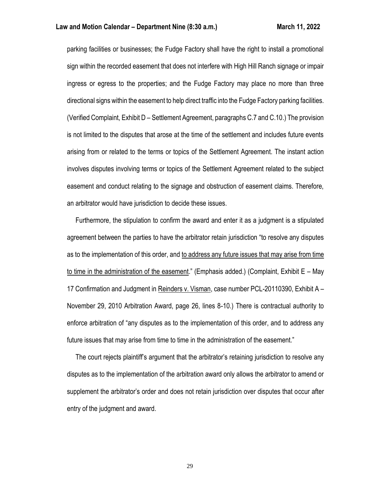parking facilities or businesses; the Fudge Factory shall have the right to install a promotional sign within the recorded easement that does not interfere with High Hill Ranch signage or impair ingress or egress to the properties; and the Fudge Factory may place no more than three directional signs within the easement to help direct traffic into the Fudge Factory parking facilities. (Verified Complaint, Exhibit D – Settlement Agreement, paragraphs C.7 and C.10.) The provision is not limited to the disputes that arose at the time of the settlement and includes future events arising from or related to the terms or topics of the Settlement Agreement. The instant action involves disputes involving terms or topics of the Settlement Agreement related to the subject easement and conduct relating to the signage and obstruction of easement claims. Therefore, an arbitrator would have jurisdiction to decide these issues.

 Furthermore, the stipulation to confirm the award and enter it as a judgment is a stipulated agreement between the parties to have the arbitrator retain jurisdiction "to resolve any disputes as to the implementation of this order, and to address any future issues that may arise from time to time in the administration of the easement." (Emphasis added.) (Complaint, Exhibit E – May 17 Confirmation and Judgment in Reinders v. Visman, case number PCL-20110390, Exhibit A – November 29, 2010 Arbitration Award, page 26, lines 8-10.) There is contractual authority to enforce arbitration of "any disputes as to the implementation of this order, and to address any future issues that may arise from time to time in the administration of the easement."

 The court rejects plaintiff's argument that the arbitrator's retaining jurisdiction to resolve any disputes as to the implementation of the arbitration award only allows the arbitrator to amend or supplement the arbitrator's order and does not retain jurisdiction over disputes that occur after entry of the judgment and award.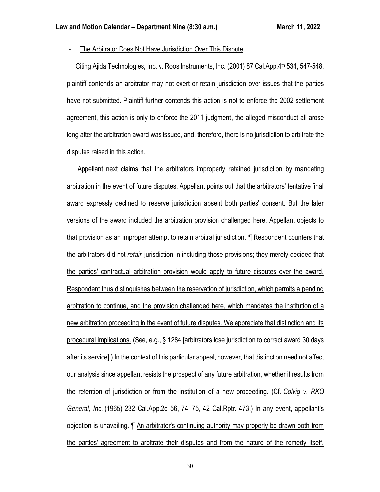- The Arbitrator Does Not Have Jurisdiction Over This Dispute

Citing Ajida Technologies, Inc. v. Roos Instruments, Inc. (2001) 87 Cal.App.4<sup>th</sup> 534, 547-548, plaintiff contends an arbitrator may not exert or retain jurisdiction over issues that the parties have not submitted. Plaintiff further contends this action is not to enforce the 2002 settlement agreement, this action is only to enforce the 2011 judgment, the alleged misconduct all arose long after the arbitration award was issued, and, therefore, there is no jurisdiction to arbitrate the disputes raised in this action.

 "Appellant next claims that the arbitrators improperly retained jurisdiction by mandating arbitration in the event of future disputes. Appellant points out that the arbitrators' tentative final award expressly declined to reserve jurisdiction absent both parties' consent. But the later versions of the award included the arbitration provision challenged here. Appellant objects to that provision as an improper attempt to retain arbitral jurisdiction. ¶ Respondent counters that the arbitrators did not *retain* jurisdiction in including those provisions; they merely decided that the parties' contractual arbitration provision would apply to future disputes over the award. Respondent thus distinguishes between the reservation of jurisdiction, which permits a pending arbitration to continue, and the provision challenged here, which mandates the institution of a new arbitration proceeding in the event of future disputes. We appreciate that distinction and its procedural implications. (See, e.g., § 1284 [arbitrators lose jurisdiction to correct award 30 days after its service].) In the context of this particular appeal, however, that distinction need not affect our analysis since appellant resists the prospect of any future arbitration, whether it results from the retention of jurisdiction or from the institution of a new proceeding. (Cf. *Colvig v. RKO General, Inc.* (1965) 232 Cal.App.2d 56, 74–75, 42 Cal.Rptr. 473.) In any event, appellant's objection is unavailing. ¶ An arbitrator's continuing authority may properly be drawn both from the parties' agreement to arbitrate their disputes and from the nature of the remedy itself.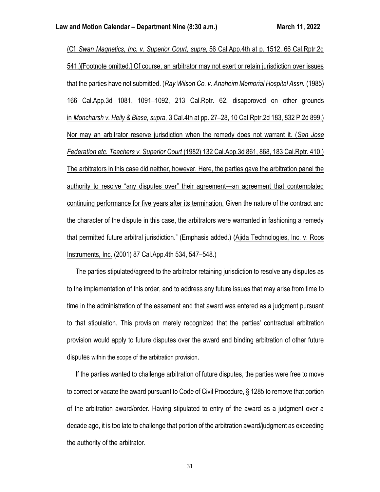(Cf. *Swan Magnetics, Inc. v. Superior Court, supra,* 56 Cal.App.4th at p. 1512, 66 Cal.Rptr.2d 541.)[Footnote omitted.] Of course, an arbitrator may not exert or retain jurisdiction over issues that the parties have not submitted. (*Ray Wilson Co. v. Anaheim Memorial Hospital Assn.* (1985) 166 Cal.App.3d 1081, 1091–1092, 213 Cal.Rptr. 62, disapproved on other grounds in *Moncharsh v. Heily & Blase, supra,* 3 Cal.4th at pp. 27–28, 10 Cal.Rptr.2d 183, 832 P.2d 899.) Nor may an arbitrator reserve jurisdiction when the remedy does not warrant it. (*San Jose Federation etc. Teachers v. Superior Court* (1982) 132 Cal.App.3d 861, 868, 183 Cal.Rptr. 410.) The arbitrators in this case did neither, however. Here, the parties gave the arbitration panel the authority to resolve "any disputes over" their agreement—an agreement that contemplated continuing performance for five years after its termination. Given the nature of the contract and the character of the dispute in this case, the arbitrators were warranted in fashioning a remedy that permitted future arbitral jurisdiction." (Emphasis added.) (Ajida Technologies, Inc. v. Roos Instruments, Inc. (2001) 87 Cal.App.4th 534, 547–548.)

 The parties stipulated/agreed to the arbitrator retaining jurisdiction to resolve any disputes as to the implementation of this order, and to address any future issues that may arise from time to time in the administration of the easement and that award was entered as a judgment pursuant to that stipulation. This provision merely recognized that the parties' contractual arbitration provision would apply to future disputes over the award and binding arbitration of other future disputes within the scope of the arbitration provision.

 If the parties wanted to challenge arbitration of future disputes, the parties were free to move to correct or vacate the award pursuant to Code of Civil Procedure, § 1285 to remove that portion of the arbitration award/order. Having stipulated to entry of the award as a judgment over a decade ago, it is too late to challenge that portion of the arbitration award/judgment as exceeding the authority of the arbitrator.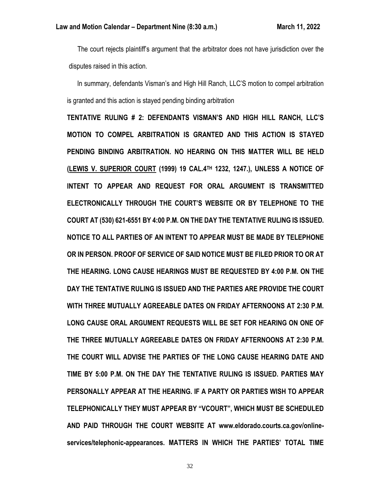The court rejects plaintiff's argument that the arbitrator does not have jurisdiction over the disputes raised in this action.

 In summary, defendants Visman's and High Hill Ranch, LLC'S motion to compel arbitration is granted and this action is stayed pending binding arbitration

**TENTATIVE RULING # 2: DEFENDANTS VISMAN'S AND HIGH HILL RANCH, LLC'S MOTION TO COMPEL ARBITRATION IS GRANTED AND THIS ACTION IS STAYED PENDING BINDING ARBITRATION. NO HEARING ON THIS MATTER WILL BE HELD (LEWIS V. SUPERIOR COURT (1999) 19 CAL.4TH 1232, 1247.), UNLESS A NOTICE OF INTENT TO APPEAR AND REQUEST FOR ORAL ARGUMENT IS TRANSMITTED ELECTRONICALLY THROUGH THE COURT'S WEBSITE OR BY TELEPHONE TO THE COURT AT (530) 621-6551 BY 4:00 P.M. ON THE DAY THE TENTATIVE RULING IS ISSUED. NOTICE TO ALL PARTIES OF AN INTENT TO APPEAR MUST BE MADE BY TELEPHONE OR IN PERSON. PROOF OF SERVICE OF SAID NOTICE MUST BE FILED PRIOR TO OR AT THE HEARING. LONG CAUSE HEARINGS MUST BE REQUESTED BY 4:00 P.M. ON THE DAY THE TENTATIVE RULING IS ISSUED AND THE PARTIES ARE PROVIDE THE COURT WITH THREE MUTUALLY AGREEABLE DATES ON FRIDAY AFTERNOONS AT 2:30 P.M. LONG CAUSE ORAL ARGUMENT REQUESTS WILL BE SET FOR HEARING ON ONE OF THE THREE MUTUALLY AGREEABLE DATES ON FRIDAY AFTERNOONS AT 2:30 P.M. THE COURT WILL ADVISE THE PARTIES OF THE LONG CAUSE HEARING DATE AND TIME BY 5:00 P.M. ON THE DAY THE TENTATIVE RULING IS ISSUED. PARTIES MAY PERSONALLY APPEAR AT THE HEARING. IF A PARTY OR PARTIES WISH TO APPEAR TELEPHONICALLY THEY MUST APPEAR BY "VCOURT", WHICH MUST BE SCHEDULED AND PAID THROUGH THE COURT WEBSITE AT www.eldorado.courts.ca.gov/onlineservices/telephonic-appearances. MATTERS IN WHICH THE PARTIES' TOTAL TIME**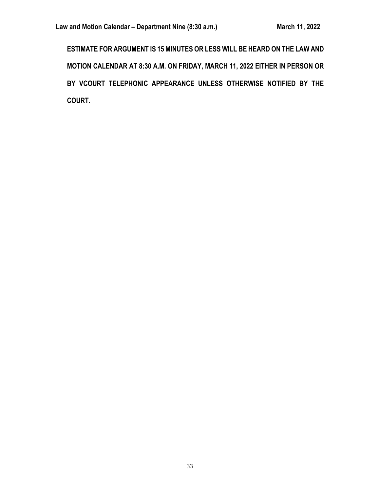**ESTIMATE FOR ARGUMENT IS 15 MINUTES OR LESS WILL BE HEARD ON THE LAW AND MOTION CALENDAR AT 8:30 A.M. ON FRIDAY, MARCH 11, 2022 EITHER IN PERSON OR BY VCOURT TELEPHONIC APPEARANCE UNLESS OTHERWISE NOTIFIED BY THE COURT.**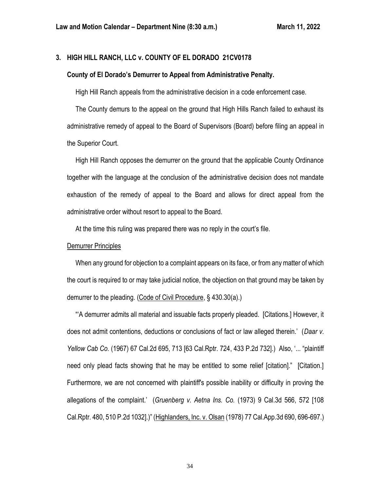## **3. HIGH HILL RANCH, LLC v. COUNTY OF EL DORADO 21CV0178**

## **County of El Dorado's Demurrer to Appeal from Administrative Penalty.**

High Hill Ranch appeals from the administrative decision in a code enforcement case.

 The County demurs to the appeal on the ground that High Hills Ranch failed to exhaust its administrative remedy of appeal to the Board of Supervisors (Board) before filing an appeal in the Superior Court.

 High Hill Ranch opposes the demurrer on the ground that the applicable County Ordinance together with the language at the conclusion of the administrative decision does not mandate exhaustion of the remedy of appeal to the Board and allows for direct appeal from the administrative order without resort to appeal to the Board.

At the time this ruling was prepared there was no reply in the court's file.

#### Demurrer Principles

When any ground for objection to a complaint appears on its face, or from any matter of which the court is required to or may take judicial notice, the objection on that ground may be taken by demurrer to the pleading. (Code of Civil Procedure, § 430.30(a).)

 "'A demurrer admits all material and issuable facts properly pleaded. [Citations.] However, it does not admit contentions, deductions or conclusions of fact or law alleged therein.' (*Daar v. Yellow Cab Co.* (1967) 67 Cal.2d 695, 713 [63 Cal.Rptr. 724, 433 P.2d 732].) Also, '... "plaintiff need only plead facts showing that he may be entitled to some relief [citation]." [Citation.] Furthermore, we are not concerned with plaintiff's possible inability or difficulty in proving the allegations of the complaint.' (*Gruenberg v. Aetna Ins. Co.* (1973) 9 Cal.3d 566, 572 [108 Cal.Rptr. 480, 510 P.2d 1032].)" (Highlanders, Inc. v. Olsan (1978) 77 Cal.App.3d 690, 696-697.)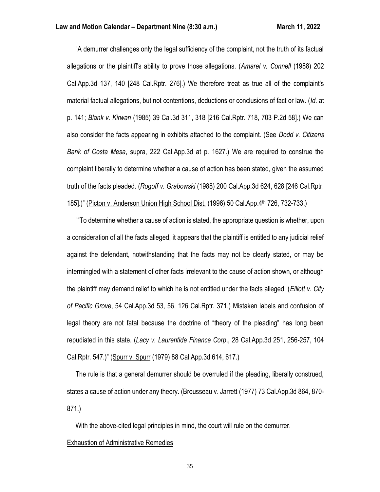"A demurrer challenges only the legal sufficiency of the complaint, not the truth of its factual allegations or the plaintiff's ability to prove those allegations. (*Amarel v. Connell* (1988) 202 Cal.App.3d 137, 140 [248 Cal.Rptr. 276].) We therefore treat as true all of the complaint's material factual allegations, but not contentions, deductions or conclusions of fact or law. (*Id*. at p. 141; *Blank v. Kirwan* (1985) 39 Cal.3d 311, 318 [216 Cal.Rptr. 718, 703 P.2d 58].) We can also consider the facts appearing in exhibits attached to the complaint. (See *Dodd v. Citizens Bank of Costa Mesa*, supra, 222 Cal.App.3d at p. 1627.) We are required to construe the complaint liberally to determine whether a cause of action has been stated, given the assumed truth of the facts pleaded. (*Rogoff v. Grabowski* (1988) 200 Cal.App.3d 624, 628 [246 Cal.Rptr. 185].)" (Picton v. Anderson Union High School Dist. (1996) 50 Cal.App.4th 726, 732-733.)

 ""To determine whether a cause of action is stated, the appropriate question is whether, upon a consideration of all the facts alleged, it appears that the plaintiff is entitled to any judicial relief against the defendant, notwithstanding that the facts may not be clearly stated, or may be intermingled with a statement of other facts irrelevant to the cause of action shown, or although the plaintiff may demand relief to which he is not entitled under the facts alleged. (*Elliott v. City of Pacific Grove*, 54 Cal.App.3d 53, 56, 126 Cal.Rptr. 371.) Mistaken labels and confusion of legal theory are not fatal because the doctrine of "theory of the pleading" has long been repudiated in this state. (*Lacy v. Laurentide Finance Corp*., 28 Cal.App.3d 251, 256-257, 104 Cal.Rptr. 547.)" (Spurr v. Spurr (1979) 88 Cal.App.3d 614, 617.)

 The rule is that a general demurrer should be overruled if the pleading, liberally construed, states a cause of action under any theory. (Brousseau v. Jarrett (1977) 73 Cal.App.3d 864, 870- 871.)

With the above-cited legal principles in mind, the court will rule on the demurrer.

#### Exhaustion of Administrative Remedies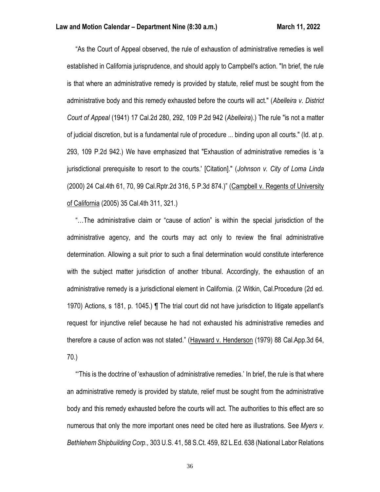"As the Court of Appeal observed, the rule of exhaustion of administrative remedies is well established in California jurisprudence, and should apply to Campbell's action. "In brief, the rule is that where an administrative remedy is provided by statute, relief must be sought from the administrative body and this remedy exhausted before the courts will act." (*Abelleira v. District Court of Appeal* (1941) 17 Cal.2d 280, 292, 109 P.2d 942 (*Abelleira*).) The rule "is not a matter of judicial discretion, but is a fundamental rule of procedure ... binding upon all courts." (Id. at p. 293, 109 P.2d 942.) We have emphasized that "Exhaustion of administrative remedies is 'a jurisdictional prerequisite to resort to the courts.' [Citation]." (*Johnson v. City of Loma Linda*  (2000) 24 Cal.4th 61, 70, 99 Cal.Rptr.2d 316, 5 P.3d 874.)" (Campbell v. Regents of University of California (2005) 35 Cal.4th 311, 321.)

 "…The administrative claim or "cause of action" is within the special jurisdiction of the administrative agency, and the courts may act only to review the final administrative determination. Allowing a suit prior to such a final determination would constitute interference with the subject matter jurisdiction of another tribunal. Accordingly, the exhaustion of an administrative remedy is a jurisdictional element in California. (2 Witkin, Cal.Procedure (2d ed. 1970) Actions, s 181, p. 1045.) ¶ The trial court did not have jurisdiction to litigate appellant's request for injunctive relief because he had not exhausted his administrative remedies and therefore a cause of action was not stated." (Hayward v. Henderson (1979) 88 Cal.App.3d 64, 70.)

 "'This is the doctrine of 'exhaustion of administrative remedies.' In brief, the rule is that where an administrative remedy is provided by statute, relief must be sought from the administrative body and this remedy exhausted before the courts will act. The authorities to this effect are so numerous that only the more important ones need be cited here as illustrations. See *Myers v. Bethlehem Shipbuilding Corp.,* 303 U.S. 41, 58 S.Ct. 459, 82 L.Ed. 638 (National Labor Relations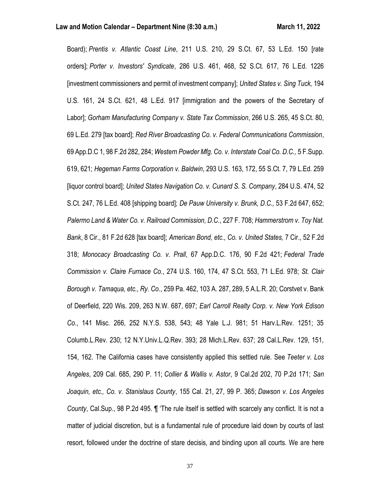Board); *Prentis v. Atlantic Coast Line*, 211 U.S. 210, 29 S.Ct. 67, 53 L.Ed. 150 [rate orders]; *Porter v. Investors' Syndicate*, 286 U.S. 461, 468, 52 S.Ct. 617, 76 L.Ed. 1226 [investment commissioners and permit of investment company]; *United States v. Sing Tuck,* 194 U.S. 161, 24 S.Ct. 621, 48 L.Ed. 917 [immigration and the powers of the Secretary of Labor]; *Gorham Manufacturing Company v. State Tax Commission*, 266 U.S. 265, 45 S.Ct. 80, 69 L.Ed. 279 [tax board]; *Red River Broadcasting Co. v. Federal Communications Commission*, 69 App.D.C 1, 98 F.2d 282, 284; *Western Powder Mfg. Co. v. Interstate Coal Co. D.C.,* 5 F.Supp. 619, 621; *Hegeman Farms Corporation v. Baldwin*, 293 U.S. 163, 172, 55 S.Ct. 7, 79 L.Ed. 259 [liquor control board]; *United States Navigation Co. v. Cunard S. S. Company*, 284 U.S. 474, 52 S.Ct. 247, 76 L.Ed. 408 [shipping board]; *De Pauw University v. Brunk, D.C.,* 53 F.2d 647, 652; *Palermo Land & Water Co. v. Railroad Commission, D.C*., 227 F. 708; *Hammerstrom v. Toy Nat. Bank*, 8 Cir., 81 F.2d 628 [tax board]; *American Bond, etc., Co. v. United States,* 7 Cir., 52 F.2d 318; *Monocacy Broadcasting Co. v. Prall*, 67 App.D.C. 176, 90 F.2d 421; *Federal Trade Commission v. Claire Furnace Co.*, 274 U.S. 160, 174, 47 S.Ct. 553, 71 L.Ed. 978; *St. Clair Borough v. Tamaqua, etc., Ry. Co*., 259 Pa. 462, 103 A. 287, 289, 5 A.L.R. 20; Corstvet v. Bank of Deerfield, 220 Wis. 209, 263 N.W. 687, 697; *Earl Carroll Realty Corp. v. New York Edison Co.*, 141 Misc. 266, 252 N.Y.S. 538, 543; 48 Yale L.J. 981; 51 Harv.L.Rev. 1251; 35 Columb.L.Rev. 230; 12 N.Y.Univ.L.Q.Rev. 393; 28 Mich.L.Rev. 637; 28 Cal.L.Rev. 129, 151, 154, 162. The California cases have consistently applied this settled rule. See *Teeter v. Los Angeles*, 209 Cal. 685, 290 P. 11; *Collier & Wallis v. Astor*, 9 Cal.2d 202, 70 P.2d 171; *San Joaquin, etc., Co. v. Stanislaus County*, 155 Cal. 21, 27, 99 P. 365; *Dawson v. Los Angeles County*, Cal.Sup., 98 P.2d 495. ¶ 'The rule itself is settled with scarcely any conflict. It is not a matter of judicial discretion, but is a fundamental rule of procedure laid down by courts of last resort, followed under the doctrine of stare decisis, and binding upon all courts. We are here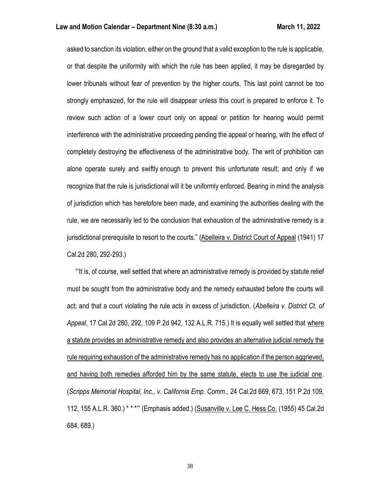asked to sanction its violation, either on the ground that a valid exception to the rule is applicable, or that despite the uniformity with which the rule has been applied, it may be disregarded by lower tribunals without fear of prevention by the higher courts. This last point cannot be too strongly emphasized, for the rule will disappear unless this court is prepared to enforce it. To review such action of a lower court only on appeal or petition for hearing would permit interference with the administrative proceeding pending the appeal or hearing, with the effect of completely destroying the effectiveness of the administrative body. The writ of prohibition can alone operate surely and swiftly enough to prevent this unfortunate result; and only if we recognize that the rule is jurisdictional will it be uniformly enforced. Bearing in mind the analysis of jurisdiction which has heretofore been made, and examining the authorities dealing with the rule, we are necessarily led to the conclusion that exhaustion of the administrative remedy is a jurisdictional prerequisite to resort to the courts." (Abelleira v. District Court of Appeal (1941) 17 Cal.2d 280, 292-293.)

 "'It is, of course, well settled that where an administrative remedy is provided by statute relief must be sought from the administrative body and the remedy exhausted before the courts will act; and that a court violating the rule acts in excess of jurisdiction. (*Abelleira v. District Ct. of Appeal*, 17 Cal.2d 280, 292, 109 P.2d 942, 132 A.L.R. 715.) It is equally well settled that where a statute provides an administrative remedy and also provides an alternative judicial remedy the rule requiring exhaustion of the administrative remedy has no application if the person aggrieved, and having both remedies afforded him by the same statute, elects to use the judicial one. (*Scripps Memorial Hospital, Inc., v. California Emp. Comm*., 24 Cal.2d 669, 673, 151 P.2d 109, 112, 155 A.L.R. 360.) \* \* \*'" (Emphasis added.) (Susanville v. Lee C. Hess Co. (1955) 45 Cal.2d 684, 689.)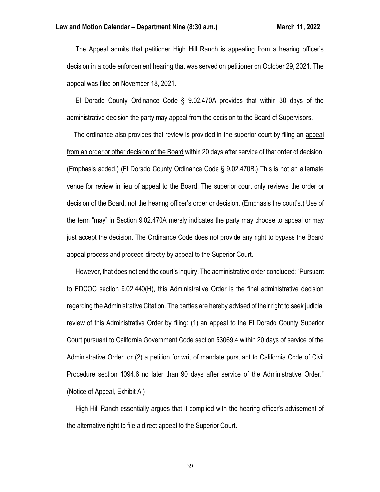The Appeal admits that petitioner High Hill Ranch is appealing from a hearing officer's decision in a code enforcement hearing that was served on petitioner on October 29, 2021. The appeal was filed on November 18, 2021.

 El Dorado County Ordinance Code § 9.02.470A provides that within 30 days of the administrative decision the party may appeal from the decision to the Board of Supervisors.

 The ordinance also provides that review is provided in the superior court by filing an appeal from an order or other decision of the Board within 20 days after service of that order of decision. (Emphasis added.) (El Dorado County Ordinance Code § 9.02.470B.) This is not an alternate venue for review in lieu of appeal to the Board. The superior court only reviews the order or decision of the Board, not the hearing officer's order or decision. (Emphasis the court's.) Use of the term "may" in Section 9.02.470A merely indicates the party may choose to appeal or may just accept the decision. The Ordinance Code does not provide any right to bypass the Board appeal process and proceed directly by appeal to the Superior Court.

 However, that does not end the court's inquiry. The administrative order concluded: "Pursuant to EDCOC section 9.02.440(H), this Administrative Order is the final administrative decision regarding the Administrative Citation. The parties are hereby advised of their right to seek judicial review of this Administrative Order by filing: (1) an appeal to the El Dorado County Superior Court pursuant to California Government Code section 53069.4 within 20 days of service of the Administrative Order; or (2) a petition for writ of mandate pursuant to California Code of Civil Procedure section 1094.6 no later than 90 days after service of the Administrative Order." (Notice of Appeal, Exhibit A.)

 High Hill Ranch essentially argues that it complied with the hearing officer's advisement of the alternative right to file a direct appeal to the Superior Court.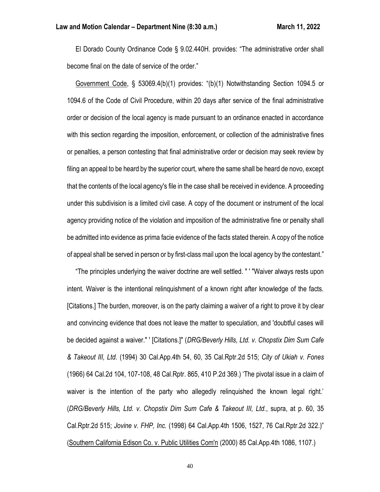El Dorado County Ordinance Code § 9.02.440H. provides: "The administrative order shall become final on the date of service of the order."

 Government Code, § 53069.4(b)(1) provides: "(b)(1) Notwithstanding Section 1094.5 or 1094.6 of the Code of Civil Procedure, within 20 days after service of the final administrative order or decision of the local agency is made pursuant to an ordinance enacted in accordance with this section regarding the imposition, enforcement, or collection of the administrative fines or penalties, a person contesting that final administrative order or decision may seek review by filing an appeal to be heard by the superior court, where the same shall be heard de novo, except that the contents of the local agency's file in the case shall be received in evidence. A proceeding under this subdivision is a limited civil case. A copy of the document or instrument of the local agency providing notice of the violation and imposition of the administrative fine or penalty shall be admitted into evidence as prima facie evidence of the facts stated therein. A copy of the notice of appeal shall be served in person or by first-class mail upon the local agency by the contestant."

 "The principles underlying the waiver doctrine are well settled. " ' "Waiver always rests upon intent. Waiver is the intentional relinquishment of a known right after knowledge of the facts. [Citations.] The burden, moreover, is on the party claiming a waiver of a right to prove it by clear and convincing evidence that does not leave the matter to speculation, and 'doubtful cases will be decided against a waiver." ' [Citations.]" (*DRG/Beverly Hills, Ltd. v. Chopstix Dim Sum Cafe & Takeout III, Ltd.* (1994) 30 Cal.App.4th 54, 60, 35 Cal.Rptr.2d 515; *City of Ukiah v. Fones* (1966) 64 Cal.2d 104, 107-108, 48 Cal.Rptr. 865, 410 P.2d 369.) 'The pivotal issue in a claim of waiver is the intention of the party who allegedly relinquished the known legal right.' (*DRG/Beverly Hills, Ltd. v. Chopstix Dim Sum Cafe & Takeout III, Ltd.*, supra, at p. 60, 35 Cal.Rptr.2d 515; *Jovine v. FHP, Inc.* (1998) 64 Cal.App.4th 1506, 1527, 76 Cal.Rptr.2d 322.)" (Southern California Edison Co. v. Public Utilities Com'n (2000) 85 Cal.App.4th 1086, 1107.)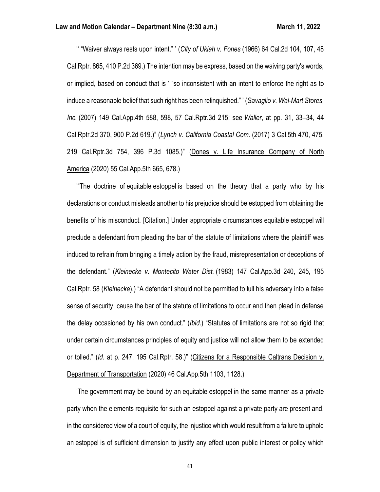"' "Waiver always rests upon intent." ' (*City of Ukiah v. Fones* (1966) 64 Cal.2d 104, 107, 48 Cal.Rptr. 865, 410 P.2d 369.) The intention may be express, based on the waiving party's words, or implied, based on conduct that is ' "so inconsistent with an intent to enforce the right as to induce a reasonable belief that such right has been relinquished." ' (*Savaglio v. Wal-Mart Stores, Inc.* (2007) 149 Cal.App.4th 588, 598, 57 Cal.Rptr.3d 215; see *Waller*, at pp. 31, 33–34, 44 Cal.Rptr.2d 370, 900 P.2d 619.)" (*Lynch v. California Coastal Com.* (2017) 3 Cal.5th 470, 475, 219 Cal.Rptr.3d 754, 396 P.3d 1085.)" (Dones v. Life Insurance Company of North America (2020) 55 Cal.App.5th 665, 678.)

 ""The doctrine of equitable estoppel is based on the theory that a party who by his declarations or conduct misleads another to his prejudice should be estopped from obtaining the benefits of his misconduct. [Citation.] Under appropriate circumstances equitable estoppel will preclude a defendant from pleading the bar of the statute of limitations where the plaintiff was induced to refrain from bringing a timely action by the fraud, misrepresentation or deceptions of the defendant." (*Kleinecke v. Montecito Water Dist.* (1983) 147 Cal.App.3d 240, 245, 195 Cal.Rptr. 58 (*Kleinecke*).) "A defendant should not be permitted to lull his adversary into a false sense of security, cause the bar of the statute of limitations to occur and then plead in defense the delay occasioned by his own conduct." (*Ibid*.) "Statutes of limitations are not so rigid that under certain circumstances principles of equity and justice will not allow them to be extended or tolled." (*Id*. at p. 247, 195 Cal.Rptr. 58.)" (Citizens for a Responsible Caltrans Decision v. Department of Transportation (2020) 46 Cal.App.5th 1103, 1128.)

 "The government may be bound by an equitable estoppel in the same manner as a private party when the elements requisite for such an estoppel against a private party are present and, in the considered view of a court of equity, the injustice which would result from a failure to uphold an estoppel is of sufficient dimension to justify any effect upon public interest or policy which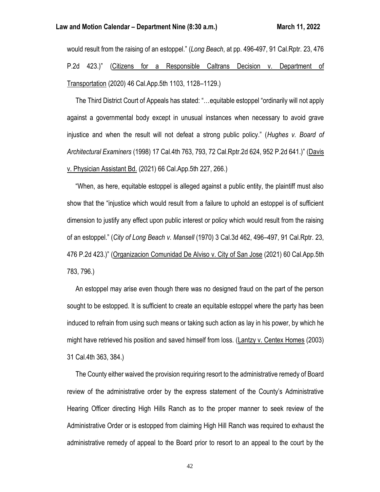would result from the raising of an estoppel." (*Long Beach*, at pp. 496-497, 91 Cal.Rptr. 23, 476 P.2d 423.)" (Citizens for a Responsible Caltrans Decision v. Department of Transportation (2020) 46 Cal.App.5th 1103, 1128–1129.)

 The Third District Court of Appeals has stated: "…equitable estoppel "ordinarily will not apply against a governmental body except in unusual instances when necessary to avoid grave injustice and when the result will not defeat a strong public policy." (*Hughes v. Board of Architectural Examiners* (1998) 17 Cal.4th 763, 793, 72 Cal.Rptr.2d 624, 952 P.2d 641.)" (Davis v. Physician Assistant Bd. (2021) 66 Cal.App.5th 227, 266.)

 "When, as here, equitable estoppel is alleged against a public entity, the plaintiff must also show that the "injustice which would result from a failure to uphold an estoppel is of sufficient dimension to justify any effect upon public interest or policy which would result from the raising of an estoppel." (*City of Long Beach v. Mansell* (1970) 3 Cal.3d 462, 496–497, 91 Cal.Rptr. 23, 476 P.2d 423.)" (Organizacion Comunidad De Alviso v. City of San Jose (2021) 60 Cal.App.5th 783, 796.)

 An estoppel may arise even though there was no designed fraud on the part of the person sought to be estopped. It is sufficient to create an equitable estoppel where the party has been induced to refrain from using such means or taking such action as lay in his power, by which he might have retrieved his position and saved himself from loss. (Lantzy v. Centex Homes (2003) 31 Cal.4th 363, 384.)

 The County either waived the provision requiring resort to the administrative remedy of Board review of the administrative order by the express statement of the County's Administrative Hearing Officer directing High Hills Ranch as to the proper manner to seek review of the Administrative Order or is estopped from claiming High Hill Ranch was required to exhaust the administrative remedy of appeal to the Board prior to resort to an appeal to the court by the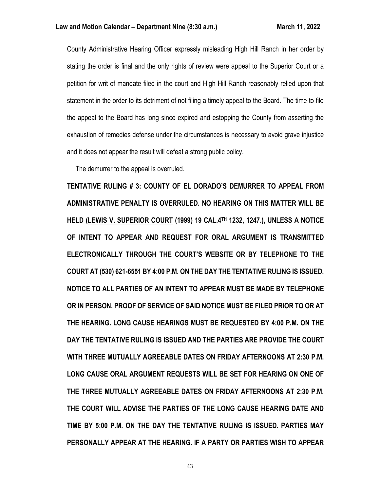County Administrative Hearing Officer expressly misleading High Hill Ranch in her order by stating the order is final and the only rights of review were appeal to the Superior Court or a petition for writ of mandate filed in the court and High Hill Ranch reasonably relied upon that statement in the order to its detriment of not filing a timely appeal to the Board. The time to file the appeal to the Board has long since expired and estopping the County from asserting the exhaustion of remedies defense under the circumstances is necessary to avoid grave injustice and it does not appear the result will defeat a strong public policy.

The demurrer to the appeal is overruled.

**TENTATIVE RULING # 3: COUNTY OF EL DORADO'S DEMURRER TO APPEAL FROM ADMINISTRATIVE PENALTY IS OVERRULED. NO HEARING ON THIS MATTER WILL BE HELD (LEWIS V. SUPERIOR COURT (1999) 19 CAL.4TH 1232, 1247.), UNLESS A NOTICE OF INTENT TO APPEAR AND REQUEST FOR ORAL ARGUMENT IS TRANSMITTED ELECTRONICALLY THROUGH THE COURT'S WEBSITE OR BY TELEPHONE TO THE COURT AT (530) 621-6551 BY 4:00 P.M. ON THE DAY THE TENTATIVE RULING IS ISSUED. NOTICE TO ALL PARTIES OF AN INTENT TO APPEAR MUST BE MADE BY TELEPHONE OR IN PERSON. PROOF OF SERVICE OF SAID NOTICE MUST BE FILED PRIOR TO OR AT THE HEARING. LONG CAUSE HEARINGS MUST BE REQUESTED BY 4:00 P.M. ON THE DAY THE TENTATIVE RULING IS ISSUED AND THE PARTIES ARE PROVIDE THE COURT WITH THREE MUTUALLY AGREEABLE DATES ON FRIDAY AFTERNOONS AT 2:30 P.M. LONG CAUSE ORAL ARGUMENT REQUESTS WILL BE SET FOR HEARING ON ONE OF THE THREE MUTUALLY AGREEABLE DATES ON FRIDAY AFTERNOONS AT 2:30 P.M. THE COURT WILL ADVISE THE PARTIES OF THE LONG CAUSE HEARING DATE AND TIME BY 5:00 P.M. ON THE DAY THE TENTATIVE RULING IS ISSUED. PARTIES MAY PERSONALLY APPEAR AT THE HEARING. IF A PARTY OR PARTIES WISH TO APPEAR**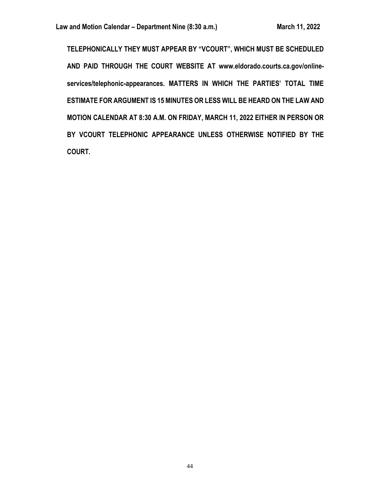**TELEPHONICALLY THEY MUST APPEAR BY "VCOURT", WHICH MUST BE SCHEDULED AND PAID THROUGH THE COURT WEBSITE AT www.eldorado.courts.ca.gov/onlineservices/telephonic-appearances. MATTERS IN WHICH THE PARTIES' TOTAL TIME ESTIMATE FOR ARGUMENT IS 15 MINUTES OR LESS WILL BE HEARD ON THE LAW AND MOTION CALENDAR AT 8:30 A.M. ON FRIDAY, MARCH 11, 2022 EITHER IN PERSON OR BY VCOURT TELEPHONIC APPEARANCE UNLESS OTHERWISE NOTIFIED BY THE COURT.**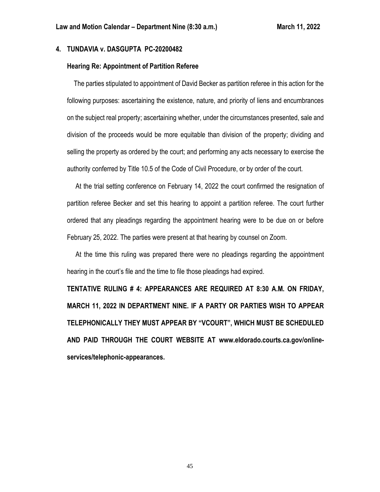# **4. TUNDAVIA v. DASGUPTA PC-20200482**

## **Hearing Re: Appointment of Partition Referee**

 The parties stipulated to appointment of David Becker as partition referee in this action for the following purposes: ascertaining the existence, nature, and priority of liens and encumbrances on the subject real property; ascertaining whether, under the circumstances presented, sale and division of the proceeds would be more equitable than division of the property; dividing and selling the property as ordered by the court; and performing any acts necessary to exercise the authority conferred by Title 10.5 of the Code of Civil Procedure, or by order of the court.

 At the trial setting conference on February 14, 2022 the court confirmed the resignation of partition referee Becker and set this hearing to appoint a partition referee. The court further ordered that any pleadings regarding the appointment hearing were to be due on or before February 25, 2022. The parties were present at that hearing by counsel on Zoom.

 At the time this ruling was prepared there were no pleadings regarding the appointment hearing in the court's file and the time to file those pleadings had expired.

**TENTATIVE RULING # 4: APPEARANCES ARE REQUIRED AT 8:30 A.M. ON FRIDAY, MARCH 11, 2022 IN DEPARTMENT NINE. IF A PARTY OR PARTIES WISH TO APPEAR TELEPHONICALLY THEY MUST APPEAR BY "VCOURT", WHICH MUST BE SCHEDULED AND PAID THROUGH THE COURT WEBSITE AT [www.eldorado.courts.ca.gov/online](http://www.eldorado.courts.ca.gov/online-services/telephonic-appearances)[services/telephonic-appearances.](http://www.eldorado.courts.ca.gov/online-services/telephonic-appearances)**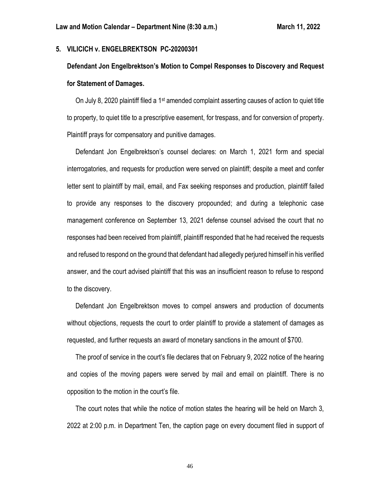## **5. VILICICH v. ENGELBREKTSON PC-20200301**

# **Defendant Jon Engelbrektson's Motion to Compel Responses to Discovery and Request for Statement of Damages.**

On July 8, 2020 plaintiff filed a 1<sup>st</sup> amended complaint asserting causes of action to quiet title to property, to quiet title to a prescriptive easement, for trespass, and for conversion of property. Plaintiff prays for compensatory and punitive damages.

 Defendant Jon Engelbrektson's counsel declares: on March 1, 2021 form and special interrogatories, and requests for production were served on plaintiff; despite a meet and confer letter sent to plaintiff by mail, email, and Fax seeking responses and production, plaintiff failed to provide any responses to the discovery propounded; and during a telephonic case management conference on September 13, 2021 defense counsel advised the court that no responses had been received from plaintiff, plaintiff responded that he had received the requests and refused to respond on the ground that defendant had allegedly perjured himself in his verified answer, and the court advised plaintiff that this was an insufficient reason to refuse to respond to the discovery.

 Defendant Jon Engelbrektson moves to compel answers and production of documents without objections, requests the court to order plaintiff to provide a statement of damages as requested, and further requests an award of monetary sanctions in the amount of \$700.

 The proof of service in the court's file declares that on February 9, 2022 notice of the hearing and copies of the moving papers were served by mail and email on plaintiff. There is no opposition to the motion in the court's file.

 The court notes that while the notice of motion states the hearing will be held on March 3, 2022 at 2:00 p.m. in Department Ten, the caption page on every document filed in support of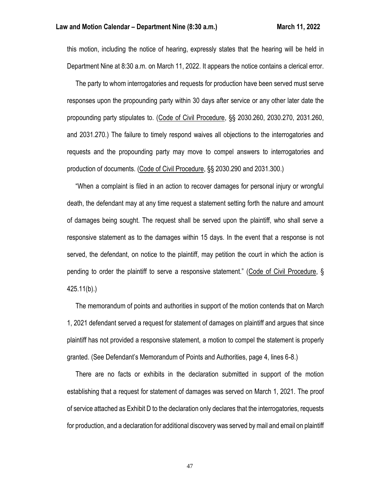this motion, including the notice of hearing, expressly states that the hearing will be held in Department Nine at 8:30 a.m. on March 11, 2022. It appears the notice contains a clerical error.

 The party to whom interrogatories and requests for production have been served must serve responses upon the propounding party within 30 days after service or any other later date the propounding party stipulates to. (Code of Civil Procedure, §§ 2030.260, 2030.270, 2031.260, and 2031.270.) The failure to timely respond waives all objections to the interrogatories and requests and the propounding party may move to compel answers to interrogatories and production of documents. (Code of Civil Procedure, §§ 2030.290 and 2031.300.)

 "When a complaint is filed in an action to recover damages for personal injury or wrongful death, the defendant may at any time request a statement setting forth the nature and amount of damages being sought. The request shall be served upon the plaintiff, who shall serve a responsive statement as to the damages within 15 days. In the event that a response is not served, the defendant, on notice to the plaintiff, may petition the court in which the action is pending to order the plaintiff to serve a responsive statement." (Code of Civil Procedure, § 425.11(b).)

 The memorandum of points and authorities in support of the motion contends that on March 1, 2021 defendant served a request for statement of damages on plaintiff and argues that since plaintiff has not provided a responsive statement, a motion to compel the statement is properly granted. (See Defendant's Memorandum of Points and Authorities, page 4, lines 6-8.)

 There are no facts or exhibits in the declaration submitted in support of the motion establishing that a request for statement of damages was served on March 1, 2021. The proof of service attached as Exhibit D to the declaration only declares that the interrogatories, requests for production, and a declaration for additional discovery was served by mail and email on plaintiff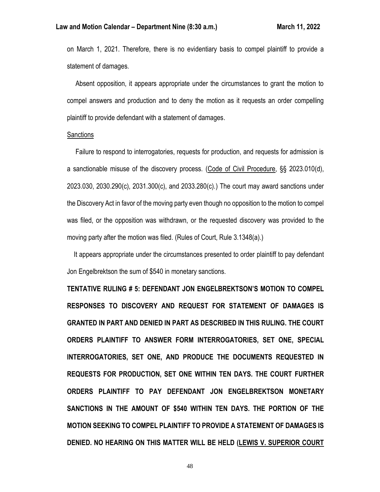on March 1, 2021. Therefore, there is no evidentiary basis to compel plaintiff to provide a statement of damages.

 Absent opposition, it appears appropriate under the circumstances to grant the motion to compel answers and production and to deny the motion as it requests an order compelling plaintiff to provide defendant with a statement of damages.

#### **Sanctions**

 Failure to respond to interrogatories, requests for production, and requests for admission is a sanctionable misuse of the discovery process. (Code of Civil Procedure, §§ 2023.010(d), 2023.030, 2030.290(c), 2031.300(c), and 2033.280(c).) The court may award sanctions under the Discovery Act in favor of the moving party even though no opposition to the motion to compel was filed, or the opposition was withdrawn, or the requested discovery was provided to the moving party after the motion was filed. (Rules of Court, Rule 3.1348(a).)

 It appears appropriate under the circumstances presented to order plaintiff to pay defendant Jon Engelbrektson the sum of \$540 in monetary sanctions.

**TENTATIVE RULING # 5: DEFENDANT JON ENGELBREKTSON'S MOTION TO COMPEL RESPONSES TO DISCOVERY AND REQUEST FOR STATEMENT OF DAMAGES IS GRANTED IN PART AND DENIED IN PART AS DESCRIBED IN THIS RULING. THE COURT ORDERS PLAINTIFF TO ANSWER FORM INTERROGATORIES, SET ONE, SPECIAL INTERROGATORIES, SET ONE, AND PRODUCE THE DOCUMENTS REQUESTED IN REQUESTS FOR PRODUCTION, SET ONE WITHIN TEN DAYS. THE COURT FURTHER ORDERS PLAINTIFF TO PAY DEFENDANT JON ENGELBREKTSON MONETARY SANCTIONS IN THE AMOUNT OF \$540 WITHIN TEN DAYS. THE PORTION OF THE MOTION SEEKING TO COMPEL PLAINTIFF TO PROVIDE A STATEMENT OF DAMAGES IS DENIED. NO HEARING ON THIS MATTER WILL BE HELD (LEWIS V. SUPERIOR COURT**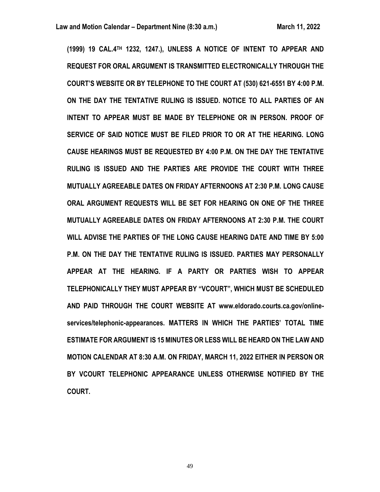**(1999) 19 CAL.4TH 1232, 1247.), UNLESS A NOTICE OF INTENT TO APPEAR AND REQUEST FOR ORAL ARGUMENT IS TRANSMITTED ELECTRONICALLY THROUGH THE COURT'S WEBSITE OR BY TELEPHONE TO THE COURT AT (530) 621-6551 BY 4:00 P.M. ON THE DAY THE TENTATIVE RULING IS ISSUED. NOTICE TO ALL PARTIES OF AN INTENT TO APPEAR MUST BE MADE BY TELEPHONE OR IN PERSON. PROOF OF SERVICE OF SAID NOTICE MUST BE FILED PRIOR TO OR AT THE HEARING. LONG CAUSE HEARINGS MUST BE REQUESTED BY 4:00 P.M. ON THE DAY THE TENTATIVE RULING IS ISSUED AND THE PARTIES ARE PROVIDE THE COURT WITH THREE MUTUALLY AGREEABLE DATES ON FRIDAY AFTERNOONS AT 2:30 P.M. LONG CAUSE ORAL ARGUMENT REQUESTS WILL BE SET FOR HEARING ON ONE OF THE THREE MUTUALLY AGREEABLE DATES ON FRIDAY AFTERNOONS AT 2:30 P.M. THE COURT WILL ADVISE THE PARTIES OF THE LONG CAUSE HEARING DATE AND TIME BY 5:00 P.M. ON THE DAY THE TENTATIVE RULING IS ISSUED. PARTIES MAY PERSONALLY APPEAR AT THE HEARING. IF A PARTY OR PARTIES WISH TO APPEAR TELEPHONICALLY THEY MUST APPEAR BY "VCOURT", WHICH MUST BE SCHEDULED AND PAID THROUGH THE COURT WEBSITE AT www.eldorado.courts.ca.gov/onlineservices/telephonic-appearances. MATTERS IN WHICH THE PARTIES' TOTAL TIME ESTIMATE FOR ARGUMENT IS 15 MINUTES OR LESS WILL BE HEARD ON THE LAW AND MOTION CALENDAR AT 8:30 A.M. ON FRIDAY, MARCH 11, 2022 EITHER IN PERSON OR BY VCOURT TELEPHONIC APPEARANCE UNLESS OTHERWISE NOTIFIED BY THE COURT.**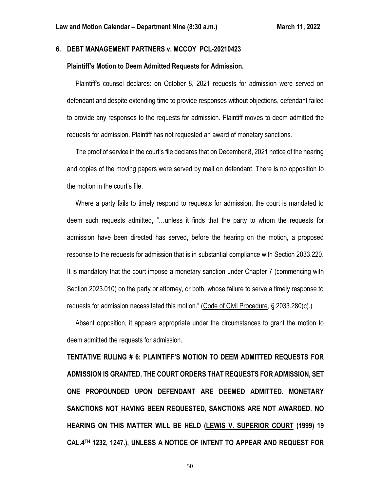# **6. DEBT MANAGEMENT PARTNERS v. MCCOY PCL-20210423**

## **Plaintiff's Motion to Deem Admitted Requests for Admission.**

 Plaintiff's counsel declares: on October 8, 2021 requests for admission were served on defendant and despite extending time to provide responses without objections, defendant failed to provide any responses to the requests for admission. Plaintiff moves to deem admitted the requests for admission. Plaintiff has not requested an award of monetary sanctions.

 The proof of service in the court's file declares that on December 8, 2021 notice of the hearing and copies of the moving papers were served by mail on defendant. There is no opposition to the motion in the court's file.

 Where a party fails to timely respond to requests for admission, the court is mandated to deem such requests admitted, "…unless it finds that the party to whom the requests for admission have been directed has served, before the hearing on the motion, a proposed response to the requests for admission that is in substantial compliance with Section 2033.220. It is mandatory that the court impose a monetary sanction under Chapter 7 (commencing with Section 2023.010) on the party or attorney, or both, whose failure to serve a timely response to requests for admission necessitated this motion." (Code of Civil Procedure, § 2033.280(c).)

 Absent opposition, it appears appropriate under the circumstances to grant the motion to deem admitted the requests for admission.

**TENTATIVE RULING # 6: PLAINTIFF'S MOTION TO DEEM ADMITTED REQUESTS FOR ADMISSION IS GRANTED. THE COURT ORDERS THAT REQUESTS FOR ADMISSION, SET ONE PROPOUNDED UPON DEFENDANT ARE DEEMED ADMITTED. MONETARY SANCTIONS NOT HAVING BEEN REQUESTED, SANCTIONS ARE NOT AWARDED. NO HEARING ON THIS MATTER WILL BE HELD (LEWIS V. SUPERIOR COURT (1999) 19 CAL.4TH 1232, 1247.), UNLESS A NOTICE OF INTENT TO APPEAR AND REQUEST FOR**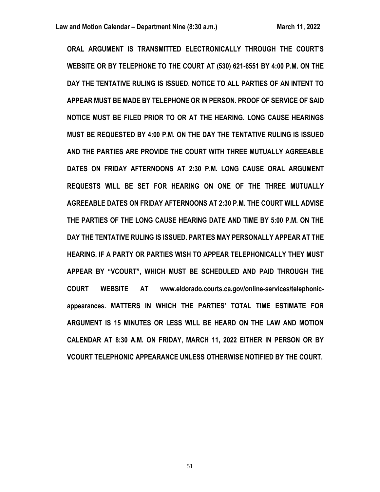**ORAL ARGUMENT IS TRANSMITTED ELECTRONICALLY THROUGH THE COURT'S WEBSITE OR BY TELEPHONE TO THE COURT AT (530) 621-6551 BY 4:00 P.M. ON THE DAY THE TENTATIVE RULING IS ISSUED. NOTICE TO ALL PARTIES OF AN INTENT TO APPEAR MUST BE MADE BY TELEPHONE OR IN PERSON. PROOF OF SERVICE OF SAID NOTICE MUST BE FILED PRIOR TO OR AT THE HEARING. LONG CAUSE HEARINGS MUST BE REQUESTED BY 4:00 P.M. ON THE DAY THE TENTATIVE RULING IS ISSUED AND THE PARTIES ARE PROVIDE THE COURT WITH THREE MUTUALLY AGREEABLE DATES ON FRIDAY AFTERNOONS AT 2:30 P.M. LONG CAUSE ORAL ARGUMENT REQUESTS WILL BE SET FOR HEARING ON ONE OF THE THREE MUTUALLY AGREEABLE DATES ON FRIDAY AFTERNOONS AT 2:30 P.M. THE COURT WILL ADVISE THE PARTIES OF THE LONG CAUSE HEARING DATE AND TIME BY 5:00 P.M. ON THE DAY THE TENTATIVE RULING IS ISSUED. PARTIES MAY PERSONALLY APPEAR AT THE HEARING. IF A PARTY OR PARTIES WISH TO APPEAR TELEPHONICALLY THEY MUST APPEAR BY "VCOURT", WHICH MUST BE SCHEDULED AND PAID THROUGH THE COURT WEBSITE AT www.eldorado.courts.ca.gov/online-services/telephonicappearances. MATTERS IN WHICH THE PARTIES' TOTAL TIME ESTIMATE FOR ARGUMENT IS 15 MINUTES OR LESS WILL BE HEARD ON THE LAW AND MOTION CALENDAR AT 8:30 A.M. ON FRIDAY, MARCH 11, 2022 EITHER IN PERSON OR BY VCOURT TELEPHONIC APPEARANCE UNLESS OTHERWISE NOTIFIED BY THE COURT.**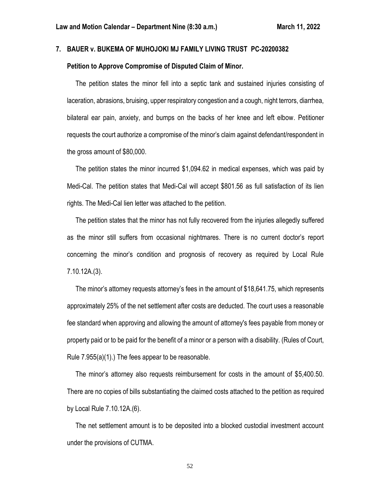# **7. BAUER v. BUKEMA OF MUHOJOKI MJ FAMILY LIVING TRUST PC-20200382**

### **Petition to Approve Compromise of Disputed Claim of Minor.**

 The petition states the minor fell into a septic tank and sustained injuries consisting of laceration, abrasions, bruising, upper respiratory congestion and a cough, night terrors, diarrhea, bilateral ear pain, anxiety, and bumps on the backs of her knee and left elbow. Petitioner requests the court authorize a compromise of the minor's claim against defendant/respondent in the gross amount of \$80,000.

 The petition states the minor incurred \$1,094.62 in medical expenses, which was paid by Medi-Cal. The petition states that Medi-Cal will accept \$801.56 as full satisfaction of its lien rights. The Medi-Cal lien letter was attached to the petition.

 The petition states that the minor has not fully recovered from the injuries allegedly suffered as the minor still suffers from occasional nightmares. There is no current doctor's report concerning the minor's condition and prognosis of recovery as required by Local Rule 7.10.12A.(3).

 The minor's attorney requests attorney's fees in the amount of \$18,641.75, which represents approximately 25% of the net settlement after costs are deducted. The court uses a reasonable fee standard when approving and allowing the amount of attorney's fees payable from money or property paid or to be paid for the benefit of a minor or a person with a disability. (Rules of Court, Rule 7.955(a)(1).) The fees appear to be reasonable.

 The minor's attorney also requests reimbursement for costs in the amount of \$5,400.50. There are no copies of bills substantiating the claimed costs attached to the petition as required by Local Rule 7.10.12A.(6).

 The net settlement amount is to be deposited into a blocked custodial investment account under the provisions of CUTMA.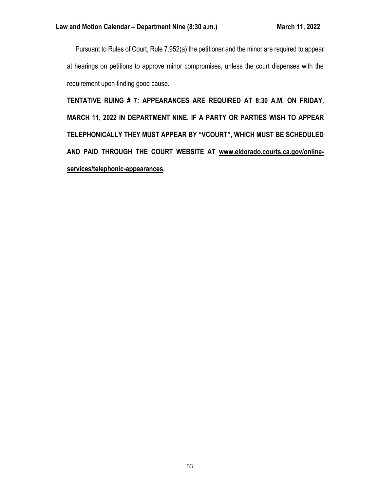Pursuant to Rules of Court, Rule 7.952(a) the petitioner and the minor are required to appear at hearings on petitions to approve minor compromises, unless the court dispenses with the requirement upon finding good cause.

**TENTATIVE RUING # 7: APPEARANCES ARE REQUIRED AT 8:30 A.M. ON FRIDAY, MARCH 11, 2022 IN DEPARTMENT NINE. IF A PARTY OR PARTIES WISH TO APPEAR TELEPHONICALLY THEY MUST APPEAR BY "VCOURT", WHICH MUST BE SCHEDULED AND PAID THROUGH THE COURT WEBSITE AT [www.eldorado.courts.ca.gov/online](http://www.eldorado.courts.ca.gov/online-services/telephonic-appearances)[services/telephonic-appearances.](http://www.eldorado.courts.ca.gov/online-services/telephonic-appearances)**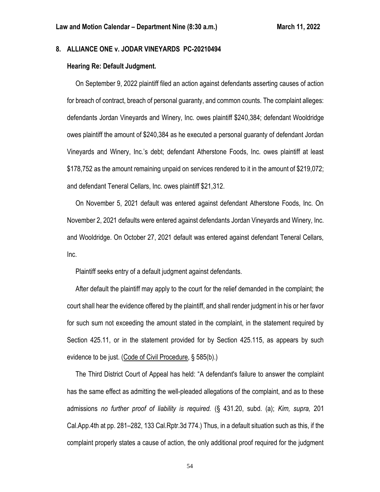# **8. ALLIANCE ONE v. JODAR VINEYARDS PC-20210494**

## **Hearing Re: Default Judgment.**

 On September 9, 2022 plaintiff filed an action against defendants asserting causes of action for breach of contract, breach of personal guaranty, and common counts. The complaint alleges: defendants Jordan Vineyards and Winery, Inc. owes plaintiff \$240,384; defendant Wooldridge owes plaintiff the amount of \$240,384 as he executed a personal guaranty of defendant Jordan Vineyards and Winery, Inc.'s debt; defendant Atherstone Foods, Inc. owes plaintiff at least \$178,752 as the amount remaining unpaid on services rendered to it in the amount of \$219,072; and defendant Teneral Cellars, Inc. owes plaintiff \$21,312.

 On November 5, 2021 default was entered against defendant Atherstone Foods, Inc. On November 2, 2021 defaults were entered against defendants Jordan Vineyards and Winery, Inc. and Wooldridge. On October 27, 2021 default was entered against defendant Teneral Cellars, Inc.

Plaintiff seeks entry of a default judgment against defendants.

 After default the plaintiff may apply to the court for the relief demanded in the complaint; the court shall hear the evidence offered by the plaintiff, and shall render judgment in his or her favor for such sum not exceeding the amount stated in the complaint, in the statement required by Section 425.11, or in the statement provided for by Section 425.115, as appears by such evidence to be just. (Code of Civil Procedure, § 585(b).)

 The Third District Court of Appeal has held: "A defendant's failure to answer the complaint has the same effect as admitting the well-pleaded allegations of the complaint, and as to these admissions *no further proof of liability is required.* (§ 431.20, subd. (a); *Kim, supra,* 201 Cal.App.4th at pp. 281–282, 133 Cal.Rptr.3d 774.) Thus, in a default situation such as this, if the complaint properly states a cause of action, the only additional proof required for the judgment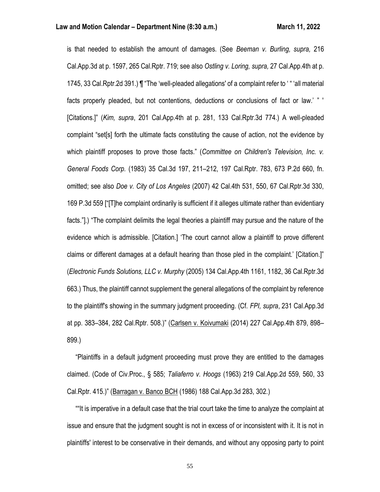is that needed to establish the amount of damages. (See *Beeman v. Burling, supra,* 216 Cal.App.3d at p. 1597, 265 Cal.Rptr. 719; see also *Ostling v. Loring, supra,* 27 Cal.App.4th at p. 1745, 33 Cal.Rptr.2d 391.) ¶ "The 'well-pleaded allegations' of a complaint refer to ' " 'all material facts properly pleaded, but not contentions, deductions or conclusions of fact or law.' " ' [Citations.]" (*Kim, supra*, 201 Cal.App.4th at p. 281, 133 Cal.Rptr.3d 774.) A well-pleaded complaint "set[s] forth the ultimate facts constituting the cause of action, not the evidence by which plaintiff proposes to prove those facts." (*Committee on Children's Television, Inc. v. General Foods Corp.* (1983) 35 Cal.3d 197, 211–212, 197 Cal.Rptr. 783, 673 P.2d 660, fn. omitted; see also *Doe v. City of Los Angeles* (2007) 42 Cal.4th 531, 550, 67 Cal.Rptr.3d 330, 169 P.3d 559 ["[T]he complaint ordinarily is sufficient if it alleges ultimate rather than evidentiary facts."].) "The complaint delimits the legal theories a plaintiff may pursue and the nature of the evidence which is admissible. [Citation.] 'The court cannot allow a plaintiff to prove different claims or different damages at a default hearing than those pled in the complaint.' [Citation.]" (*Electronic Funds Solutions, LLC v. Murphy* (2005) 134 Cal.App.4th 1161, 1182, 36 Cal.Rptr.3d 663.) Thus, the plaintiff cannot supplement the general allegations of the complaint by reference to the plaintiff's showing in the summary judgment proceeding. (Cf. *FPI, supra*, 231 Cal.App.3d at pp. 383–384, 282 Cal.Rptr. 508.)" (Carlsen v. Koivumaki (2014) 227 Cal.App.4th 879, 898– 899.)

 "Plaintiffs in a default judgment proceeding must prove they are entitled to the damages claimed. (Code of Civ.Proc., § 585; *Taliaferro v. Hoogs* (1963) 219 Cal.App.2d 559, 560, 33 Cal.Rptr. 415.)" (Barragan v. Banco BCH (1986) 188 Cal.App.3d 283, 302.)

 ""It is imperative in a default case that the trial court take the time to analyze the complaint at issue and ensure that the judgment sought is not in excess of or inconsistent with it. It is not in plaintiffs' interest to be conservative in their demands, and without any opposing party to point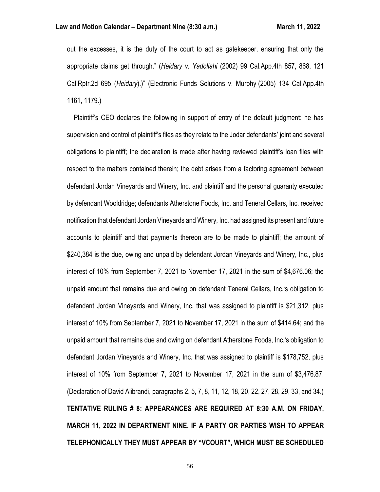out the excesses, it is the duty of the court to act as gatekeeper, ensuring that only the appropriate claims get through." (*Heidary v. Yadollahi* (2002) 99 Cal.App.4th 857, 868, 121 Cal.Rptr.2d 695 (*Heidary*).)" (Electronic Funds Solutions v. Murphy (2005) 134 Cal.App.4th 1161, 1179.)

 Plaintiff's CEO declares the following in support of entry of the default judgment: he has supervision and control of plaintiff's files as they relate to the Jodar defendants' joint and several obligations to plaintiff; the declaration is made after having reviewed plaintiff's loan files with respect to the matters contained therein; the debt arises from a factoring agreement between defendant Jordan Vineyards and Winery, Inc. and plaintiff and the personal guaranty executed by defendant Wooldridge; defendants Atherstone Foods, Inc. and Teneral Cellars, Inc. received notification that defendant Jordan Vineyards and Winery, Inc. had assigned its present and future accounts to plaintiff and that payments thereon are to be made to plaintiff; the amount of \$240,384 is the due, owing and unpaid by defendant Jordan Vineyards and Winery, Inc., plus interest of 10% from September 7, 2021 to November 17, 2021 in the sum of \$4,676.06; the unpaid amount that remains due and owing on defendant Teneral Cellars, Inc.'s obligation to defendant Jordan Vineyards and Winery, Inc. that was assigned to plaintiff is \$21,312, plus interest of 10% from September 7, 2021 to November 17, 2021 in the sum of \$414.64; and the unpaid amount that remains due and owing on defendant Atherstone Foods, Inc.'s obligation to defendant Jordan Vineyards and Winery, Inc. that was assigned to plaintiff is \$178,752, plus interest of 10% from September 7, 2021 to November 17, 2021 in the sum of \$3,476.87. (Declaration of David Alibrandi, paragraphs 2, 5, 7, 8, 11, 12, 18, 20, 22, 27, 28, 29, 33, and 34.) **TENTATIVE RULING # 8: APPEARANCES ARE REQUIRED AT 8:30 A.M. ON FRIDAY, MARCH 11, 2022 IN DEPARTMENT NINE. IF A PARTY OR PARTIES WISH TO APPEAR TELEPHONICALLY THEY MUST APPEAR BY "VCOURT", WHICH MUST BE SCHEDULED**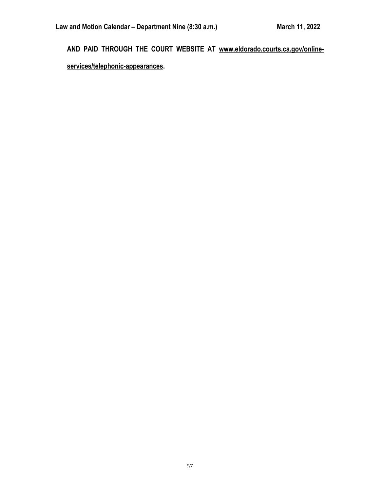**AND PAID THROUGH THE COURT WEBSITE AT [www.eldorado.courts.ca.gov/online-](http://www.eldorado.courts.ca.gov/online-services/telephonic-appearances)**

**[services/telephonic-appearances.](http://www.eldorado.courts.ca.gov/online-services/telephonic-appearances)**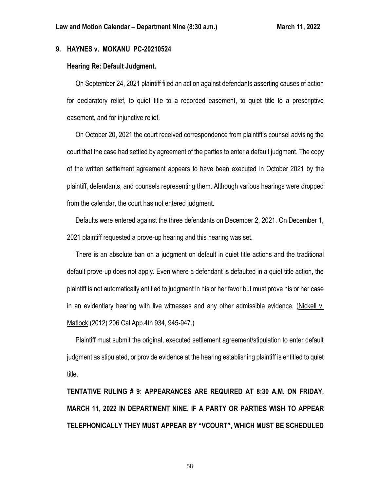# **9. HAYNES v. MOKANU PC-20210524**

## **Hearing Re: Default Judgment.**

 On September 24, 2021 plaintiff filed an action against defendants asserting causes of action for declaratory relief, to quiet title to a recorded easement, to quiet title to a prescriptive easement, and for injunctive relief.

 On October 20, 2021 the court received correspondence from plaintiff's counsel advising the court that the case had settled by agreement of the parties to enter a default judgment. The copy of the written settlement agreement appears to have been executed in October 2021 by the plaintiff, defendants, and counsels representing them. Although various hearings were dropped from the calendar, the court has not entered judgment.

 Defaults were entered against the three defendants on December 2, 2021. On December 1, 2021 plaintiff requested a prove-up hearing and this hearing was set.

 There is an absolute ban on a judgment on default in quiet title actions and the traditional default prove-up does not apply. Even where a defendant is defaulted in a quiet title action, the plaintiff is not automatically entitled to judgment in his or her favor but must prove his or her case in an evidentiary hearing with live witnesses and any other admissible evidence. (Nickell v. Matlock (2012) 206 Cal.App.4th 934, 945-947.)

 Plaintiff must submit the original, executed settlement agreement/stipulation to enter default judgment as stipulated, or provide evidence at the hearing establishing plaintiff is entitled to quiet title.

**TENTATIVE RULING # 9: APPEARANCES ARE REQUIRED AT 8:30 A.M. ON FRIDAY, MARCH 11, 2022 IN DEPARTMENT NINE. IF A PARTY OR PARTIES WISH TO APPEAR TELEPHONICALLY THEY MUST APPEAR BY "VCOURT", WHICH MUST BE SCHEDULED**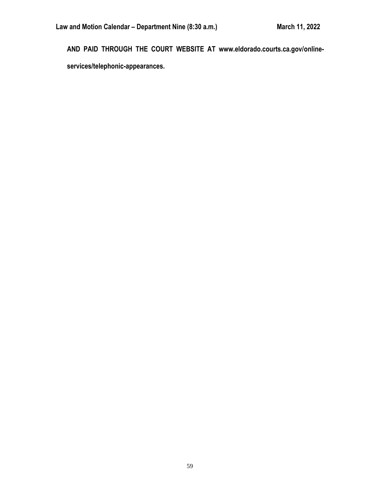**AND PAID THROUGH THE COURT WEBSITE AT www.eldorado.courts.ca.gov/onlineservices/telephonic-appearances.**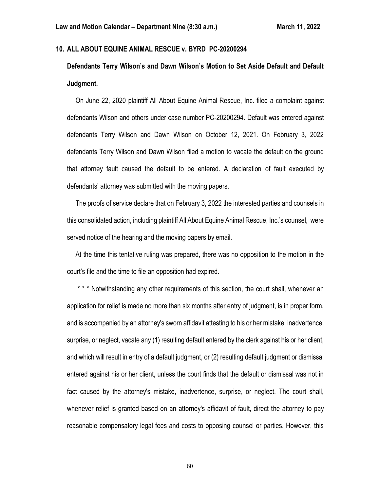# **10. ALL ABOUT EQUINE ANIMAL RESCUE v. BYRD PC-20200294**

**Defendants Terry Wilson's and Dawn Wilson's Motion to Set Aside Default and Default Judgment.**

 On June 22, 2020 plaintiff All About Equine Animal Rescue, Inc. filed a complaint against defendants Wilson and others under case number PC-20200294. Default was entered against defendants Terry Wilson and Dawn Wilson on October 12, 2021. On February 3, 2022 defendants Terry Wilson and Dawn Wilson filed a motion to vacate the default on the ground that attorney fault caused the default to be entered. A declaration of fault executed by defendants' attorney was submitted with the moving papers.

 The proofs of service declare that on February 3, 2022 the interested parties and counsels in this consolidated action, including plaintiff All About Equine Animal Rescue, Inc.'s counsel, were served notice of the hearing and the moving papers by email.

 At the time this tentative ruling was prepared, there was no opposition to the motion in the court's file and the time to file an opposition had expired.

 "\* \* \* Notwithstanding any other requirements of this section, the court shall, whenever an application for relief is made no more than six months after entry of judgment, is in proper form, and is accompanied by an attorney's sworn affidavit attesting to his or her mistake, inadvertence, surprise, or neglect, vacate any (1) resulting default entered by the clerk against his or her client, and which will result in entry of a default judgment, or (2) resulting default judgment or dismissal entered against his or her client, unless the court finds that the default or dismissal was not in fact caused by the attorney's mistake, inadvertence, surprise, or neglect. The court shall, whenever relief is granted based on an attorney's affidavit of fault, direct the attorney to pay reasonable compensatory legal fees and costs to opposing counsel or parties. However, this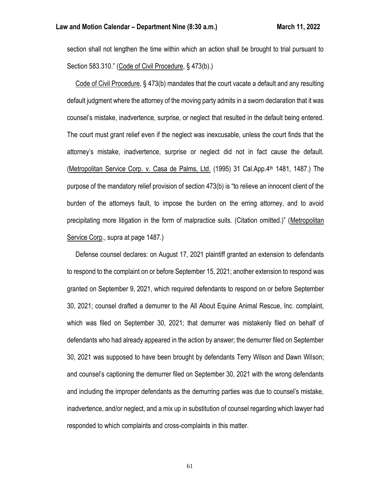section shall not lengthen the time within which an action shall be brought to trial pursuant to Section 583.310." (Code of Civil Procedure, § 473(b).)

 Code of Civil Procedure, § 473(b) mandates that the court vacate a default and any resulting default judgment where the attorney of the moving party admits in a sworn declaration that it was counsel's mistake, inadvertence, surprise, or neglect that resulted in the default being entered. The court must grant relief even if the neglect was inexcusable, unless the court finds that the attorney's mistake, inadvertence, surprise or neglect did not in fact cause the default. (Metropolitan Service Corp. v. Casa de Palms, Ltd. (1995) 31 Cal.App.4th 1481, 1487.) The purpose of the mandatory relief provision of section 473(b) is "to relieve an innocent client of the burden of the attorneys fault, to impose the burden on the erring attorney, and to avoid precipitating more litigation in the form of malpractice suits. (Citation omitted.)" (Metropolitan Service Corp., supra at page 1487.)

 Defense counsel declares: on August 17, 2021 plaintiff granted an extension to defendants to respond to the complaint on or before September 15, 2021; another extension to respond was granted on September 9, 2021, which required defendants to respond on or before September 30, 2021; counsel drafted a demurrer to the All About Equine Animal Rescue, Inc. complaint, which was filed on September 30, 2021; that demurrer was mistakenly filed on behalf of defendants who had already appeared in the action by answer; the demurrer filed on September 30, 2021 was supposed to have been brought by defendants Terry Wilson and Dawn Wilson; and counsel's captioning the demurrer filed on September 30, 2021 with the wrong defendants and including the improper defendants as the demurring parties was due to counsel's mistake, inadvertence, and/or neglect, and a mix up in substitution of counsel regarding which lawyer had responded to which complaints and cross-complaints in this matter.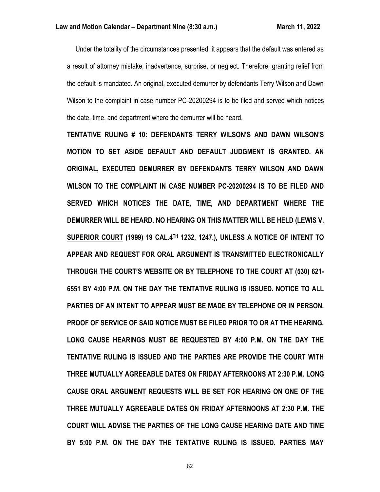Under the totality of the circumstances presented, it appears that the default was entered as a result of attorney mistake, inadvertence, surprise, or neglect. Therefore, granting relief from the default is mandated. An original, executed demurrer by defendants Terry Wilson and Dawn Wilson to the complaint in case number PC-20200294 is to be filed and served which notices the date, time, and department where the demurrer will be heard.

**TENTATIVE RULING # 10: DEFENDANTS TERRY WILSON'S AND DAWN WILSON'S MOTION TO SET ASIDE DEFAULT AND DEFAULT JUDGMENT IS GRANTED. AN ORIGINAL, EXECUTED DEMURRER BY DEFENDANTS TERRY WILSON AND DAWN WILSON TO THE COMPLAINT IN CASE NUMBER PC-20200294 IS TO BE FILED AND SERVED WHICH NOTICES THE DATE, TIME, AND DEPARTMENT WHERE THE DEMURRER WILL BE HEARD. NO HEARING ON THIS MATTER WILL BE HELD (LEWIS V. SUPERIOR COURT (1999) 19 CAL.4TH 1232, 1247.), UNLESS A NOTICE OF INTENT TO APPEAR AND REQUEST FOR ORAL ARGUMENT IS TRANSMITTED ELECTRONICALLY THROUGH THE COURT'S WEBSITE OR BY TELEPHONE TO THE COURT AT (530) 621- 6551 BY 4:00 P.M. ON THE DAY THE TENTATIVE RULING IS ISSUED. NOTICE TO ALL PARTIES OF AN INTENT TO APPEAR MUST BE MADE BY TELEPHONE OR IN PERSON. PROOF OF SERVICE OF SAID NOTICE MUST BE FILED PRIOR TO OR AT THE HEARING. LONG CAUSE HEARINGS MUST BE REQUESTED BY 4:00 P.M. ON THE DAY THE TENTATIVE RULING IS ISSUED AND THE PARTIES ARE PROVIDE THE COURT WITH THREE MUTUALLY AGREEABLE DATES ON FRIDAY AFTERNOONS AT 2:30 P.M. LONG CAUSE ORAL ARGUMENT REQUESTS WILL BE SET FOR HEARING ON ONE OF THE THREE MUTUALLY AGREEABLE DATES ON FRIDAY AFTERNOONS AT 2:30 P.M. THE COURT WILL ADVISE THE PARTIES OF THE LONG CAUSE HEARING DATE AND TIME BY 5:00 P.M. ON THE DAY THE TENTATIVE RULING IS ISSUED. PARTIES MAY**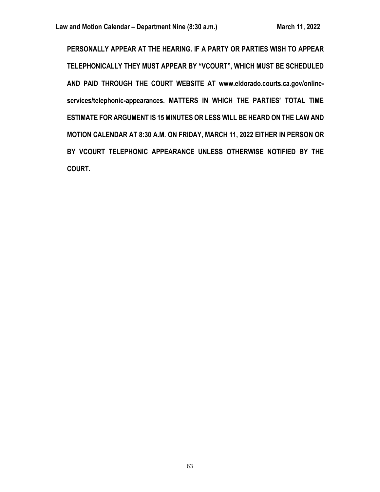**PERSONALLY APPEAR AT THE HEARING. IF A PARTY OR PARTIES WISH TO APPEAR TELEPHONICALLY THEY MUST APPEAR BY "VCOURT", WHICH MUST BE SCHEDULED AND PAID THROUGH THE COURT WEBSITE AT www.eldorado.courts.ca.gov/onlineservices/telephonic-appearances. MATTERS IN WHICH THE PARTIES' TOTAL TIME ESTIMATE FOR ARGUMENT IS 15 MINUTES OR LESS WILL BE HEARD ON THE LAW AND MOTION CALENDAR AT 8:30 A.M. ON FRIDAY, MARCH 11, 2022 EITHER IN PERSON OR BY VCOURT TELEPHONIC APPEARANCE UNLESS OTHERWISE NOTIFIED BY THE COURT.**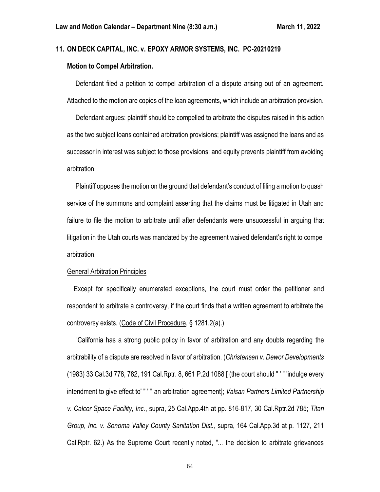## **11. ON DECK CAPITAL, INC. v. EPOXY ARMOR SYSTEMS, INC. PC-20210219**

## **Motion to Compel Arbitration.**

 Defendant filed a petition to compel arbitration of a dispute arising out of an agreement. Attached to the motion are copies of the loan agreements, which include an arbitration provision.

 Defendant argues: plaintiff should be compelled to arbitrate the disputes raised in this action as the two subject loans contained arbitration provisions; plaintiff was assigned the loans and as successor in interest was subject to those provisions; and equity prevents plaintiff from avoiding arbitration.

 Plaintiff opposes the motion on the ground that defendant's conduct of filing a motion to quash service of the summons and complaint asserting that the claims must be litigated in Utah and failure to file the motion to arbitrate until after defendants were unsuccessful in arguing that litigation in the Utah courts was mandated by the agreement waived defendant's right to compel arbitration.

#### General Arbitration Principles

 Except for specifically enumerated exceptions, the court must order the petitioner and respondent to arbitrate a controversy, if the court finds that a written agreement to arbitrate the controversy exists. (Code of Civil Procedure, § 1281.2(a).)

 "California has a strong public policy in favor of arbitration and any doubts regarding the arbitrability of a dispute are resolved in favor of arbitration. (*Christensen v. Dewor Developments* (1983) 33 Cal.3d 778, 782, 191 Cal.Rptr. 8, 661 P.2d 1088 [ (the court should " ' " 'indulge every intendment to give effect to' " ' " an arbitration agreement]; *Valsan Partners Limited Partnership v. Calcor Space Facility, Inc.*, supra, 25 Cal.App.4th at pp. 816-817, 30 Cal.Rptr.2d 785; *Titan Group, Inc. v. Sonoma Valley County Sanitation Dist.*, supra, 164 Cal.App.3d at p. 1127, 211 Cal.Rptr. 62.) As the Supreme Court recently noted, "... the decision to arbitrate grievances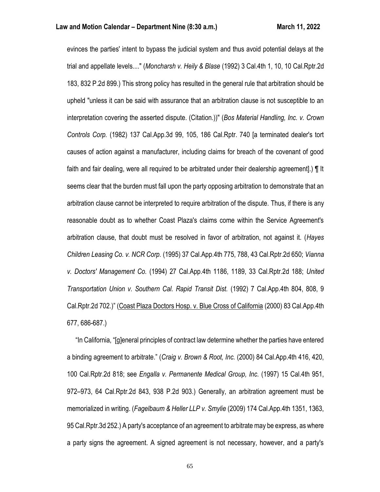evinces the parties' intent to bypass the judicial system and thus avoid potential delays at the trial and appellate levels...." (*Moncharsh v. Heily & Blase* (1992) 3 Cal.4th 1, 10, 10 Cal.Rptr.2d 183, 832 P.2d 899.) This strong policy has resulted in the general rule that arbitration should be upheld "unless it can be said with assurance that an arbitration clause is not susceptible to an interpretation covering the asserted dispute. (Citation.))" (*Bos Material Handling, Inc. v. Crown Controls Corp.* (1982) 137 Cal.App.3d 99, 105, 186 Cal.Rptr. 740 [a terminated dealer's tort causes of action against a manufacturer, including claims for breach of the covenant of good faith and fair dealing, were all required to be arbitrated under their dealership agreement].) ¶ It seems clear that the burden must fall upon the party opposing arbitration to demonstrate that an arbitration clause cannot be interpreted to require arbitration of the dispute. Thus, if there is any reasonable doubt as to whether Coast Plaza's claims come within the Service Agreement's arbitration clause, that doubt must be resolved in favor of arbitration, not against it. (*Hayes Children Leasing Co. v. NCR Corp.* (1995) 37 Cal.App.4th 775, 788, 43 Cal.Rptr.2d 650; *Vianna v. Doctors' Management Co.* (1994) 27 Cal.App.4th 1186, 1189, 33 Cal.Rptr.2d 188; *United Transportation Union v. Southern Cal. Rapid Transit Dist.* (1992) 7 Cal.App.4th 804, 808, 9 Cal.Rptr.2d 702.)" (Coast Plaza Doctors Hosp. v. Blue Cross of California (2000) 83 Cal.App.4th 677, 686-687.)

 "In California, "[g]eneral principles of contract law determine whether the parties have entered a binding agreement to arbitrate." (*Craig v. Brown & Root, Inc.* (2000) 84 Cal.App.4th 416, 420, 100 Cal.Rptr.2d 818; see *Engalla v. Permanente Medical Group, Inc.* (1997) 15 Cal.4th 951, 972–973, 64 Cal.Rptr.2d 843, 938 P.2d 903.) Generally, an arbitration agreement must be memorialized in writing. (*Fagelbaum & Heller LLP v. Smylie* (2009) 174 Cal.App.4th 1351, 1363, 95 Cal.Rptr.3d 252.) A party's acceptance of an agreement to arbitrate may be express, as where a party signs the agreement. A signed agreement is not necessary, however, and a party's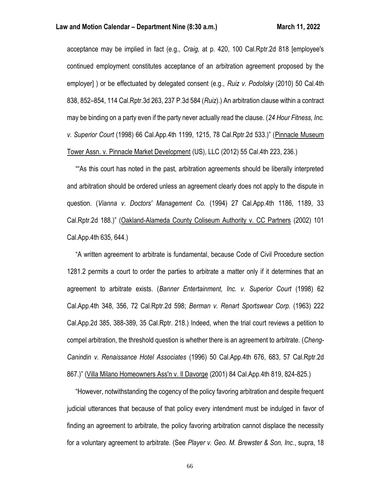acceptance may be implied in fact (e.g., *Craig,* at p. 420, 100 Cal.Rptr.2d 818 [employee's continued employment constitutes acceptance of an arbitration agreement proposed by the employer] ) or be effectuated by delegated consent (e.g., *Ruiz v. Podolsky* (2010) 50 Cal.4th 838, 852–854, 114 Cal.Rptr.3d 263, 237 P.3d 584 (*Ruiz*).) An arbitration clause within a contract may be binding on a party even if the party never actually read the clause. (*24 Hour Fitness, Inc. v. Superior Court* (1998) 66 Cal.App.4th 1199, 1215, 78 Cal.Rptr.2d 533.)" (Pinnacle Museum Tower Assn. v. Pinnacle Market Development (US), LLC (2012) 55 Cal.4th 223, 236.)

 ""As this court has noted in the past, arbitration agreements should be liberally interpreted and arbitration should be ordered unless an agreement clearly does not apply to the dispute in question. (*Vianna v. Doctors' Management Co.* (1994) 27 Cal.App.4th 1186, 1189, 33 Cal.Rptr.2d 188.)" (Oakland-Alameda County Coliseum Authority v. CC Partners (2002) 101 Cal.App.4th 635, 644.)

 "A written agreement to arbitrate is fundamental, because Code of Civil Procedure section 1281.2 permits a court to order the parties to arbitrate a matter only if it determines that an agreement to arbitrate exists. (*Banner Entertainment, Inc. v. Superior Court* (1998) 62 Cal.App.4th 348, 356, 72 Cal.Rptr.2d 598; *Berman v. Renart Sportswear Corp.* (1963) 222 Cal.App.2d 385, 388-389, 35 Cal.Rptr. 218.) Indeed, when the trial court reviews a petition to compel arbitration, the threshold question is whether there is an agreement to arbitrate. (*Cheng-Canindin v. Renaissance Hotel Associates* (1996) 50 Cal.App.4th 676, 683, 57 Cal.Rptr.2d 867.)" (Villa Milano Homeowners Ass'n v. Il Davorge (2001) 84 Cal.App.4th 819, 824-825.)

 "However, notwithstanding the cogency of the policy favoring arbitration and despite frequent judicial utterances that because of that policy every intendment must be indulged in favor of finding an agreement to arbitrate, the policy favoring arbitration cannot displace the necessity for a voluntary agreement to arbitrate. (See *Player v. Geo. M. Brewster & Son, Inc.*, supra, 18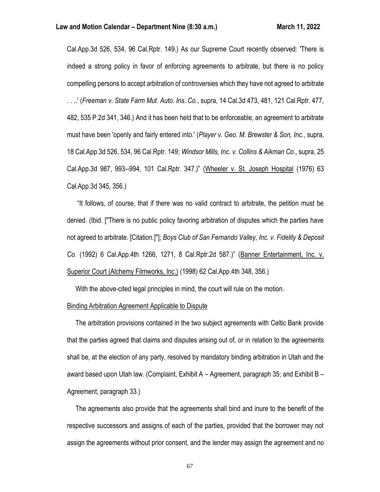Cal.App.3d 526, 534, 96 Cal.Rptr. 149.) As our Supreme Court recently observed: 'There is indeed a strong policy in favor of enforcing agreements to arbitrate, but there is no policy compelling persons to accept arbitration of controversies which they have not agreed to arbitrate . . ..' (*Freeman v. State Farm Mut. Auto. Ins. Co.*, supra, 14 Cal.3d 473, 481, 121 Cal.Rptr. 477, 482, 535 P.2d 341, 346.) And it has been held that to be enforceable, an agreement to arbitrate must have been 'openly and fairly entered into.' (*Player v. Geo. M. Brewster & Son, Inc.*, supra, 18 Cal.App.3d 526, 534, 96 Cal.Rptr. 149; *Windsor Mills, Inc. v. Collins & Aikman Co.*, supra, 25 Cal.App.3d 987, 993--994, 101 Cal.Rptr. 347.)" (Wheeler v. St. Joseph Hospital (1976) 63 Cal.App.3d 345, 356.)

 "It follows, of course, that if there was no valid contract to arbitrate, the petition must be denied. (Ibid. ["There is no public policy favoring arbitration of disputes which the parties have not agreed to arbitrate. [Citation.]"]; *Boys Club of San Fernando Valley, Inc. v. Fidelity & Deposit Co.* (1992) 6 Cal.App.4th 1266, 1271, 8 Cal.Rptr.2d 587.)" (Banner Entertainment, Inc. v. Superior Court (Alchemy Filmworks, Inc.) (1998) 62 Cal.App.4th 348, 356.)

With the above-cited legal principles in mind, the court will rule on the motion.

#### Binding Arbitration Agreement Applicable to Dispute

 The arbitration provisions contained in the two subject agreements with Celtic Bank provide that the parties agreed that claims and disputes arising out of, or in relation to the agreements shall be, at the election of any party, resolved by mandatory binding arbitration in Utah and the award based upon Utah law. (Complaint, Exhibit A – Agreement, paragraph 35; and Exhibit B – Agreement, paragraph 33.)

 The agreements also provide that the agreements shall bind and inure to the benefit of the respective successors and assigns of each of the parties, provided that the borrower may not assign the agreements without prior consent, and the lender may assign the agreement and no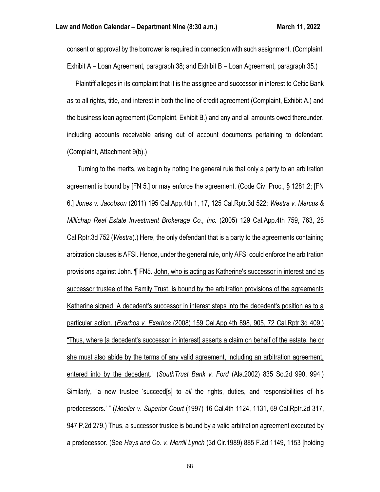consent or approval by the borrower is required in connection with such assignment. (Complaint, Exhibit A – Loan Agreement, paragraph 38; and Exhibit B – Loan Agreement, paragraph 35.)

 Plaintiff alleges in its complaint that it is the assignee and successor in interest to Celtic Bank as to all rights, title, and interest in both the line of credit agreement (Complaint, Exhibit A.) and the business loan agreement (Complaint, Exhibit B.) and any and all amounts owed thereunder, including accounts receivable arising out of account documents pertaining to defendant. (Complaint, Attachment 9(b).)

 "Turning to the merits, we begin by noting the general rule that only a party to an arbitration agreement is bound by [FN 5.] or may enforce the agreement. (Code Civ. Proc., § 1281.2; [FN 6.] *Jones v. Jacobson* (2011) 195 Cal.App.4th 1, 17, 125 Cal.Rptr.3d 522; *Westra v. Marcus & Millichap Real Estate Investment Brokerage Co., Inc.* (2005) 129 Cal.App.4th 759, 763, 28 Cal.Rptr.3d 752 (*Westra*).) Here, the only defendant that is a party to the agreements containing arbitration clauses is AFSI. Hence, under the general rule, only AFSI could enforce the arbitration provisions against John. ¶ FN5. John, who is acting as Katherine's successor in interest and as successor trustee of the Family Trust, is bound by the arbitration provisions of the agreements Katherine signed. A decedent's successor in interest steps into the decedent's position as to a particular action. (*Exarhos v. Exarhos* (2008) 159 Cal.App.4th 898, 905, 72 Cal.Rptr.3d 409.) "Thus, where [a decedent's successor in interest] asserts a claim on behalf of the estate, he or she must also abide by the terms of any valid agreement, including an arbitration agreement, entered into by the decedent." (*SouthTrust Bank v. Ford* (Ala.2002) 835 So.2d 990, 994.) Similarly, "a new trustee 'succeed[s] to *all* the rights, duties, and responsibilities of his predecessors.' " (*Moeller v. Superior Court* (1997) 16 Cal.4th 1124, 1131, 69 Cal.Rptr.2d 317, 947 P.2d 279.) Thus, a successor trustee is bound by a valid arbitration agreement executed by a predecessor. (See *Hays and Co. v. Merrill Lynch* (3d Cir.1989) 885 F.2d 1149, 1153 [holding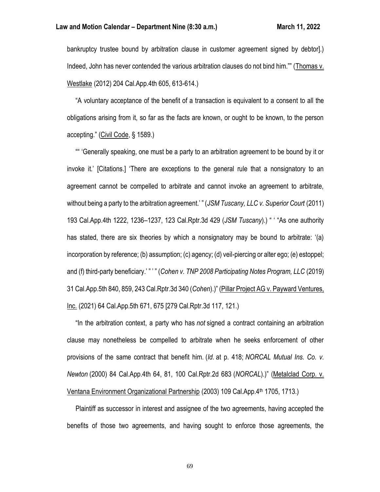bankruptcy trustee bound by arbitration clause in customer agreement signed by debtor].) Indeed, John has never contended the various arbitration clauses do not bind him."" (Thomas v. Westlake (2012) 204 Cal.App.4th 605, 613-614.)

 "A voluntary acceptance of the benefit of a transaction is equivalent to a consent to all the obligations arising from it, so far as the facts are known, or ought to be known, to the person accepting." (Civil Code, § 1589.)

 "" 'Generally speaking, one must be a party to an arbitration agreement to be bound by it or invoke it.' [Citations.] 'There are exceptions to the general rule that a nonsignatory to an agreement cannot be compelled to arbitrate and cannot invoke an agreement to arbitrate, without being a party to the arbitration agreement.' " (*JSMTuscany, LLC v. Superior Court* (2011) 193 Cal.App.4th 1222, 1236–1237, 123 Cal.Rptr.3d 429 (*JSM Tuscany*).) " ' "As one authority has stated, there are six theories by which a nonsignatory may be bound to arbitrate: '(a) incorporation by reference; (b) assumption; (c) agency; (d) veil-piercing or alter ego; (e) estoppel; and (f) third-party beneficiary.' " ' " (*Cohen v. TNP 2008 Participating Notes Program, LLC* (2019) 31 Cal.App.5th 840, 859, 243 Cal.Rptr.3d 340 (*Cohen*).)" (Pillar Project AG v. Payward Ventures, Inc. (2021) 64 Cal.App.5th 671, 675 [279 Cal.Rptr.3d 117, 121.)

 "In the arbitration context, a party who has *not* signed a contract containing an arbitration clause may nonetheless be compelled to arbitrate when he seeks enforcement of other provisions of the same contract that benefit him. (*Id.* at p. 418; *NORCAL Mutual Ins. Co. v. Newton* (2000) 84 Cal.App.4th 64, 81, 100 Cal.Rptr.2d 683 (*NORCAL*).)" (Metalclad Corp. v. Ventana Environment Organizational Partnership (2003) 109 Cal.App.4<sup>th</sup> 1705, 1713.)

 Plaintiff as successor in interest and assignee of the two agreements, having accepted the benefits of those two agreements, and having sought to enforce those agreements, the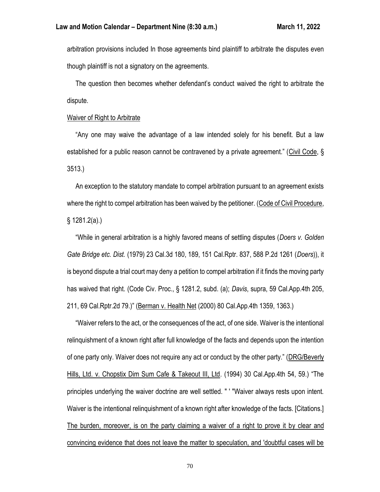arbitration provisions included In those agreements bind plaintiff to arbitrate the disputes even though plaintiff is not a signatory on the agreements.

 The question then becomes whether defendant's conduct waived the right to arbitrate the dispute.

## Waiver of Right to Arbitrate

 "Any one may waive the advantage of a law intended solely for his benefit. But a law established for a public reason cannot be contravened by a private agreement." (Civil Code, § 3513.)

 An exception to the statutory mandate to compel arbitration pursuant to an agreement exists where the right to compel arbitration has been waived by the petitioner. (Code of Civil Procedure, § 1281.2(a).)

 "While in general arbitration is a highly favored means of settling disputes (*Doers v. Golden Gate Bridge etc. Dist.* (1979) 23 Cal.3d 180, 189, 151 Cal.Rptr. 837, 588 P.2d 1261 (*Doers*)), it is beyond dispute a trial court may deny a petition to compel arbitration if it finds the moving party has waived that right. (Code Civ. Proc., § 1281.2, subd. (a); *Davis*, supra, 59 Cal.App.4th 205, 211, 69 Cal.Rptr.2d 79.)" (Berman v. Health Net (2000) 80 Cal.App.4th 1359, 1363.)

 "Waiver refers to the act, or the consequences of the act, of one side. Waiver is the intentional relinquishment of a known right after full knowledge of the facts and depends upon the intention of one party only. Waiver does not require any act or conduct by the other party." (DRG/Beverly Hills, Ltd. v. Chopstix Dim Sum Cafe & Takeout III, Ltd. (1994) 30 Cal.App.4th 54, 59.) "The principles underlying the waiver doctrine are well settled. " ' "Waiver always rests upon intent. Waiver is the intentional relinquishment of a known right after knowledge of the facts. [Citations.] The burden, moreover, is on the party claiming a waiver of a right to prove it by clear and convincing evidence that does not leave the matter to speculation, and 'doubtful cases will be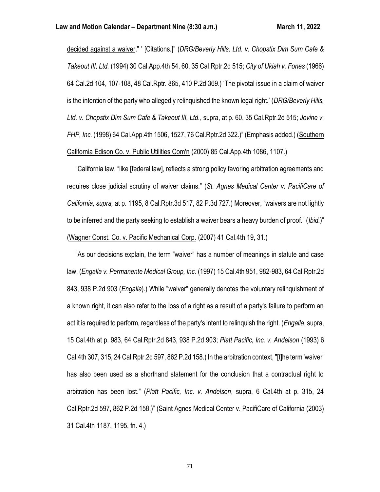decided against a waiver." ' [Citations.]" (*DRG/Beverly Hills, Ltd. v. Chopstix Dim Sum Cafe & Takeout III, Ltd.* (1994) 30 Cal.App.4th 54, 60, 35 Cal.Rptr.2d 515; *City of Ukiah v. Fones* (1966) 64 Cal.2d 104, 107-108, 48 Cal.Rptr. 865, 410 P.2d 369.) 'The pivotal issue in a claim of waiver is the intention of the party who allegedly relinquished the known legal right.' (*DRG/Beverly Hills, Ltd. v. Chopstix Dim Sum Cafe & Takeout III, Ltd.*, supra, at p. 60, 35 Cal.Rptr.2d 515; *Jovine v. FHP, Inc.* (1998) 64 Cal.App.4th 1506, 1527, 76 Cal.Rptr.2d 322.)" (Emphasis added.) (Southern California Edison Co. v. Public Utilities Com'n (2000) 85 Cal.App.4th 1086, 1107.)

 "California law, "like [federal law], reflects a strong policy favoring arbitration agreements and requires close judicial scrutiny of waiver claims." (*St. Agnes Medical Center v. PacifiCare of California, supra,* at p. 1195, 8 Cal.Rptr.3d 517, 82 P.3d 727.) Moreover, "waivers are not lightly to be inferred and the party seeking to establish a waiver bears a heavy burden of proof." (*Ibid.*)" (Wagner Const. Co. v. Pacific Mechanical Corp. (2007) 41 Cal.4th 19, 31.)

 "As our decisions explain, the term "waiver" has a number of meanings in statute and case law. (*Engalla v. Permanente Medical Group, Inc.* (1997) 15 Cal.4th 951, 982-983, 64 Cal.Rptr.2d 843, 938 P.2d 903 (*Engalla*).) While "waiver" generally denotes the voluntary relinquishment of a known right, it can also refer to the loss of a right as a result of a party's failure to perform an act it is required to perform, regardless of the party's intent to relinquish the right. (*Engalla*, supra, 15 Cal.4th at p. 983, 64 Cal.Rptr.2d 843, 938 P.2d 903; *Platt Pacific, Inc. v. Andelson* (1993) 6 Cal.4th 307, 315, 24 Cal.Rptr.2d 597, 862 P.2d 158.) In the arbitration context, "[t]he term 'waiver' has also been used as a shorthand statement for the conclusion that a contractual right to arbitration has been lost." (*Platt Pacific, Inc. v. Andelson*, supra, 6 Cal.4th at p. 315, 24 Cal.Rptr.2d 597, 862 P.2d 158.)" (Saint Agnes Medical Center v. PacifiCare of California (2003) 31 Cal.4th 1187, 1195, fn. 4.)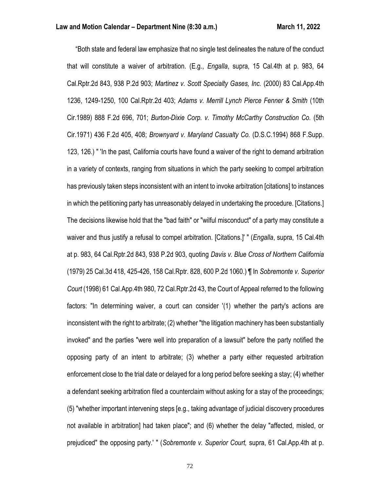"Both state and federal law emphasize that no single test delineates the nature of the conduct that will constitute a waiver of arbitration. (E.g., *Engalla*, supra, 15 Cal.4th at p. 983, 64 Cal.Rptr.2d 843, 938 P.2d 903; *Martinez v. Scott Specialty Gases, Inc.* (2000) 83 Cal.App.4th 1236, 1249-1250, 100 Cal.Rptr.2d 403; *Adams v. Merrill Lynch Pierce Fenner & Smith* (10th Cir.1989) 888 F.2d 696, 701; *Burton-Dixie Corp. v. Timothy McCarthy Construction Co.* (5th Cir.1971) 436 F.2d 405, 408; *Brownyard v. Maryland Casualty Co.* (D.S.C.1994) 868 F.Supp. 123, 126.) " 'In the past, California courts have found a waiver of the right to demand arbitration in a variety of contexts, ranging from situations in which the party seeking to compel arbitration has previously taken steps inconsistent with an intent to invoke arbitration [citations] to instances in which the petitioning party has unreasonably delayed in undertaking the procedure. [Citations.] The decisions likewise hold that the "bad faith" or "wilful misconduct" of a party may constitute a waiver and thus justify a refusal to compel arbitration. [Citations.]' " (*Engalla*, supra, 15 Cal.4th at p. 983, 64 Cal.Rptr.2d 843, 938 P.2d 903, quoting *Davis v. Blue Cross of Northern California* (1979) 25 Cal.3d 418, 425-426, 158 Cal.Rptr. 828, 600 P.2d 1060.) ¶ In *Sobremonte v. Superior Court* (1998) 61 Cal.App.4th 980, 72 Cal.Rptr.2d 43, the Court of Appeal referred to the following factors: "In determining waiver, a court can consider '(1) whether the party's actions are inconsistent with the right to arbitrate; (2) whether "the litigation machinery has been substantially invoked" and the parties "were well into preparation of a lawsuit" before the party notified the opposing party of an intent to arbitrate; (3) whether a party either requested arbitration enforcement close to the trial date or delayed for a long period before seeking a stay; (4) whether a defendant seeking arbitration filed a counterclaim without asking for a stay of the proceedings; (5) "whether important intervening steps [e.g., taking advantage of judicial discovery procedures not available in arbitration] had taken place"; and (6) whether the delay "affected, misled, or prejudiced" the opposing party.' " (*Sobremonte v. Superior Court,* supra, 61 Cal.App.4th at p.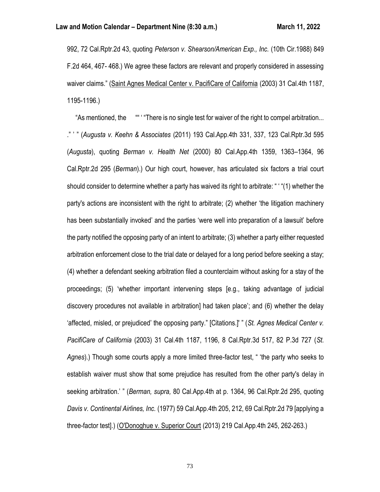992, 72 Cal.Rptr.2d 43, quoting *Peterson v. Shearson/American Exp., Inc.* (10th Cir.1988) 849 F.2d 464, 467- 468.) We agree these factors are relevant and properly considered in assessing waiver claims." (Saint Agnes Medical Center v. PacifiCare of California (2003) 31 Cal.4th 1187, 1195-1196.)

 "As mentioned, the "" ' "There is no single test for waiver of the right to compel arbitration... ." ' " (*Augusta v. Keehn & Associates* (2011) 193 Cal.App.4th 331, 337, 123 Cal.Rptr.3d 595 (*Augusta*), quoting *Berman v. Health Net* (2000) 80 Cal.App.4th 1359, 1363–1364, 96 Cal.Rptr.2d 295 (*Berman*).) Our high court, however, has articulated six factors a trial court should consider to determine whether a party has waived its right to arbitrate: " ' "(1) whether the party's actions are inconsistent with the right to arbitrate; (2) whether 'the litigation machinery has been substantially invoked' and the parties 'were well into preparation of a lawsuit' before the party notified the opposing party of an intent to arbitrate; (3) whether a party either requested arbitration enforcement close to the trial date or delayed for a long period before seeking a stay; (4) whether a defendant seeking arbitration filed a counterclaim without asking for a stay of the proceedings; (5) 'whether important intervening steps [e.g., taking advantage of judicial discovery procedures not available in arbitration] had taken place'; and (6) whether the delay 'affected, misled, or prejudiced' the opposing party." [Citations.]' " (*St. Agnes Medical Center v. PacifiCare of California* (2003) 31 Cal.4th 1187, 1196, 8 Cal.Rptr.3d 517, 82 P.3d 727 (*St. Agnes*).) Though some courts apply a more limited three-factor test, " 'the party who seeks to establish waiver must show that some prejudice has resulted from the other party's delay in seeking arbitration.' " (*Berman, supra,* 80 Cal.App.4th at p. 1364, 96 Cal.Rptr.2d 295, quoting *Davis v. Continental Airlines, Inc.* (1977) 59 Cal.App.4th 205, 212, 69 Cal.Rptr.2d 79 [applying a three-factor test].) (O'Donoghue v. Superior Court (2013) 219 Cal.App.4th 245, 262-263.)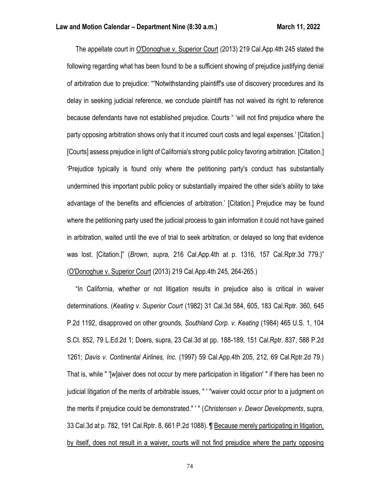The appellate court in O'Donoghue v. Superior Court (2013) 219 Cal.App.4th 245 stated the following regarding what has been found to be a sufficient showing of prejudice justifying denial of arbitration due to prejudice: ""Notwithstanding plaintiff's use of discovery procedures and its delay in seeking judicial reference, we conclude plaintiff has not waived its right to reference because defendants have not established prejudice. Courts " 'will not find prejudice where the party opposing arbitration shows only that it incurred court costs and legal expenses.' [Citation.] [Courts] assess prejudice in light of California's strong public policy favoring arbitration. [Citation.] 'Prejudice typically is found only where the petitioning party's conduct has substantially undermined this important public policy or substantially impaired the other side's ability to take advantage of the benefits and efficiencies of arbitration.' [Citation.] Prejudice may be found where the petitioning party used the judicial process to gain information it could not have gained in arbitration, waited until the eve of trial to seek arbitration, or delayed so long that evidence was lost. [Citation.]" (*Brown, supra,* 216 Cal.App.4th at p. 1316, 157 Cal.Rptr.3d 779.)" (O'Donoghue v. Superior Court (2013) 219 Cal.App.4th 245, 264-265.)

 "In California, whether or not litigation results in prejudice also is critical in waiver determinations. (*Keating v. Superior Court* (1982) 31 Cal.3d 584, 605, 183 Cal.Rptr. 360, 645 P.2d 1192, disapproved on other grounds, *Southland Corp. v. Keating* (1984) 465 U.S. 1, 104 S.Ct. 852, 79 L.Ed.2d 1; Doers, supra, 23 Cal.3d at pp. 188-189, 151 Cal.Rptr. 837, 588 P.2d 1261; *Davis v. Continental Airlines, Inc.* (1997) 59 Cal.App.4th 205, 212, 69 Cal.Rptr.2d 79.) That is, while " '[w]aiver does not occur by mere participation in litigation' " if there has been no judicial litigation of the merits of arbitrable issues, " ' "waiver could occur prior to a judgment on the merits if prejudice could be demonstrated." ' " (*Christensen v. Dewor Developments*, supra, 33 Cal.3d at p. 782, 191 Cal.Rptr. 8, 661 P.2d 1088). ¶ Because merely participating in litigation, by itself, does not result in a waiver, courts will not find prejudice where the party opposing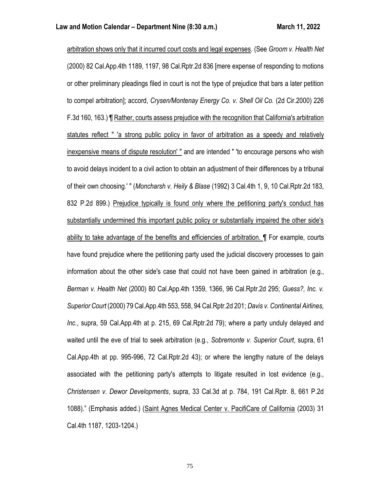arbitration shows only that it incurred court costs and legal expenses. (See *Groom v. Health Net* (2000) 82 Cal.App.4th 1189, 1197, 98 Cal.Rptr.2d 836 [mere expense of responding to motions or other preliminary pleadings filed in court is not the type of prejudice that bars a later petition to compel arbitration]; accord, *Crysen/Montenay Energy Co. v. Shell Oil Co.* (2d Cir.2000) 226 F.3d 160, 163.) ¶ Rather, courts assess prejudice with the recognition that California's arbitration statutes reflect " 'a strong public policy in favor of arbitration as a speedy and relatively inexpensive means of dispute resolution' " and are intended " 'to encourage persons who wish to avoid delays incident to a civil action to obtain an adjustment of their differences by a tribunal of their own choosing.' " (*Moncharsh v. Heily & Blase* (1992) 3 Cal.4th 1, 9, 10 Cal.Rptr.2d 183, 832 P.2d 899.) Prejudice typically is found only where the petitioning party's conduct has substantially undermined this important public policy or substantially impaired the other side's ability to take advantage of the benefits and efficiencies of arbitration. ¶ For example, courts have found prejudice where the petitioning party used the judicial discovery processes to gain information about the other side's case that could not have been gained in arbitration (e.g., *Berman v. Health Net* (2000) 80 Cal.App.4th 1359, 1366, 96 Cal.Rptr.2d 295; *Guess?, Inc. v. Superior Court* (2000) 79 Cal.App.4th 553, 558, 94 Cal.Rptr.2d 201; *Davis v. Continental Airlines, Inc.*, supra, 59 Cal.App.4th at p. 215, 69 Cal.Rptr.2d 79); where a party unduly delayed and waited until the eve of trial to seek arbitration (e.g., *Sobremonte v. Superior Court*, supra, 61 Cal.App.4th at pp. 995-996, 72 Cal.Rptr.2d 43); or where the lengthy nature of the delays associated with the petitioning party's attempts to litigate resulted in lost evidence (e.g., *Christensen v. Dewor Developments*, supra, 33 Cal.3d at p. 784, 191 Cal.Rptr. 8, 661 P.2d 1088)." (Emphasis added.) (Saint Agnes Medical Center v. PacifiCare of California (2003) 31 Cal.4th 1187, 1203-1204.)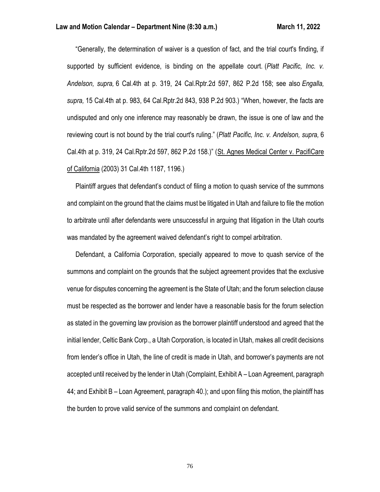"Generally, the determination of waiver is a question of fact, and the trial court's finding, if supported by sufficient evidence, is binding on the appellate court. (*Platt Pacific, Inc. v. Andelson, supra,* 6 Cal.4th at p. 319, 24 Cal.Rptr.2d 597, 862 P.2d 158; see also *Engalla, supra,* 15 Cal.4th at p. 983, 64 Cal.Rptr.2d 843, 938 P.2d 903.) "When, however, the facts are undisputed and only one inference may reasonably be drawn, the issue is one of law and the reviewing court is not bound by the trial court's ruling." (*Platt Pacific, Inc. v. Andelson, supra,* 6 Cal.4th at p. 319, 24 Cal.Rptr.2d 597, 862 P.2d 158.)" (St. Agnes Medical Center v. PacifiCare of California (2003) 31 Cal.4th 1187, 1196.)

 Plaintiff argues that defendant's conduct of filing a motion to quash service of the summons and complaint on the ground that the claims must be litigated in Utah and failure to file the motion to arbitrate until after defendants were unsuccessful in arguing that litigation in the Utah courts was mandated by the agreement waived defendant's right to compel arbitration.

 Defendant, a California Corporation, specially appeared to move to quash service of the summons and complaint on the grounds that the subject agreement provides that the exclusive venue for disputes concerning the agreement is the State of Utah; and the forum selection clause must be respected as the borrower and lender have a reasonable basis for the forum selection as stated in the governing law provision as the borrower plaintiff understood and agreed that the initial lender, Celtic Bank Corp., a Utah Corporation, is located in Utah, makes all credit decisions from lender's office in Utah, the line of credit is made in Utah, and borrower's payments are not accepted until received by the lender in Utah (Complaint, Exhibit A – Loan Agreement, paragraph 44; and Exhibit B – Loan Agreement, paragraph 40.); and upon filing this motion, the plaintiff has the burden to prove valid service of the summons and complaint on defendant.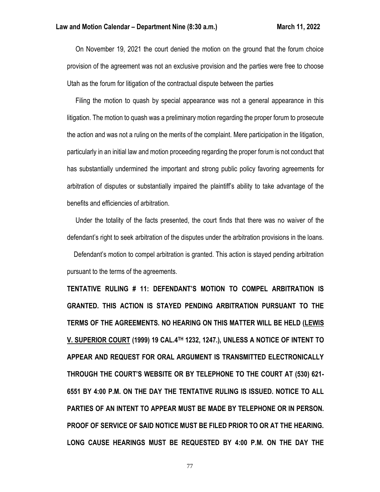On November 19, 2021 the court denied the motion on the ground that the forum choice provision of the agreement was not an exclusive provision and the parties were free to choose Utah as the forum for litigation of the contractual dispute between the parties

 Filing the motion to quash by special appearance was not a general appearance in this litigation. The motion to quash was a preliminary motion regarding the proper forum to prosecute the action and was not a ruling on the merits of the complaint. Mere participation in the litigation, particularly in an initial law and motion proceeding regarding the proper forum is not conduct that has substantially undermined the important and strong public policy favoring agreements for arbitration of disputes or substantially impaired the plaintiff's ability to take advantage of the benefits and efficiencies of arbitration.

 Under the totality of the facts presented, the court finds that there was no waiver of the defendant's right to seek arbitration of the disputes under the arbitration provisions in the loans.

 Defendant's motion to compel arbitration is granted. This action is stayed pending arbitration pursuant to the terms of the agreements.

**TENTATIVE RULING # 11: DEFENDANT'S MOTION TO COMPEL ARBITRATION IS GRANTED. THIS ACTION IS STAYED PENDING ARBITRATION PURSUANT TO THE TERMS OF THE AGREEMENTS. NO HEARING ON THIS MATTER WILL BE HELD (LEWIS V. SUPERIOR COURT (1999) 19 CAL.4TH 1232, 1247.), UNLESS A NOTICE OF INTENT TO APPEAR AND REQUEST FOR ORAL ARGUMENT IS TRANSMITTED ELECTRONICALLY THROUGH THE COURT'S WEBSITE OR BY TELEPHONE TO THE COURT AT (530) 621- 6551 BY 4:00 P.M. ON THE DAY THE TENTATIVE RULING IS ISSUED. NOTICE TO ALL PARTIES OF AN INTENT TO APPEAR MUST BE MADE BY TELEPHONE OR IN PERSON. PROOF OF SERVICE OF SAID NOTICE MUST BE FILED PRIOR TO OR AT THE HEARING. LONG CAUSE HEARINGS MUST BE REQUESTED BY 4:00 P.M. ON THE DAY THE**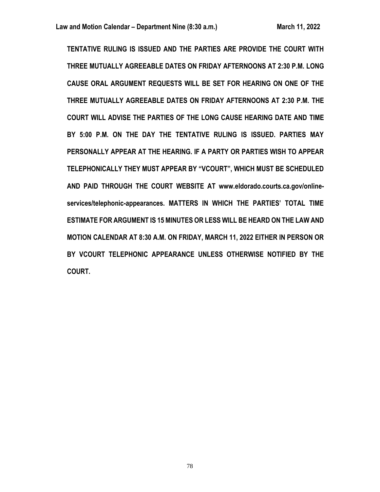**TENTATIVE RULING IS ISSUED AND THE PARTIES ARE PROVIDE THE COURT WITH THREE MUTUALLY AGREEABLE DATES ON FRIDAY AFTERNOONS AT 2:30 P.M. LONG CAUSE ORAL ARGUMENT REQUESTS WILL BE SET FOR HEARING ON ONE OF THE THREE MUTUALLY AGREEABLE DATES ON FRIDAY AFTERNOONS AT 2:30 P.M. THE COURT WILL ADVISE THE PARTIES OF THE LONG CAUSE HEARING DATE AND TIME BY 5:00 P.M. ON THE DAY THE TENTATIVE RULING IS ISSUED. PARTIES MAY PERSONALLY APPEAR AT THE HEARING. IF A PARTY OR PARTIES WISH TO APPEAR TELEPHONICALLY THEY MUST APPEAR BY "VCOURT", WHICH MUST BE SCHEDULED AND PAID THROUGH THE COURT WEBSITE AT www.eldorado.courts.ca.gov/onlineservices/telephonic-appearances. MATTERS IN WHICH THE PARTIES' TOTAL TIME ESTIMATE FOR ARGUMENT IS 15 MINUTES OR LESS WILL BE HEARD ON THE LAW AND MOTION CALENDAR AT 8:30 A.M. ON FRIDAY, MARCH 11, 2022 EITHER IN PERSON OR BY VCOURT TELEPHONIC APPEARANCE UNLESS OTHERWISE NOTIFIED BY THE COURT.**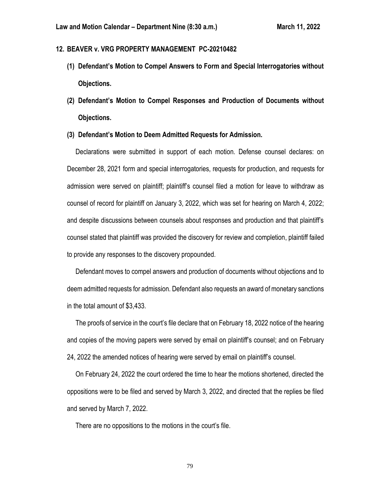# **12. BEAVER v. VRG PROPERTY MANAGEMENT PC-20210482**

- **(1) Defendant's Motion to Compel Answers to Form and Special Interrogatories without Objections.**
- **(2) Defendant's Motion to Compel Responses and Production of Documents without Objections.**
- **(3) Defendant's Motion to Deem Admitted Requests for Admission.**

 Declarations were submitted in support of each motion. Defense counsel declares: on December 28, 2021 form and special interrogatories, requests for production, and requests for admission were served on plaintiff; plaintiff's counsel filed a motion for leave to withdraw as counsel of record for plaintiff on January 3, 2022, which was set for hearing on March 4, 2022; and despite discussions between counsels about responses and production and that plaintiff's counsel stated that plaintiff was provided the discovery for review and completion, plaintiff failed to provide any responses to the discovery propounded.

 Defendant moves to compel answers and production of documents without objections and to deem admitted requests for admission. Defendant also requests an award of monetary sanctions in the total amount of \$3,433.

 The proofs of service in the court's file declare that on February 18, 2022 notice of the hearing and copies of the moving papers were served by email on plaintiff's counsel; and on February 24, 2022 the amended notices of hearing were served by email on plaintiff's counsel.

 On February 24, 2022 the court ordered the time to hear the motions shortened, directed the oppositions were to be filed and served by March 3, 2022, and directed that the replies be filed and served by March 7, 2022.

There are no oppositions to the motions in the court's file.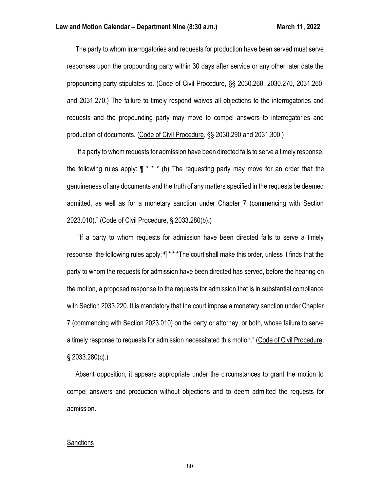The party to whom interrogatories and requests for production have been served must serve responses upon the propounding party within 30 days after service or any other later date the propounding party stipulates to. (Code of Civil Procedure, §§ 2030.260, 2030.270, 2031.260, and 2031.270.) The failure to timely respond waives all objections to the interrogatories and requests and the propounding party may move to compel answers to interrogatories and production of documents. (Code of Civil Procedure, §§ 2030.290 and 2031.300.)

 "If a party to whom requests for admission have been directed fails to serve a timely response, the following rules apply:  $\P$ <sup>\*</sup> \* \* (b) The requesting party may move for an order that the genuineness of any documents and the truth of any matters specified in the requests be deemed admitted, as well as for a monetary sanction under Chapter 7 (commencing with Section 2023.010)." (Code of Civil Procedure, § 2033.280(b).)

 ""If a party to whom requests for admission have been directed fails to serve a timely response, the following rules apply:  $\P$ <sup>\*\*\*</sup>The court shall make this order, unless it finds that the party to whom the requests for admission have been directed has served, before the hearing on the motion, a proposed response to the requests for admission that is in substantial compliance with Section 2033.220. It is mandatory that the court impose a monetary sanction under Chapter 7 (commencing with Section 2023.010) on the party or attorney, or both, whose failure to serve a timely response to requests for admission necessitated this motion." (Code of Civil Procedure, § 2033.280(c).)

 Absent opposition, it appears appropriate under the circumstances to grant the motion to compel answers and production without objections and to deem admitted the requests for admission.

#### **Sanctions**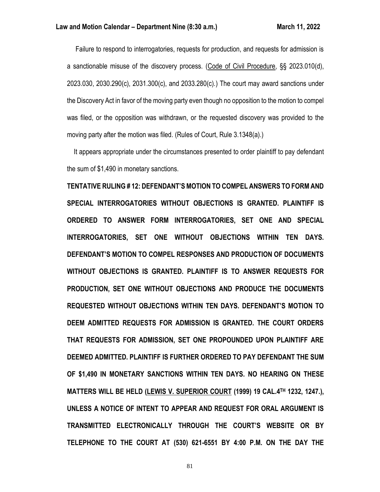Failure to respond to interrogatories, requests for production, and requests for admission is a sanctionable misuse of the discovery process. (Code of Civil Procedure, §§ 2023.010(d), 2023.030, 2030.290(c), 2031.300(c), and 2033.280(c).) The court may award sanctions under the Discovery Act in favor of the moving party even though no opposition to the motion to compel was filed, or the opposition was withdrawn, or the requested discovery was provided to the moving party after the motion was filed. (Rules of Court, Rule 3.1348(a).)

 It appears appropriate under the circumstances presented to order plaintiff to pay defendant the sum of \$1,490 in monetary sanctions.

**TENTATIVE RULING # 12: DEFENDANT'S MOTION TO COMPEL ANSWERS TO FORM AND SPECIAL INTERROGATORIES WITHOUT OBJECTIONS IS GRANTED. PLAINTIFF IS ORDERED TO ANSWER FORM INTERROGATORIES, SET ONE AND SPECIAL INTERROGATORIES, SET ONE WITHOUT OBJECTIONS WITHIN TEN DAYS. DEFENDANT'S MOTION TO COMPEL RESPONSES AND PRODUCTION OF DOCUMENTS WITHOUT OBJECTIONS IS GRANTED. PLAINTIFF IS TO ANSWER REQUESTS FOR PRODUCTION, SET ONE WITHOUT OBJECTIONS AND PRODUCE THE DOCUMENTS REQUESTED WITHOUT OBJECTIONS WITHIN TEN DAYS. DEFENDANT'S MOTION TO DEEM ADMITTED REQUESTS FOR ADMISSION IS GRANTED. THE COURT ORDERS THAT REQUESTS FOR ADMISSION, SET ONE PROPOUNDED UPON PLAINTIFF ARE DEEMED ADMITTED. PLAINTIFF IS FURTHER ORDERED TO PAY DEFENDANT THE SUM OF \$1,490 IN MONETARY SANCTIONS WITHIN TEN DAYS. NO HEARING ON THESE MATTERS WILL BE HELD (LEWIS V. SUPERIOR COURT (1999) 19 CAL.4TH 1232, 1247.), UNLESS A NOTICE OF INTENT TO APPEAR AND REQUEST FOR ORAL ARGUMENT IS TRANSMITTED ELECTRONICALLY THROUGH THE COURT'S WEBSITE OR BY TELEPHONE TO THE COURT AT (530) 621-6551 BY 4:00 P.M. ON THE DAY THE**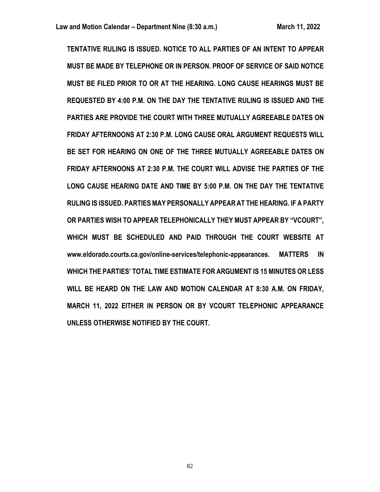**TENTATIVE RULING IS ISSUED. NOTICE TO ALL PARTIES OF AN INTENT TO APPEAR MUST BE MADE BY TELEPHONE OR IN PERSON. PROOF OF SERVICE OF SAID NOTICE MUST BE FILED PRIOR TO OR AT THE HEARING. LONG CAUSE HEARINGS MUST BE REQUESTED BY 4:00 P.M. ON THE DAY THE TENTATIVE RULING IS ISSUED AND THE PARTIES ARE PROVIDE THE COURT WITH THREE MUTUALLY AGREEABLE DATES ON FRIDAY AFTERNOONS AT 2:30 P.M. LONG CAUSE ORAL ARGUMENT REQUESTS WILL BE SET FOR HEARING ON ONE OF THE THREE MUTUALLY AGREEABLE DATES ON FRIDAY AFTERNOONS AT 2:30 P.M. THE COURT WILL ADVISE THE PARTIES OF THE LONG CAUSE HEARING DATE AND TIME BY 5:00 P.M. ON THE DAY THE TENTATIVE RULING IS ISSUED. PARTIES MAY PERSONALLY APPEAR AT THE HEARING. IF A PARTY OR PARTIES WISH TO APPEAR TELEPHONICALLY THEY MUST APPEAR BY "VCOURT", WHICH MUST BE SCHEDULED AND PAID THROUGH THE COURT WEBSITE AT www.eldorado.courts.ca.gov/online-services/telephonic-appearances. MATTERS IN WHICH THE PARTIES' TOTAL TIME ESTIMATE FOR ARGUMENT IS 15 MINUTES OR LESS WILL BE HEARD ON THE LAW AND MOTION CALENDAR AT 8:30 A.M. ON FRIDAY, MARCH 11, 2022 EITHER IN PERSON OR BY VCOURT TELEPHONIC APPEARANCE UNLESS OTHERWISE NOTIFIED BY THE COURT.**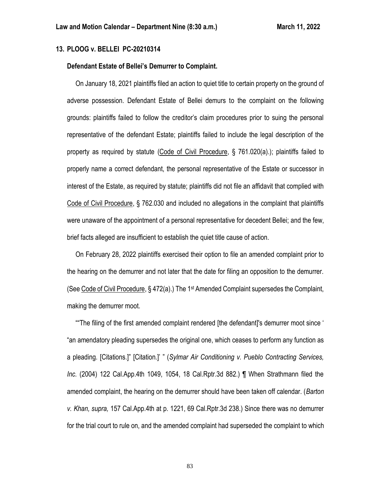### **13. PLOOG v. BELLEI PC-20210314**

### **Defendant Estate of Bellei's Demurrer to Complaint.**

 On January 18, 2021 plaintiffs filed an action to quiet title to certain property on the ground of adverse possession. Defendant Estate of Bellei demurs to the complaint on the following grounds: plaintiffs failed to follow the creditor's claim procedures prior to suing the personal representative of the defendant Estate; plaintiffs failed to include the legal description of the property as required by statute (Code of Civil Procedure, § 761.020(a).); plaintiffs failed to properly name a correct defendant, the personal representative of the Estate or successor in interest of the Estate, as required by statute; plaintiffs did not file an affidavit that complied with Code of Civil Procedure, § 762.030 and included no allegations in the complaint that plaintiffs were unaware of the appointment of a personal representative for decedent Bellei; and the few, brief facts alleged are insufficient to establish the quiet title cause of action.

 On February 28, 2022 plaintiffs exercised their option to file an amended complaint prior to the hearing on the demurrer and not later that the date for filing an opposition to the demurrer. (See Code of Civil Procedure, § 472(a).) The 1st Amended Complaint supersedes the Complaint, making the demurrer moot.

 ""The filing of the first amended complaint rendered [the defendant]'s demurrer moot since ' "an amendatory pleading supersedes the original one, which ceases to perform any function as a pleading. [Citations.]" [Citation.]' " (*Sylmar Air Conditioning v. Pueblo Contracting Services, Inc.* (2004) 122 Cal.App.4th 1049, 1054, 18 Cal.Rptr.3d 882.) ¶ When Strathmann filed the amended complaint, the hearing on the demurrer should have been taken off calendar. (*Barton v. Khan, supra,* 157 Cal.App.4th at p. 1221, 69 Cal.Rptr.3d 238.) Since there was no demurrer for the trial court to rule on, and the amended complaint had superseded the complaint to which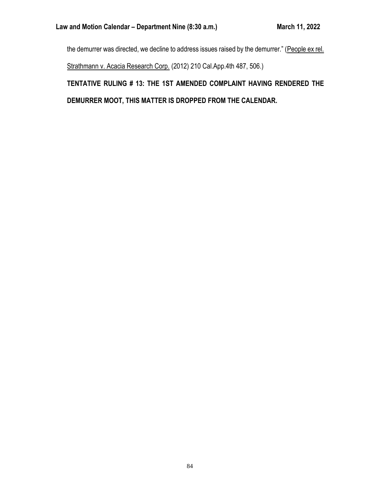the demurrer was directed, we decline to address issues raised by the demurrer." (People ex rel. Strathmann v. Acacia Research Corp. (2012) 210 Cal.App.4th 487, 506.) **TENTATIVE RULING # 13: THE 1ST AMENDED COMPLAINT HAVING RENDERED THE**

**DEMURRER MOOT, THIS MATTER IS DROPPED FROM THE CALENDAR.**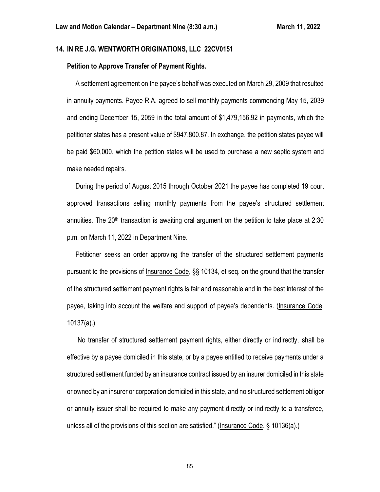## **14. IN RE J.G. WENTWORTH ORIGINATIONS, LLC 22CV0151**

### **Petition to Approve Transfer of Payment Rights.**

 A settlement agreement on the payee's behalf was executed on March 29, 2009 that resulted in annuity payments. Payee R.A. agreed to sell monthly payments commencing May 15, 2039 and ending December 15, 2059 in the total amount of \$1,479,156.92 in payments, which the petitioner states has a present value of \$947,800.87. In exchange, the petition states payee will be paid \$60,000, which the petition states will be used to purchase a new septic system and make needed repairs.

 During the period of August 2015 through October 2021 the payee has completed 19 court approved transactions selling monthly payments from the payee's structured settlement annuities. The  $20<sup>th</sup>$  transaction is awaiting oral argument on the petition to take place at 2:30 p.m. on March 11, 2022 in Department Nine.

 Petitioner seeks an order approving the transfer of the structured settlement payments pursuant to the provisions of Insurance Code, §§ 10134, et seq. on the ground that the transfer of the structured settlement payment rights is fair and reasonable and in the best interest of the payee, taking into account the welfare and support of payee's dependents. (Insurance Code, 10137(a).)

 "No transfer of structured settlement payment rights, either directly or indirectly, shall be effective by a payee domiciled in this state, or by a payee entitled to receive payments under a structured settlement funded by an insurance contract issued by an insurer domiciled in this state or owned by an insurer or corporation domiciled in this state, and no structured settlement obligor or annuity issuer shall be required to make any payment directly or indirectly to a transferee, unless all of the provisions of this section are satisfied." (Insurance Code, § 10136(a).)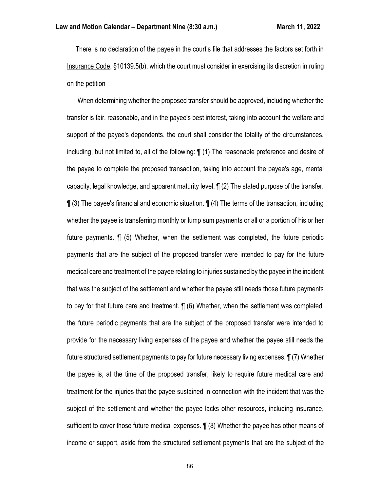There is no declaration of the payee in the court's file that addresses the factors set forth in Insurance Code, §10139.5(b), which the court must consider in exercising its discretion in ruling on the petition

 "When determining whether the proposed transfer should be approved, including whether the transfer is fair, reasonable, and in the payee's best interest, taking into account the welfare and support of the payee's dependents, the court shall consider the totality of the circumstances, including, but not limited to, all of the following: ¶ (1) The reasonable preference and desire of the payee to complete the proposed transaction, taking into account the payee's age, mental capacity, legal knowledge, and apparent maturity level. ¶ (2) The stated purpose of the transfer.  $\P(3)$  The payee's financial and economic situation.  $\P(4)$  The terms of the transaction, including whether the payee is transferring monthly or lump sum payments or all or a portion of his or her future payments. ¶ (5) Whether, when the settlement was completed, the future periodic payments that are the subject of the proposed transfer were intended to pay for the future medical care and treatment of the payee relating to injuries sustained by the payee in the incident that was the subject of the settlement and whether the payee still needs those future payments to pay for that future care and treatment. ¶ (6) Whether, when the settlement was completed, the future periodic payments that are the subject of the proposed transfer were intended to provide for the necessary living expenses of the payee and whether the payee still needs the future structured settlement payments to pay for future necessary living expenses. ¶ (7) Whether the payee is, at the time of the proposed transfer, likely to require future medical care and treatment for the injuries that the payee sustained in connection with the incident that was the subject of the settlement and whether the payee lacks other resources, including insurance, sufficient to cover those future medical expenses. ¶ (8) Whether the payee has other means of income or support, aside from the structured settlement payments that are the subject of the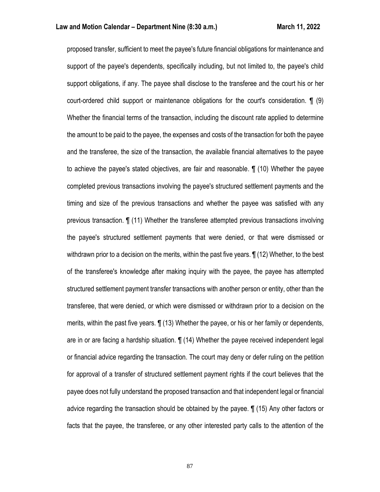proposed transfer, sufficient to meet the payee's future financial obligations for maintenance and support of the payee's dependents, specifically including, but not limited to, the payee's child support obligations, if any. The payee shall disclose to the transferee and the court his or her court-ordered child support or maintenance obligations for the court's consideration. ¶ (9) Whether the financial terms of the transaction, including the discount rate applied to determine the amount to be paid to the payee, the expenses and costs of the transaction for both the payee and the transferee, the size of the transaction, the available financial alternatives to the payee to achieve the payee's stated objectives, are fair and reasonable. ¶ (10) Whether the payee completed previous transactions involving the payee's structured settlement payments and the timing and size of the previous transactions and whether the payee was satisfied with any previous transaction. ¶ (11) Whether the transferee attempted previous transactions involving the payee's structured settlement payments that were denied, or that were dismissed or withdrawn prior to a decision on the merits, within the past five years.  $\P(12)$  Whether, to the best of the transferee's knowledge after making inquiry with the payee, the payee has attempted structured settlement payment transfer transactions with another person or entity, other than the transferee, that were denied, or which were dismissed or withdrawn prior to a decision on the merits, within the past five years. ¶ (13) Whether the payee, or his or her family or dependents, are in or are facing a hardship situation. ¶ (14) Whether the payee received independent legal or financial advice regarding the transaction. The court may deny or defer ruling on the petition for approval of a transfer of structured settlement payment rights if the court believes that the payee does not fully understand the proposed transaction and that independent legal or financial advice regarding the transaction should be obtained by the payee. ¶ (15) Any other factors or facts that the payee, the transferee, or any other interested party calls to the attention of the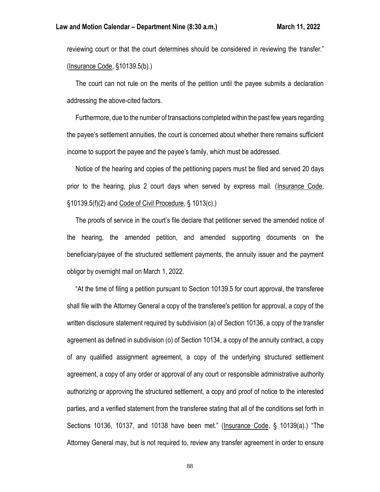reviewing court or that the court determines should be considered in reviewing the transfer." (Insurance Code, §10139.5(b).)

 The court can not rule on the merits of the petition until the payee submits a declaration addressing the above-cited factors.

 Furthermore, due to the number of transactions completed within the past few years regarding the payee's settlement annuities, the court is concerned about whether there remains sufficient income to support the payee and the payee's family, which must be addressed.

 Notice of the hearing and copies of the petitioning papers must be filed and served 20 days prior to the hearing, plus 2 court days when served by express mail. (Insurance Code, §10139.5(f)(2) and Code of Civil Procedure, § 1013(c).)

 The proofs of service in the court's file declare that petitioner served the amended notice of the hearing, the amended petition, and amended supporting documents on the beneficiary/payee of the structured settlement payments, the annuity issuer and the payment obligor by overnight mail on March 1, 2022.

 "At the time of filing a petition pursuant to Section 10139.5 for court approval, the transferee shall file with the Attorney General a copy of the transferee's petition for approval, a copy of the written disclosure statement required by subdivision (a) of Section 10136, a copy of the transfer agreement as defined in subdivision (o) of Section 10134, a copy of the annuity contract, a copy of any qualified assignment agreement, a copy of the underlying structured settlement agreement, a copy of any order or approval of any court or responsible administrative authority authorizing or approving the structured settlement, a copy and proof of notice to the interested parties, and a verified statement from the transferee stating that all of the conditions set forth in Sections 10136, 10137, and 10138 have been met." (Insurance Code, § 10139(a).) "The Attorney General may, but is not required to, review any transfer agreement in order to ensure